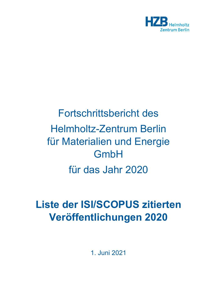

## Fortschrittsbericht des Helmholtz-Zentrum Berlin für Materialien und Energie **GmbH** für das Jahr 2020

## **Liste der ISI/SCOPUS zitierten Veröffentlichungen 2020**

1. Juni 2021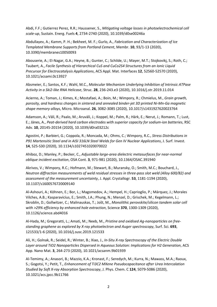Abdi, F.F.; Gutierrez Perez, R.R.; Haussener, S., *Mitigating voltage losses in photoelectrochemical cell scale-up*, Sustain. Energ. Fuels **4**, 2734-2740 (2020), 10.1039/d0se00246a

Abdullayev, A.; Kamm, P. H.; Bekheet, M. F.; Gurlo, A., *Fabrication and Characterization of Ice Templated Membrane Supports from Portland Cement*, Membr. **10**, 93/1-13 (2020), 10.3390/membranes10050093

Abouserie, A.; El-Nagar, G.A.; Heyne, B.; Gunter, C.; Schilde, U.; Mayer, M.T.; Stojkovikj, S.; Roth, C.; Taubert, A., *Facile Synthesis of Hierarchical CuS and CuCo2S4 Structures from an Ionic Liquid Precursor for Electrocatalysis Applications*, ACS Appl. Mat. Interfaces **12**, 52560-52570 (2020), 10.1021/acsami.0c13927

Absmeier, E.; Santos, K.F.; Wahl, M.C., *Molecular Mechanism Underlying Inhibition of Intrinsic ATPase Activity in a Ski2-like RNA Helicase*, Struc. **28**, 236-243.e3 (2020), 10.1016/j.str.2019.11.014

Acierno, A.; Toman, J.; Kimes, K.; Mostafaei, A.; Boin, M.; Wimpory, R.; Chmielus, M., *Grain growth, porosity, and hardness changes in sintered and annealed binder-jet 3D printed Ni-Mn-Ga magnetic shape memory alloys*, Micro. Microanal. **26**, 3082-3085 (2020), 10.1017/s1431927620023764

Adamson, A.; Väli, R.; Paalo, M.; Aruväli, J.; Koppel, M.; Palm, R.; Härk, E.; Nerut, J.; Romann, T.; Lust, E.; Jänes, A., *Peat-derived hard carbon electrodes with superior capacity for sodium-ion batteries*, RSC Adv. **10**, 20145-20154 (2020), 10.1039/d0ra03212c

Agostini, P.; Barbieri, G.; Coppola, R.; Moncada, M.; Ohms, C.; Wimpory, R.C., *Stress Distributions in P91 Martensitic Steel and in AISI 316LN Steel Welds for Gen IV Nuclear Applications*, J. Surf. Invest. **14**, S25-S30 (2020), 10.1134/s1027451020070022

Ahiboz, D.; Manley, P.; Becker, C., *Adjustable large-area dielectric metasurfaces for near-normal oblique incident excitation*, OSA Cont. **3**, 971-981 (2020), 10.1364/OSAC.391940

Akrivos, V.; Wimpory, R.C.; Hofmann, M.; Stewart, B.; Muransky, O.; Smith, M.C.; Bouchard, J., *Neutron diffraction measurements of weld residual stresses in three-pass slot weld (Alloy 600/82) and assessment of the measurement uncertainty*, J. Appl. Crystallogr. **53**, 1181-1194 (2020), 10.1107/s1600576720009140

Al-Ashouri, A.; Köhnen, E.; Bor, L.; Magomedov, A.; Hempel, H.; Caprioglio, P.; Márquez, J.; Morales Vilches, A.B.; Kasparavicius, E.; Smith, J.A.; Phung, N.; Menzel, D.; Grischek, M.; Kegelmann, L.; Skroblin, D.; Gollwitzer, C.; Malinauskas, T.; Jošt, M., *Monolithic perovskite/silicon tandem solar cell with >29% efficiency by enhanced hole extraction*, Science **370**, 1300-1309 (2020), 10.1126/science.abd4016

Al-Hada, M.; Gregoratti, L.; Amati, M.; Neeb, M., *Pristine and oxidised Ag-nanoparticles on freestanding graphene as explored by X-ray photoelectron and Auger spectroscopy*, Surf. Sci. **693**, 121533/1-6 (2020), 10.1016/j.susc.2019.121533

Ali, H.; Golnak, R.; Seidel, R.; Winter, B.; Xiao, J., *In-Situ X-ray Spectroscopy of the Electric Double Layer around TiO2 Nanoparticles Dispersed in Aqueous Solution: Implications for H2 Generation*, ACS App. Nano Mat. **3**, 264-273 (2020), 10.1021/acsanm.9b01939

Al-Temimy, A.; Anasori, B.; Mazzio, K.A.; Kronast, F.; Seredych, M.; Kurra, N.; Mawass, M.A.; Raoux, S.; Gogotsi, Y.; Petit, T., *Enhancement of Ti3C2 MXene Pseudocapacitance after Urea Intercalation Studied by Soft X-ray Absorption Spectroscopy*, J. Phys. Chem. C **124**, 5079-5086 (2020), 10.1021/acs.jpcc.9b11766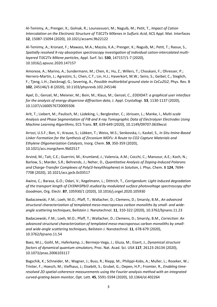Al-Temimy, A.; Prenger, K.; Golnak, R.; Lounasvuori, M.; Naguib, M.; Petit, T., *Impact of Cation Intercalation on the Electronic Structure of Ti3C2Tx MXenes in Sulfuric Acid*, ACS Appl. Mat. Interfaces **12**, 15087-15094 (2020), 10.1021/acsami.9b22122

Al-Temimy, A.; Kronast, F.; Mawass, M.A.; Mazzio, K.A.; Prenger, K.; Naguib, M.; Petit, T.; Raoux, S., *Spatially resolved X-ray absorption spectroscopy investigation of individual cation-intercalated multilayered Ti3C2Tx MXene particles*, Appl. Surf. Sci. **530**, 147157/1-7 (2020), 10.1016/j.apsusc.2020.147157

Amorese, A.; Marino, A.; Sundermann, M.; Chen, K.; Hu, Z.; Willers, T.; Choukani, F.; Ohresser, P.; Herrero-Martin, J.; Agrestini, S.; Chen, C.T.; Lin, H.J.; Haverkort, M.W.; Seiro, S.; Geibel, C.; Steglich, F.; Tjeng, L.H.; Zwicknagl, G.; Severing, A., *Possible multiorbital ground state in CeCu2Si2*, Phys. Rev. B **102**, 245146/1-8 (2020), 10.1103/physrevb.102.245146

Apel, D.; Genzel, M.; Meixner, M.; Boin, M.; Klaus, M.; Genzel, C., *EDDIDAT: a graphical user interface for the analysis of energy-dispersive diffraction data*, J. Appl. Crystallogr. **53**, 1130-1137 (2020), 10.1107/s1600576720005506

Arlt, T.; Liebert, M.; Paulisch, M.; Lüdeking, I.; Bergbreiter, C.; Jörissen, L.; Manke, I., *Multi-scale Analysis and Phase Segmentation of FIB and X-ray Tomographic Data of Electrolyzer Electrodes Using Machine Learning Algorithms*, ECS Trans. **97**, 639-649 (2020), 10.1149/09707.0639ecst

Arrozi, U.S.F.; Bon, V.; Krause, S.; Lübken, T.; Weiss, M.S.; Senkovska, I.; Kaskel, S., *In Situ Imine-Based Linker Formation for the Synthesis of Zirconium MOFs: A Route to CO2 Capture Materials and Ethylene Oligomerization Catalysts*, Inorg. Chem. **59**, 350-359 (2020), 10.1021/acs.inorgchem.9b02517

Arvind, M.; Tait, C.E.; Guerrini, M.; Krumland, J.; Valencia, A.M.; Cocchi, C.; Mansour, A.E.; Koch, N.; Barlow, S.; Marder, S.R.; Behrends, J.; Neher, D., *Quantitative Analysis of Doping-Induced Polarons and Charge-Transfer Complexes of Poly(3-hexylthiophene) in Solution*, J. Phys. Chem. B **124**, 7694- 7708 (2020), 10.1021/acs.jpcb.0c03517

Awino, C.; Barasa, G.O.; Odari, V.; Kegelmann, L.; Dittrich, T., *Corrigendum: Light induced degradation of the transport length of CH3NH3PbI3 studied by modulated surface photovoltage spectroscopy after Goodman*, Org. Electr. **87**, 105930/1 (2020), 10.1016/j.orgel.2020.105930

Badaczewski, F.M.; Loeh, M.O.; Pfaff, T.; Wallacher, D.; Clemens, D.; Smarsly, B.M., *An advanced structural characterization of templated meso-macroporous carbon monoliths by small- and wideangle scattering techniques*, Beilstein J. Nanotechnol. **11**, 310-322 (2020), 10.3762/bjnano.11.23

Badaczewski, F.M.; Loeh, M.O.; Pfaff, T.; Wallacher, D.; Clemens, D.; Smarsly, B.M., *Correction: An advanced structural characterization of templated meso-macroporous carbon monoliths by smalland wide-angle scattering techniques*, Beilstein J. Nanotechnol. **11**, 678-679 (2020), 10.3762/bjnano.11.54

Baez, M.L.; Goihl, M.; Haferkamp, J.; Bermejo-Vega, J.; Gluza, M.; Eisert, J., *Dynamical structure factors of dynamical quantum simulators*, Proc. Nat. Acad. Sci. USA **117**, 26123-26134 (2020), 10.1073/pnas.2006103117

Bagschik, K.; Schneider, M.; Wagner, J.; Buss, R.; Riepp, M.; Philippi-Kobs, A.; Muller, L.; Roseker, W.; Trinter, F.; Hoesch, M.; Viefhaus, J.; Eisebitt, S.; Grubel, G.; Oepen, H.P.; Fromter, R., *Enabling timeresolved 2D spatial-coherence measurements using the Fourier-analysis method with an integrated curved-grating beam monitor*, Opt. Lett. **45**, 5591-5594 (2020), 10.1364/ol.402264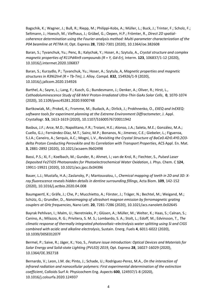Bagschik, K.; Wagner, J.; Buß, R.; Riepp, M.; Philippi-Kobs, A.; Müller, L.; Buck, J.; Trinter, F.; Scholz, F.; Seltmann, J.; Hoesch, M.; Viefhaus, J.; Grübel, G.; Oepen, H.P.; Frömter, R., *Direct 2D spatialcoherence determination using the Fourier-analysis method: Multi-parameter characterization of the P04 beamline at PETRA III*, Opt. Express **28**, 7282-7301 (2020), 10.1364/oe.382608

Baran, S.; Tyvanchuk, Yu.; Penc, B.; Kalychak, Y.; Hoser, A.; Szytula, A., *Crystal structure and complex magnetic properties of R11Pd4In9 compounds (R = Y, Gd-Er)*, Interm. **123**, 106837/1-12 (2020), 10.1016/j.intermet.2020.106837

Baran, S.; Kurzydlo, P.; Tyvanchuk, Yu.; Hoser, A.; Szytula, A, *Magnetic properties and magnetic structures in R3Ni2In4 (R = Tb-Tm)*, J. Alloy. Compd. **832**, 154926/1-9 (2020), 10.1016/j.jallcom.2020.154926

Barthel, A.; Sayre, L.; Lang, F.; Kusch, G.; Bundesmann, J.; Denker, A.; Oliver, R.; Hirst, L., *Cathodoluminescence Study of 68 MeV Proton-Irradiated Ultra-Thin GaAs Solar Cells*, **0**, 1070-1074 (2020), 10.1109/pvsc45281.2020.9300748

Bartkowiak, M.; Prokeš, K.; Fromme, M.; Budack, A.; Dirlick, J.; Prokhnenko, O., *EXEQ and InEXEQ: software tools for experiment planning at the Extreme Environment Diffractometer*, J. Appl. Crystallogr. **53**, 1613-1619 (2020), 10.1107/S1600576720011942

Basbus, J.F.; Arce, M.D.; Napolitano, F.R.; Troiani, H.E.; Alonso, J.A.; Saleta, M.E.; González, M.A.; Cuello, G.J.; Fernández-Díaz, M.T.; Sainz, M.P.; Bonanos, N.; Jimenez, C.E.; Giebeler, L.; Figueroa, S.J.A.; Caneiro, A.; Serquis, A.C.; Mogni, L.V., *Revisiting the Crystal Structure of BaCe0.4Zr0.4Y0.2O3 delta Proton Conducting Perovskite and Its Correlation with Transport Properties*, ACS Appl. En. Mat. **3**, 2881-2892 (2020), 10.1021/acsaem.9b02498

Bassi, P.S.; Xi, F.; Koelbach, M.; Gunder, R.; Ahmet, I.; van de Krol, R.; Fiechter, S., *Pulsed Laser Deposited Fe2TiO5 Photoanodes for Photoelectrochemical Water Oxidation*, J. Phys. Chem. C **124**, 19911-19921 (2020), 10.1021/acs.jpcc.0c04396

Bauer, L.J.; Mustafa, H.A.; Zaslansky, P.; Mantouvalou, I., *Chemical mapping of teeth in 2D and 3D: Xray fluorescence reveals hidden details in dentine surrounding fillings*, Acta Biom. **109**, 142-152 (2020), 10.1016/j.actbio.2020.04.008

Baumgaertl, K.; Gräfe, J.; Che, P.; Mucchietto, A.; Förster, J.; Träger, N.; Bechtel, M.; Weigand, M.; Schütz, G.; Grundler, D., *Nanoimaging of ultrashort magnon emission by ferromagnetic grating couplers at GHz frequencies*, Nano Lett. **20**, 7281-7286 (2020), 10.1021/acs.nanolett.0c02645

Bayrak Pehlivan, I.; Malm, U.; Neretnieks, P.; Glüsen, A.; Müller, M.; Welter, K.; Haas, S.; Calnan, S.; Canino, A.; Milazzo, R. G.; Privitera, S. M. S.; Lombardo, S. A.; Stolt, L.; Edoff, M.; Edvinsson, T., *The climatic response of thermally integrated photovoltaic–electrolysis water splitting using Si and CIGS combined with acidic and alkaline electrolysis*, Sustain. Energ. Fuels **4**, 6011-6022 (2020), 10.1039/D0SE01207F

Bermel, P.; Saive, R.; Jäger, K.; Yoo, S., *Feature issue introduction: Optical Devices and Materials for Solar Energy and Solid-state Lighting (PVLED) 2019*, Opt. Express **28**, 16027-16029 (2020), 10.1364/OE.392718

Bernardo, V.; Leon, J.M. de; Pinto, J.; Schade, U.; Rodriguez-Perez, M.A., *On the interaction of infrared radiation and nanocellular polymers: First experimental determination of the extinction coefficient*, Colloids Surf A: Physicochem Eng. Aspects **600**, 124937/1-8 (2020), 10.1016/j.colsurfa.2020.124937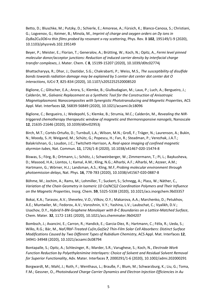Betto, D.; Bluschke, M.; Putzky, D.; Schierle, E.; Amorese, A.; Fürsich, K.; Blanco-Canosa, S.; Christiani, G.; Logvenov, G.; Keimer, B.; Minola, M., *Imprint of charge and oxygen orders on Dy ions in DyBa2Cu3O6+x thin films probed by resonant x-ray scattering*, Phys. Rev. B **102**, 195149/1-9 (2020), 10.1103/physrevb.102.195149

Beyer, P.; Meister, E.; Florian, T.; Generalov, A.; Brütting, W.; Koch, N.; Opitz, A., *Fermi level pinned molecular donor/acceptor junctions: Reduction of induced carrier density by interfacial charge transfer complexes*, J. Mater. Chem. C **8**, 15199-15207 (2020), 10.1039/d0tc02774j

Bhattacharyya, R.; Dhar, J.; Dastidar, S.G.; Chakrabarti, P.; Weiss, M.S., *The susceptibility of disulfide bonds towards radiation damage may be explained by S center dot center dot center dot O interactions*, IUCrJ **7**, 825-834 (2020), 10.1107/s2052252520008520

Biglione, C.; Glitscher, E.A.; Arora, S.; Klemke, B.; Giulbudagian, M.; Laux, P.; Luch, A.; Bergueiro, J.; Calderón, M., *Galvanic Replacement as a Synthetic Tool for the Construction of Anisotropic Magnetoplasmonic Nanocomposites with Synergistic Phototransducing and Magnetic Properties*, ACS Appl. Mat. Interfaces **12**, 56839-56849 (2020), 10.1021/acsami.0c18096

Biglione, C.; Bergueiro, J.; Wedepohl, S.; Klemke, B.; Strumia, M.C.; Calderón, M., *Revealing the NIRtriggered chemotherapy therapeutic window of magnetic and thermoresponsive nanogels*, Nanoscale **12**, 21635-21646 (2020), 10.1039/d0nr02953j

Birch, M.T.; Cortés-Ortuño, D.; Turnbull, L.A.; Wilson, M.N.; Groß, F.; Träger, N.; Laurenson, A.; Bukin, N.; Moody, S..H; Weigand, M.; Schütz, G.; Popescu, H.; Fan, R.; Steadman, P.; Verezhak, J.A.T.; Balakrishnan, G.; Loudon, J.C.; Twitchett-Harrison, A, *Real-space imaging of confined magnetic skyrmion tubes*, Nat. Commun. **11**, 1726/1-8 (2020), 10.1038/s41467-020-15474-8

Biswas, S.; Förg, B.; Ortmann, L.; Schötz, J.; Schweinberger, W.; Zimmermann, T.; Pi, L.; Baykusheva, D.; Masood, H.A.; Liontos, I.; Kamal, A.M.; Kling, N.G.; Alharbi, A.F.; Alharbi, M.; Azzeer, A.M.; Hartmann, G.; Wörner, H.J.; Landsman, A.S.; Kling, M.F, *Probing molecular environment through photoemission delays*, Nat. Phys. **16**, 778-783 (2020), 10.1038/s41567-020-0887-8

Böhme, M.; Jochim, A.; Rams, M.; Lohmiller, T.; Suckert, S.; Schnegg, A.; Plass, W.; Näther, C., *Variation of the Chain Geometry in Isomeric 1D Co(NCS)2 Coordination Polymers and Their Influence on the Magnetic Properties*, Inorg. Chem. **59**, 5325-5338 (2020), 10.1021/acs.inorgchem.9b03357

Bokai, K.A.; Tarasov, A.V.; Shevelev, V.O.; Vilkov, O.Y.; Makarova, A.A.; Marchenko, D.; Petukhov, A.E.; Muntwiler, M.; Fedorov, A.V.; Voroshnin, V.Y.; Yashina, L.V.; Laubschat, C.; Vyalikh, D.V.; Usachov, D.Y., *Hybrid h-BN-Graphene Monolayer with B-C Boundaries on a Lattice-Matched Surface*, Chem. Mater. **32**, 1172-1181 (2020), 10.1021/acs.chemmater.9b04207

Bombsch, J.; Avancini, E.; Carron, R.; Handick, E.; Garcia-Diez, R.; Hartmann, C.; Félix, R.; Ueda, S.; Wilks, R.G.; Bär, M., *NaF/RbF-Treated Cu(In,Ga)Se2 Thin-Film Solar Cell Absorbers: Distinct Surface Modifications Caused by Two Different Types of Rubidium Chemistry*, ACS Appl. Mat. Interfaces **12**, 34941-34948 (2020), 10.1021/acsami.0c08794

Bontapalle, S.; Opitz, A.; Schlesinger, R.; Marder, S.R.; Varughese, S.; Koch, N., *Electrode Work Function Reduction by Polyethylenimine Interlayers: Choice of Solvent and Residual Solvent Removal for Superior Functionality*, Adv. Mater. Interfaces **7**, 2000291/1-6 (2020), 10.1002/admi.202000291

Borgwardt, M.; Mahl, J.; Roth, F.; Wenthaus, L.; Brauße, F.; Blum, M.; Schwarzburg, K.; Liu, G.; Toma, F.M.; Gessner, O., *Photoinduced Charge Carrier Dynamics and Electron Injection Efficiencies in Au*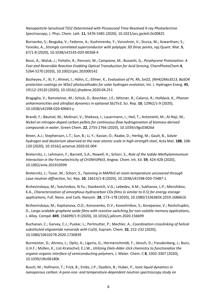*Nanoparticle-Sensitized TiO2 Determined with Picosecond Time-Resolved X-ray Photoelectron Spectroscopy*, J. Phys. Chem. Lett. **11**, 5476-5481 (2020), 10.1021/acs.jpclett.0c00825

Borisenko, S.; Bezguba, V.; Fedorov, A.; Kushnirenko, Y.; Voroshnin, V.; Sturza, M.; Aswartham, S.; Yaresko, A., *Strongly correlated superconductor with polytypic 3D Dirac points*, npj Quant. Mat. **5**, 67/1-8 (2020), 10.1038/s41535-020-00268-4

Bossi, A.; Waluk, J.; Yivlialin, R.; Penconi, M.; Campione, M.; Bussetti, G., *Porphycene Protonation: A Fast and Reversible Reaction Enabling Optical Transduction for Acid Sensing*, ChemPhotoChem **4**, 5264-5270 (2020), 10.1002/cptc.202000142

Bozheyev, F.; Xi, F.; Ahmet, I.; Höhn, C.; Ellmer, K., *Evaluation of Pt, Rh, SnO2, (NH4)2Mo3S13, BaSO4 protection coatings on WSe2 photocathodes for solar hydrogen evolution*, Int. J. Hydrogen Energ. **45**, 19112-19120 (2020), 10.1016/j.ijhydene.2020.04.251

Bragaglia, V.; Ramsteiner, M.; Schick, D.; Boschker, J.E.; Mitzner, R.; Calarco, R.; Holldack, K., *Phonon anharmonicities and ultrafast dynamics in epitaxial Sb2Te3*, Sci. Rep. **10**, 12962/1-9 (2020), 10.1038/s41598-020-69663-y

Brandi, F.; Bäumel, M.; Molinari, V.; Shekova, I.; Lauermann, I.; Heil, T.; Antonietti, M.; Al-Naji, M., *Nickel on nitrogen-doped carbon pellets for continuous-flow hydrogenation of biomass-derived compounds in water*, Green Chem. **22**, 2755-2766 (2020), 10.1039/c9gc03826d

Breen, A.J.; Stephenson, L.T.; Sun, B.; Li, Y.; Kasian, O.; Raabe, D.; Herbig, M.; Gault, B., *Solute hydrogen and deuterium observed at the near atomic scale in high-strength steel*, Acta Mat. **188**, 108- 120 (2020), 10.1016/j.actamat.2020.02.004

Breternitz, J.; Lehmann, F.; Barnett, S.A.; Nowell, H.; Schorr, S., *Role of the Iodide-Methylammonium Interaction in the Ferroelectricity of CH3NH3PbI3*, Angew. Chem. Int. Ed. **59**, 424-428 (2020), 10.1002/anie.201910599

Breternitz, J.; Tovar, M.; Schorr, S., *Twinning in MAPbI3 at room temperature uncovered through Laue neutron diffraction*, Sci. Rep. **10**, 16613/1-8 (2020), 10.1038/s41598-020-73487-1

Brzhezinskaya, M.; Svechnikov, N.Yu.; Stankevich, V.G.; Lebedev, A.M.; Sukhanov, L.P.; Menshikov, K.A., *Characterization of amorphous hydrocarbon CDx films (x similar to 0.5) for energy storage applications*, Full. Nano. and Carb. Nanostr. **28**, 173–178 (2020), 10.1080/1536383X.2019.1686616

Brzhezinskaya, M.; Kapitanova, O.O.; Kononenko, O.V.; Koveshnikov, S.; Korepanov, V.; Roshchupkin, D., *Large-scalable graphene oxide films with resistive switching for non-volatile memory applications*, J. Alloy. Compd. **849**, 156699/1-9 (2020), 10.1016/j.jallcom.2020.156699

Buchanan, C.; Garvey, C.J.; Puskar, L.; Perlmutter, P.; Mechler, A., *Coordination crosslinking of helical substituted oligoamide nanorods with Cu(II)*, Supram. Chem. **32**, 222-232 (2020), 10.1080/10610278.2020.1730839

Burmeister, D.; Ahrens, L.; Opitz, A.; Ligorio, G.; Hermerschmidt, F.; Jänsch, D.; Freudenberg, J.; Bunz, U.H.F.; Müllen, K.; List-Kratochvil, E.J.W., *Utilizing Diels-Alder click chemistry to functionalize the organic-organic interface of semiconducting polymers*, J. Mater. Chem. C **8**, 3302-3307 (2020), 10.1039/c9tc06180k

Busch, M.; Hofmann, T.; Frick, B.; Embs, J.P.; Dyatkin, B.; Huber, P., *Ionic liquid dynamics in nanoporous carbon: A pore-size- and temperature-dependent neutron spectroscopy study on*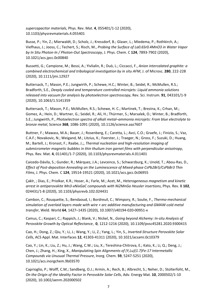*supercapacitor materials*, Phys. Rev. Mat. **4**, 055401/1-12 (2020), 10.1103/physrevmaterials.4.055401

Busse, P.; Yin, Z.; Mierwaldt, D.; Scholz, J.; Kressdorf, B.; Glaser, L.; Miedema, P.; Rothkirch, A.; Viefhaus, J.; Jooss, C.; Techert, S.; Risch, M., *Probing the Surface of La0.6Sr0.4MnO3 in Water Vapor by In Situ Photon-In / Photon-Out Spectroscopy*, J. Phys. Chem. C **124**, 7893-7902 (2020), 10.1021/acs.jpcc.0c00840

Bussetti, G.; Campione, M.; Bossi, A.; Yivlialin, R.; Duò, L.; Ciccacci, F., *Anion intercalated graphite: a combined electrochemical and tribological investigation by in situ AFM*, J. of Microsc. **280**, 222-228 (2020), 10.1111/jmi.12927

Buttersack, T.; Mason, P.E.; Jungwirth, P.; Schewe, H.C.; Winter, B.; Seidel, R.; McMullen, R.S.; Bradforth, S.E., *Deeply cooled and temperature controlled microjets: Liquid ammonia solutions released into vacuum for analysis by photoelectron spectroscopy*, Rev. Sci. Instrum. **91**, 043101/1-9 (2020), 10.1063/1.5141359

Buttersack, T.; Mason, P.E.; McMullen, R.S.; Schewe, H. C.; Martinek, T.; Brezina, K.; Crhan, M.; Gomez, A.; Hein, D.; Wartner, G.; Seidel, R.; Ali, H.; Thürmer, S.; Marsalek, O.; Winter, B.; Bradforth, S.E.; Jungwirth, P., *Photoelectron spectra of alkali metal–ammonia microjets: From blue electrolyte to bronze metal*, Science **368**, 1086-1091 (2020), 10.1126/science.aaz7607

Buttner, F.; Mawass, M.A.; Bauer, J.; Rosenberg, E.; Caretta, L.; Avci, C.O.; Graefe, J.; Finizio, S.; Vaz, C.A.F.; Novakovic, N.; Weigand, M.; Litzius, K.; Foerster, J.; Traeger, N.; Gross, F.; Suzuki, D.; Huang, M.; Bartell, J.; Kronast, F.; Raabe, J.;, *Thermal nucleation and high-resolution imaging of submicrometer magnetic bubbles in thin thulium iron garnet films with perpendicular anisotropy*, Phys. Rev. Mat. **4**, 011401/1-7 (2020), 10.1103/physrevmaterials.4.011401

Caicedo-Dávila, S.; Gunder, R.; Márquez, J.A.; Levcenco, S.; Schwarzburg, K.; Unold, T.; Abou-Ras, D., *Effect of Post-deposition Annealing on the Luminescence of Mixed-phase CsPb2Br5/CsPbBr3 Thin Films*, J. Phys. Chem. C **124**, 19514-19521 (2020), 10.1021/acs.jpcc.0c06955

Çaklr, ; Dias, E.; Priolkar, K.R.; Hoser, A.; Farle, M.; Acet, M., *Heterogeneous magnetism and kinetic arrest in antiperovskite Mn3-xNixGaC compounds with Ni2MnGa Heusler insertions*, Phys. Rev. B **102**, 024431/1-8 (2020), 10.1103/physrevb.102.024431

Cambon, C.; Rouquette, S.; Bendaoud, I.; Bordreuil, C.; Wimpory, R.; Soulie, F., *Thermo-mechanical simulation of overlaid layers made with wire + arc additive manufacturing and GMAW-cold metal transfer*, Weld. World **64**, 1427–1435 (2020), 10.1007/s40194-020-00951-x

Camus, C.; Kaspari, C.; Rappich, J.; Blank, V.; Nickel, N., *Going beyond Alchemy: In-situ Analysis of Perovskite Growth by Optical Reflectance*, **0**, 1212-1216 (2020), 10.1109/pvsc45281.2020.9300415

Cao, H.; Dong, Z.; Qiu, Y.; Li, J.; Wang, Y.; Li, Z.; Yang, L.; Yin, S., *Inverted-Structure Perovskite Solar Cells*, ACS Appl. Mat. Interfaces **12**, 41303-41311 (2020), 10.1021/acsami.0c10379

Cao, Y.; Lin, K.; Liu, Z.; Hu, J.; Wang, C.W.; Liu, X.; Tereshina-Chitrova, E.; Kato, K.; Li, Q.; Deng, J.; Chen, J.; Zhang, H.; Xing, X., *Manipulating Spin Alignments of (Y,Lu)(1.7)Fe-17 Intermetallic Compounds via Unusual Thermal Pressure*, Inorg. Chem. **59**, 5247-5251 (2020), 10.1021/acs.inorgchem.9b03570

Caprioglio, P.; Wolff, C.M.; Sandberg, O.J.; Armin, A.; Rech, B.; Albrecht, S.; Neher, D.; Stolterfoht, M., *On the Origin of the Ideality Factor in Perovskite Solar Cells*, Adv. Energy Mat. **10**, 2000502/1-10 (2020), 10.1002/aenm.202000502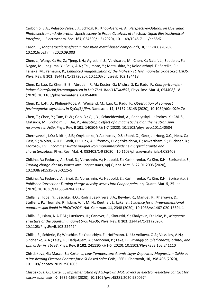Carbonio, E.A.; Velasco-Velez, J.J.; Schlögl, R.; Knop-Gericke, A., *Perspective-Outlook on Operando Photoelectron and Absorption Spectroscopy to Probe Catalysts at the Solid-Liquid Electrochemical Interface*, J. Electrochem. Soc. **167**, 054509/1-5 (2020), 10.1149/1945-7111/ab68d2

Caron, L., *Magnetocaloric effect in transition metal-based compounds*, **0**, 111-166 (2020), 10.1016/bs.hmm.2020.09.003

Chen, J.; Wang, X.; Hu, Z.; Tjeng, L.H.; Agrestini, S.; Valvidares, M.; Chen, K.; Nataf, L.; Baudelet, F.; Nagao, M.; Inaguma, Y.; Belik, A.A.; Tsujimoto, Y.; Matsushita, Y.; Kolodiazhnyi, T.; Sereika, R.; Tanaka, M.; Yamaura, K., *Enhanced magnetization of the highest- TC ferrimagnetic oxide Sr2CrOsO6*, Phys. Rev. B **102**, 184418/1-13 (2020), 10.1103/physrevb.102.184418

Chen, K.; Luo, C.; Chen, B. B.; Abrudan, R. M.; Koster, G.; Mishra, S. K.; Radu, F., *Charge-transferinduced interfacial ferromagnetism in La0.7Sr0.3MnO3/NdNiO3*, Phys. Rev. Mat. **4**, 054408/1-8 (2020), 10.1103/physrevmaterials.4.054408

Chen, K.; Lott, D.; Philippi-Kobs, A.; Weigand, M.; Luo, C.; Radu, F., *Observation of compact ferrimagnetic skyrmions in DyCo(3) film*, Nanoscale **12**, 18137-18143 (2020), 10.1039/d0nr02947e

Chen, T.; Chen, Y.; Tam, D.W.; Gao, B.; Qiu, Y.; Schneidewind, A.; Radelytskyi, I.; Prokes, K.; Chi, S.; Matsuda, M.; Broholm, C.; Dai, P., *Anisotropic effect of a magnetic field on the neutron spin resonance in FeSe*, Phys. Rev. B **101**, 140504(R)/1-7 (2020), 10.1103/physrevb.101.140504

Chernyavskii, I.O.; Nikitin, S.E.; Onykiienko, Y.A.; Inosov, D.S.; Stahl, Q.; Geck, J.; Hong, X.C.; Hess, C.; Gass, S.; Wolter, A.U.B.; Wolf, D.; Lubk, A.; Efremov, D.V.; Yokaichiya, F.; Aswartham, S.; Büchner, B.; Morozov, I.V., *Incommensurate magnet iron monophosphide FeP: Crystal growth and characterization*, Phys. Rev. Mat. **4**, 083403/1-9 (2020), 10.1103/physrevmaterials.4.083403

Chikina, A.; Fedorov, A.; Bhoi, D.; Voroshnin, V.; Haubold, E.; Kushnirenko, Y.; Kim, K.H.; Borisenko, S., *Turning charge-density waves into Cooper pairs*, npj Quant. Mat. **5**, 22.01.2005 (2020), 10.1038/s41535-020-0225-5

Chikina, A.; Fedorov, A.; Bhoi, D.; Voroshnin, V.; Haubold, E.; Kushnirenko, Y.; Kim, K.H.; Borisenko, S., *Publisher Correction: Turning charge-density waves into Cooper pairs*, npj Quant. Mat. **5**, 25.Jan (2020), 10.1038/s41535-020-0231-7

Chillal, S.; Iqbal, Y.; Jeschke, H.O.; Rodriguez-Rivera, J.A.; Bewley, R.; Manuel, P.; Khalyavin, D.; Steffens, P.; Thomale, R.; Islam, A. T. M. N.; Reuther, J.; Lake, B., *Evidence for a three-dimensional quantum spin liquid in PbCuTe2O6*, Nat. Commun. **11**, 2348 (2020), 10.1038/s41467-020-15594-1

Chillal, S.; Islam, N.A.T.M.; Luetkens, H.; Canevet, E.; Skourski, Y.; Khalyavin, D.; Lake, B., *Magnetic structure of the quantum magnet SrCuTe2O6*, Phys. Rev. B **102**, 224424/1-11 (2020), 10.1103/PhysRevB.102.224424

Chillal, S.; Schierle, E.; Weschke, E.; Yokaichiya, F.; Hoffmann, J.- U.; Volkova, O.S.; Vassiliev, A.N.; Sinchenko, A.A.; Lejay, P.; Hadj-Ajjem, A.; Monceau, P.; Lake, B., *Strongly coupled charge, orbital, and spin order in TbTe3*, Phys. Rev. B **102**, 241110(R)/1-6 (2020), 10.1103/PhysRevB.102.241110

Chistiakova, G.; Macco, B.; Korte, L., *Low-Temperature Atomic Layer Deposited Magnesium Oxide as a Passivating Electron Contact for c-Si-Based Solar Cells*, IEEE J. Photovolt, **10**, 398-406 (2020), 10.1109/jphotov.2019.2961603

Chistiakova, G.; Korte, L., *Implementation of ALD-grown MgO layers as electron-selective contact for silicon solar cells*, **0**, 1632-1634 (2020), 10.1109/pvsc45281.2020.9300974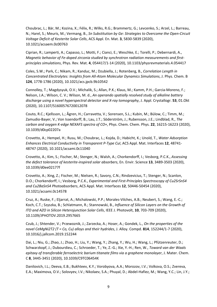Choubrac, L.; Bär, M.; Kozina, X.; Félix, R.; Wilks, R.G.; Brammertz, G.; Levcenko, S.; Arzel, L.; Barreau, N.; Harel, S.; Meuris, M.; Vermang, B., *Sn Substitution by Ge: Strategies to Overcome the Open-Circuit Voltage Deficit of Kesterite Solar Cells*, ACS Appl. En. Mat. **3**, 5830-5839 (2020), 10.1021/acsaem.0c00763

Ciprian, R.; Lamperti, A.; Capasso, L.; Motti, F.; Cianci, E.; Weschke, E.; Torelli, P.; Debernardi, A., *Magnetic behavior of Fe-doped zirconia studied by synchrotron radiation measurements and firstprinciples simulations*, Phys. Rev. Mat. **4**, 054417/1-14 (2020), 10.1103/physrevmaterials.4.054417

Coles, S.W.; Park, C.; Nikam, R.; Kanduc, M.; Dzubiella, J.; Rotenberg, B., *Correlation Length in Concentrated Electrolytes: Insights from All-Atom Molecular Dynamics Simulations*, J. Phys. Chem. B **124**, 1778-1786 (2020), 10.1021/acs.jpcb.9b10542

Connolley, T.; Magdysyuk, O.V.; Michalik, S.; Allan, P.K.; Klaus, M.; Kamm, P.H.; Garcia-Moreno, F.; Nelson, J.A.; Wilson, C. V.; Wilson, M. d., *An operando spatially resolved study of alkaline battery discharge using a novel hyperspectral detector and X-ray tomography*, J. Appl. Crystallogr. **53**, 01.Okt (2020), 10.1107/S1600576720012078

Couto, R.C.; Kjellsson, L.; Ågren, H.; Carravetta, V.; Sorensen, S.L.; Kubin, M.; Bülow, C.; Timm, M.; Zamudio-Bayer, V.; Von Issendorff, B.; Lau, J.T.; Söderström, J.; Rubensson, J.E.; Lindblad, R., *The carbon and oxygen K-edge NEXAFS spectra of CO+*, Phys. Chem. Chem. Phys. **22**, 16215-16223 (2020), 10.1039/d0cp02207a

Crovetto, A.; Hempel, H.; Rusu, M.; Choubrac, L.; Kojda, D.; Habicht, K.; Unold, T., *Water Adsorption Enhances Electrical Conductivity in Transparent P-Type CuI*, ACS Appl. Mat. Interfaces **12**, 48741- 48747 (2020), 10.1021/acsami.0c11040

Crovetto, A.; Kim, S.; Fischer, M.; Stenger, N.; Walsh, A.; Chorkendorff, I.; Vesborg, P.C.K., *Assessing the defect tolerance of kesterite-inspired solar absorbers*, En. Envir. Science **13**, 3489-3503 (2020), 10.1039/d0ee02177f

Crovetto, A.; Xing, Z.; Fischer, M.; Nielsen, R.; Savory, C.N.; Rindzevicius, T.; Stenger, N.; Scanlon, D.O.; Chorkendorff, I.; Vesborg, P.C.K., *Experimental and First-Principles Spectroscopy of Cu2SrSnS4 and Cu2BaSnS4 Photoabsorbers*, ACS Appl. Mat. Interfaces **12**, 50446-50454 (2020), 10.1021/acsami.0c14578

Cruz, A.; Ruske, F.; Eljarrat, A.; Michalowski, P.P.; Morales-Vilches, A.B.; Neubert, S.; Wang, E.-C.; Koch, C.T.; Szyszka, B.; Schlatmann, R.; Stannowski, B., *Influence of Silicon Layers on the Growth of ITO and AZO in Silicon Heterojunction Solar Cells*, IEEE J. Photovolt, **10**, 703-709 (2020), 10.1109/JPHOTOV.2019.2957665

Czub, J.; Shtender, V.; Przewoznik, J.; Zarzecka, A.; Hoser, A.; Gondek, L., *On the properties of the novel CeMgNi2T2 (T = Co, Cu) alloys and their hydrides*, J. Alloy. Compd. **814**, 152244/1-7 (2020), 10.1016/j.jallcom.2019.152244

Dai, L.; Niu, G.; Zhao, J.; Zhao, H.; Liu, Y.; Wang, Y.; Zhang, Y.; Wu, H.; Wang, L.; Pfützenreuter, D.; Schwarzkopf, J.; Dubourdieu, C.; Schroeder, T.; Ye, Z.-G.; Xie, Y.-H.; Ren, W., *Toward van der Waals epitaxy of transferable ferroelectric barium titanate films via a graphene monolayer*, J. Mater. Chem. C **8**, 3445-3451 (2020), 10.1039/C9TC06454K

Danilovich, I.L.; Deeva, E.B.; Bukhteev, K.Y.; Vorobyova, A.A.; Morozov, I.V.; Volkova, O.S.; Zvereva, E.A.; Maximova, O.V.; Solovyev, I.V.; Nikolaev, S.A.; Phuyal, D.; Abdel-Hafiez, M.; Wang, Y.C.; Lin, J.Y.;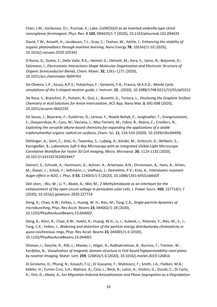Chen, J.M.; Gorbunov, D.I.; Puzniak, K.; Lake, *Co(NO3)(2) as an inverted umbrella-type chiral noncoplanar ferrimagnet*, Phys. Rev. B **102**, 094429/1-7 (2020), 10.1103/physrevb.102.094429

David, T.W.; Anizelli, H.; Jacobsson, T.J.; Gray, C.; Teahan, W.; Kettle, J., *Enhancing the stability of organic photovoltaics through machine learning*, Nano Energy **78**, 105342/1-10 (2020), 10.1016/j.nanoen.2020.105342

D'Avino, G.; Duhm, S.; Della Valle, R.G.; Heimel, G.; Oehzelt, M.; Kera, S.; Ueno, N.; Beljonne, D.; Salzmann, I., *Electrostatic Interactions Shape Molecular Organization and Electronic Structure of Organic Semiconductor Blends*, Chem. Mater. **32**, 1261–1271 (2020), 10.1021/acs.chemmater.9b04763

De Oliveira, L.P.; Souza, A.P.S.; Yokaichiya, F.; Genezini, F.A.; Franco, M.K.K.D., *Monte Carlo simulations of the S-shaped neutron guide*, J. Instrum. **15**, (2020), 10.1088/1748-0221/15/01/p01012

De Rosa, S.; Branchini, P.; Yivlialin, R.; Duò, L.; Bussetti, G.; Tortora, L., *Disclosing the Graphite Surface Chemistry in Acid Solutions for Anion Intercalation*, ACS App. Nano Mat. **3**, 691-698 (2020), 10.1021/acsanm.9b02220

De Sousa, J.; Bejarano, F.; Gutiérrez, D.; Leroux, Y.; Nowik-Boltyk, E.; Junghoefer, T.; Giangrisostomi, E.; Ovsyannikov, R.; Casu, M.; Veciana, J.; Mas-Torrent, M.; Fabre, B.; Rovira, C.; Crivillers, N., *Exploiting the versatile alkyne-based chemistry for expanding the applications of a stable triphenylmethyl organic radical on surfaces*, Chem. Sci. **11**, 516-524 (2020), 10.1039/c9sc04499j

Dehlinger, A.; Seim, C.; Stiel, H.; Twamley, S.; Ludwig, A.; Kördel, M.; Grötzsch, D.; Rehbein, S.; Kanngießer, B., *Laboratory Soft X-Ray Microscopy with an Integrated Visible-Light Microscope-Correlative Workflow for Faster 3D Cell Imaging*, Micro. Microanal. **26**, 1124-1132 (2020), 10.1017/s1431927620024447

Deinert, S.; Schrodt, A.; Hartmann, G.; Achner, A.; Artemyev, A.N.; Ehresmann, A.; Hans, A.; Ilchen, M.; Glaser, L.; Scholz, F.; Seltmann, J.; Viefhaus, J.; Demekhin, P.V.; Knie, A., *Interatomic resonant Auger effect in N2O*, J. Phys. B **53**, 224003/1-5 (2020), 10.1088/1361-6455/abbd2f

Deli shen, ; Wu, W.; Li, Y.; Abate, A.; Wei, M., *2-Methylimidazole as an interlayer for the enhancement of the open-circuit voltage in perovskite solar cells*, J. Power Sourc. **450**, 227714/1-7 (2020), 10.1016/j.jpowsour.2020.227714

Deng, X.; Chao, A.W.; Feikes, J.; Huang, W. H.; Ries, M.; Tang, C.X., *Single-particle dynamics of microbunching*, Phys. Rev Accel. Beams **23**, 044002/1-18 (2020), 10.1103/PhysRevAccelBeams.23.044002

Deng, X.; Klein, R.; Chao, A.W.; Hoehl, A.; Huang, W.H.; Li, J.; Kubeck, J.; Petenev, Y.; Ries, M.; S., I.; Tang, C.X.; Feikes, J., *Widening and distortion of the particle energy distributionby chromaticity in quasi-isochronous rings*, Phys. Rev Accel. Beams **23**, 044001/1-6 (2020), 10.1103/PhysRevAccelBeams.23.044001

Dhiman, I.; Ziesche, R.; Rilk, L.; Manke, I.; Hilger, A.; Radhakrishnan, B.; Burress, T.; Treimer, W.; Kardjilov, N., *Visualization of magnetic domain structure in FeSi based highpermeability steel plates by neutron Imaging*, Mater. Lett. **259**, 126816/1-6 (2020), 10.1016/j.matlet.2019.126816

Di Girolamo, D.; Phung, N.; Kosasih, F.U.; Di Giacomo, F.; Matteocci, F.; Smith, J.A.; Flatken, M.A.; Köbler, H.; Turren Cruz, S.H.; Mattoni, A.; Cinà, L.; Rech, B.; Latini, A.; Divitini, G.; Ducati, C.; Di Carlo, A.; Dini, D.; Abate, A., *Ion Migration-Induced Amorphization and Phase Segregation as a Degradation*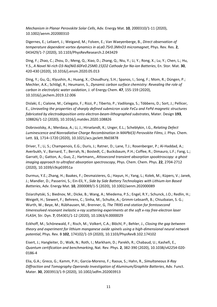*Mechanism in Planar Perovskite Solar Cells*, Adv. Energy Mat. **10**, 2000310/1-11 (2020), 10.1002/aenm.202000310

Digernes, E.; Leliaert, J.; Weigand, M.; Folven, E.; Van Waeyenberge, B., *Direct observation of temperature dependent vortex dynamics in aLa0.7Sr0.3MnO3 micromagnet*, Phys. Rev. Res. **2**, 043429/1-7 (2020), 10.1103/PhysRevResearch.2.043429

Ding, F.; Zhao, C.; Zhou, D.; Meng, Q.; Xiao, D.; Zhang, Q.; Niu, Y.; Li, Y.; Rong, X.; Lu, Y.; Chen, L.; Hu, Y.S., *A Novel Ni-rich O3-Na[Ni0.60Fe0.25M0.15]O2 Cathode for Na-ion Batteries*, En. Stor. Mat. **30**, 420-430 (2020), 10.1016/j.ensm.2020.05.013

Ding, Y.; Gu, Q.; Klyushin, A.; Huang, X.; Choudhury, S.H.; Spanos, I.; Song, F.; Mom, R.; Düngen, P.; Mechler, A.K.; Schlögl, R.; Heumann, S., *Dynamic carbon surface chemistry: Revealing the role of carbon in electrolytic water oxidation*, J. of Energy Chem. **47**, 155-159 (2020), 10.1016/j.jechem.2019.12.006

Dislaki, E.; Cialone, M.; Celegato, F.; Rizzi, P.; Tiberto, P.; Vadilonga, S.; Többens, D.; Sort, J.; Pellicer, E., *Unraveling the properties of sharply defined submicron scale FeCu and FePd magnetic structures fabricated by electrodeposition onto electron-beam-lithographed substrates*, Mater. Design **193**, 108826/1-12 (2020), 10.1016/j.matdes.2020.108826

Dobrovolsky, A.; Merdasa, A.; Li, J.; Hirselandt, K.; Unger, E.L.; Scheblykin, I.G., *Relating Defect Luminescence and Nonradiative Charge Recombination in MAPbI(3) Perovskite Films*, J. Phys. Chem. Lett. **11**, 1714–1720 (2020), 10.1021/acs.jpclett.9b03878

Driver, T.; Li, S.; Champenois, E.G.; Duris, J.; Ratner, D.; Lane, T.J.; Rosenberger, P.; Al-Haddad, A.; Averbukh, V.; Barnard, T.; Berrah, N.; Bostedt, C.; Bucksbaum, P.H.; Coffee, R.; Dimauro, L.F.; Fang, L.; Garratt, D.; Gatton, A.; Guo, Z.; Hartmann,, *Attosecond transient absorption spooktroscopy: a ghost imaging approach to ultrafast absorption spectroscopy*, Phys. Chem. Chem. Phys. **22**, 2704-2712 (2020), 10.1039/c9cp03951a

Durmus, Y.E.; Zhang, H.; Baakes, F.; Desmaizieres, G.; Hayun, H.; Yang, L.; Kolek, M.; Küpers, V.; Janek, J.; Mandler, D.; Passerini, S.; Ein-Eli, Y., *Side by Side Battery Technologies with Lithium-Ion Based Batteries*, Adv. Energy Mat. **10**, 2000089/1-5 (2020), 10.1002/aenm.202000089

Dziarzhytski, S.; Biednov, M.; Dicke, B.; Wang, A.; Miedema, P.S.; Engel, R.Y.; Schunck, J.O.; Redlin, H.; Weigelt, H.; Siewert, F.; Behrens, C.; Sinha, M.; Schulte, A.; Grimm-Lebsanft, B.; Chiuzbaian, S. G.; Wurth, W.; Beye, M.; Rübhausen, M.; Brenner, G, *The TRIXS end-station for femtosecond timeresolved resonant inelastic x-ray scattering experiments at the soft x-ray free-electron laser FLASH*, Str. Dyn. **7**, 054301/1-12 (2020), 10.1063/4.0000029

Eckhoff, M.; Schönewald, F.; Risch, M.; Volkert, C.A.; Blöchl, P.; Behler, J., *Closing the gap between theory and experiment for lithium manganese oxide spinels using a high-dimensional neural network potential*, Phys. Rev. B **102**, 174102/1-19 (2020), 10.1103/PhysRevB.102.174102

Eisert, J.; Hangleiter, D.; Walk, N.; Roth, I.; Markham, D.; Parekh, R.; Chabaud, U.; Kashefi, E., *Quantum certification and benchmarking*, Nat. Rev. Phys. **2**, 382-390 (2020), 10.1038/s42254-020- 0186-4

Elia, G.A.; Greco, G.; Kamm, P.H.; Garcia-Moreno, F.; Raoux, S.; Hahn, R., *Simultaneous X-Ray Diffraction and Tomography Operando Investigation of Aluminum/Graphite Batteries*, Adv. Funct. Mater. **30**, 2003913/1-9 (2020), 10.1002/adfm.202003913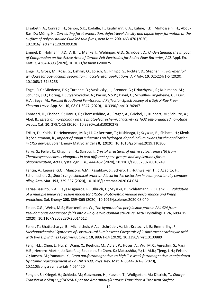Elizabeth, A.; Conradi, H.; Sahoo, S.K.; Kodalle, T.; Kaufmann, C.A.; Kühne, T.D.; Mirhosseini, H.; Abou-Ras, D.; Mönig, H., *Correlating facet orientation, defect-level density and dipole layer formation at the surface of polycrystalline CuInSe2 thin films*, Acta Mat. **200**, 463-470 (2020), 10.1016/j.actamat.2020.09.028

Emmel, D.; Hofmann, J.D.; Arlt, T.; Manke, I.; Wehinger, G.D.; Schröder, D., *Understanding the Impact of Compression on the Active Area of Carbon Felt Electrodes for Redox Flow Batteries*, ACS Appl. En. Mat. **3**, 4384-4393 (2020), 10.1021/acsaem.0c00075

Engel, J.; Gross, M.; Koss, G.; Lishilin, O.; Loisch, G.; Philipp, S.; Richter, D.; Stephan, F., *Polymer foil windows for gas-vacuum separation in accelerator applications*, AIP Adv. **10**, 025224/1-5 (2020), 10.1063/1.5143258

Engel, R.Y.; Miedema, P.S.; Turenne, D.; Vaskivskyi, I.; Brenner, G.; Dziarzhytski, S.; Kuhlmann, M.; Schunck, J.O.; Döring, F.; Styervoyedov, A.; Parkin, S.S.P.; David, C.; Schüßler-Langeheine, C.; Dürr, H.A.; Beye, M., *Parallel Broadband Femtosecond Reflection Spectroscopy at a Soft X-Ray Free-Electron Laser*, App. Sci. **10**, 08.01.6947 (2020), 10.3390/app10196947

Ennaceri, H.; Fischer, K.; Hanus, K.; Chemseddine, A.; Prager, A.; Griebel, J.; Kühnert, M.; Schulze, A.; Abel, B., *Effect of morphology on the photoelectrochemical activity of TiO2 self-organized nanotube arrays*, Cat. **10**, 279/1-15 (2020), 10.3390/catal10030279

Erfurt, D.; Koida, T.; Heinemann, M.D.; Li, C.; Bertram, T.; Nishinaga, J.; Szyszka, B.; Shibata, H.; Klenk, R.; Schlatmann, R., *Impact of rough substrates on hydrogen-doped indium oxides for the application in CIGS devices*, Solar Energy Mat Solar Cells **0**, (2020), 10.1016/j.solmat.2019.110300

Falke, S.; Feiler, C.; Chapman, H.; Sarrou, I., *Crystal structures of native cytochrome c(6) from Thermosynechococcus elongatus in two different space groups and implications for its oligomerization*, Acta Crystallogr. F **76**, 444-452 (2020), 10.1107/s2053230x20010249

Fantin, A.; Lepore, G.O.; Manzoni, A.M.; Kasatikov, S.; Scherb, T.; Huthwelker, T.; d'Acapito, F.; Schumacher, G., *Short-range chemical order and local lattice distortion in acompositionally complex alloy*, Acta Mat. **193**, 329-337 (2020), 10.1016/j.actamat.2020.04.034

Farias-Basulto, G.A.; Reyes-Figueroa, P.; Ulbrich, C.; Szyszka, B.; Schlatmann, R.; Klenk, R., *Validation of a multiple linear regression model for CIGSSe photovoltaic module performance and Pmpp prediction*, Sol. Energy **208**, 859–865 (2020), 10.1016/j.solener.2020.08.040

Feiler, C.G.; Weiss, M.S.; Blankenfeldt, W., *The hypothetical periplasmic protein PA1624 from Pseudomonas aeruginosa folds into a unique two-domain structure*, Acta Crystallogr. F **76**, 609-615 (2020), 10.1107/s2053230x20014612

Feiler, T.; Bhattacharya, B.; Michalchuk, A.A.L.; Schröder, V.; List-Kratochvil, E.; Emmerling, F., *Mechanochemical Syntheses of Isostructural Luminescent Cocrystals of 9-Anthracenecarboxylic Acid with two Dipyridines Coformers*, Cryst. **10**, 889/1-14 (2020), 10.3390/cryst10100889

Feng, H.L.; Chen, J.; Hu, Z.; Wang, X.; Reehuis, M.; Adler, P.; Hoser, A.; Wu, M.X.; Agrestini, S.; Vasili, H.B.; Herrero-Martin, J.; Nataf, L.; Baudelet, F.; Chen, K.; Matsushita, Y.; Li, M.R.; Tjeng, L.H.; Felser, C.; Jansen, M.; Yamaura, K., *From antiferromagnetism to high-T-c weak ferromagnetism manipulated by atomic rearrangement in Ba3NiOs2O9*, Phys. Rev. Mat. **4**, 064420/1-9 (2020), 10.1103/physrevmaterials.4.064420

Fengler, S.; Kriegel, H.; Schieda, M.; Gutzmann, H.; Klassen, T.; Wollgarten, M.; Dittrich, T., *Charge Transfer in c-Si(n(++))/TiO2(ALD) at the Amorphous/Anatase Transition: A Transient Surface*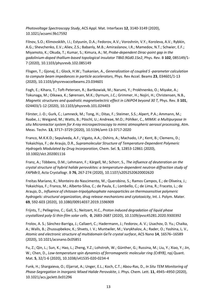*Photovoltage Spectroscopy Study*, ACS Appl. Mat. Interfaces **12**, 3140-3149 (2020), 10.1021/acsami.9b17592

Filnov, S.O.; Klimovskikh, I.I.; Estyunin, D.A.; Fedorov, A.V.; Voroshnin, V.Y.; Koroleva, A.V.; Rybkin, A.G.; Shevchenko, E.V.; Aliev, Z.S.; Babanly, M.B.; Amiraslanov, I.R.; Mamedov, N.T.; Schwier, E.F.; Miyamoto, K.; Okuda, T.; Kumar, S.; Kimura, A.; M, *Probe-dependent Dirac-point gap in the gadolinium-doped thallium-based topological insulator TlBi0.9Gd0.1Se2*, Phys. Rev. B **102**, 085149/1- 7 (2020), 10.1103/physrevb.102.085149

Flisgen, T.; Gjonaj, E.; Glock, H.W.; Tsakanian, A., *Generalization of coupled S -parameter calculation to compute beam impedances in particle accelerators*, Phys. Rev Accel. Beams **23**, 034601/1-13 (2020), 10.1103/physrevaccelbeams.23.034601

Fogh, E.; Kihara, T.; Toft-Petersen, R.; Bartkowiak, M.; Narumi, Y.; Prokhnenko, O.; Miyake, A.; Tokunaga, M.; Oikawa, K.; Sørensen, M.K.; Dyrnum, J.C.; Grimmer, H.; Nojiri, H.; Christensen, N.B., *Magnetic structures and quadratic magnetoelectric effect in LiNiPO4 beyond 30 T*, Phys. Rev. B **101**, 024403/1-12 (2020), 10.1103/physrevb.101.024403

Förster, J.-D.; Gurk, C.; Lamneck, M.; Tong, H.; Ditas, F.; Steimer, S.S.; Alpert, P.A.; Ammann, M.; Raabe, J.; Weigand, M.; Watts, B.; Pöschl, U.; Andreae, M.O.; Pöhlker, C., *MIMiX: a Multipurpose In situ Microreactor system for X-ray microspectroscopy to mimic atmospheric aerosol processing*, Atm. Meas. Techn. **13**, 3717–3729 (2020), 10.5194/amt-13-3717-2020

Franco, M.K.K.D.; Sepulveda, A.F.; Vigato, A.A.; Oshiro, A.; Machado, I.P.; Kent, B.; Clemens, D.; Yokaichiya, F.; de Araujo, D.R., *Supramolecular Structure of Temperature-Dependent Polymeric Hydrogels Modulated by Drug Incorporation*, Chem. Sel. **5**, 12853-12861 (2020), 10.1002/slct.202001116

Franz, A.; Többens, D.M.; Lehmann, F.; Kärgell, M.; Schorr, S., *The influence of deuteration on the crystal structure of hybrid halide perovskites: a temperature-dependent neutron diffraction study of FAPbBr3*, Acta Crystallogr. B **76**, 267-274 (2020), 10.1107/s2052520620002620

Freitas Mariano, K.; Monteiro do Nascimento, M.; Querobino, S.; Ramos Campos, E.; de Oliveira, J.; Yokaichiya, F.; Franco, M.; Alberto-Silva, C.; de Paula, E.; Lombello, C.; de Lima, R.; Fraceto, L.; de Araujo, D., *Influence of chitosan-tripolyphosphate nanoparticles on thermosensitive polymeric hydrogels: structural organization, drug release mechanisms and cytotoxicity*, Int. J. Polym. Mater. **69**, 592-603 (2020), 10.1080/00914037.2019.1596909

Frijnts, T.; Pellegrino, C.; Gall, S.; Neitzert, H.C., *Proton induced degradation of liquid phase crystallized poly-Si thin-film solar cells*, **0**, 2683-2687 (2020), 10.1109/pvsc45281.2020.9300392

Frolov, A. S.; Sánchez-Barriga, J.; Callaert, C.; Hadermann, J.; Fedorov, A. V.; Usachov, D. Yu.; Chaika, A.; Walls, B.; Zhussupbekov, K.; Shvets, I. V.; Muntwiler, M.; Varykhalov, A.; Rader, O.; Yashina, L. V., *Atomic and electronic structure of multidomain GeTe crystal surface*, ACS Nano **14**, 16576–16589 (2020), 10.1021/acsnano.0c05851

Fu, Z.; Qin, L.; Sun, K.; Hao, L.; Zheng, Y.Z.; Lohstroh, W.; Günther, G.; Russina, M.; Liu, Y.; Xiao, Y.; Jin, W.; Chen, D., *Low-temperature spin dynamics of ferromagnetic molecular ring {Cr8Y8}*, npj Quant. Mat. **5**, 32/1-6 (2020), 10.1038/s41535-020-0234-4

Funk, H.; Shargaieva, O.; Eljarrat, A.; Unger, E.L.; Koch, C.T.; Abou-Ras, D., *In Situ TEM Monitoring of Phase-Segregation in Inorganic Mixed Halide Perovskite*, J. Phys. Chem. Lett. **11**, 4945–4950 (2020), 10.1021/acs.jpclett.0c01296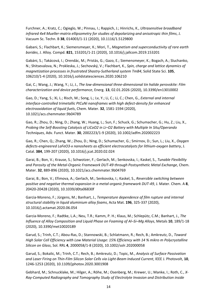Furchner, A.; Kratz, C.; Ogieglo, W.; Pinnau, I.; Rappich, J.; Hinrichs, K., *Ultrasensitive broadband infrared 4x4 Mueller-matrix ellipsometry for studies of depolarizing and anisotropic thin films*, J. Vacuum Sc. Techn. B **38**, 014003/1-11 (2020), 10.1116/1.5129800

Gabani, S.; Flachbart, K.; Siemensmeyer, K.; Mori, T., *Magnetism and superconductivity of rare earth borides*, J. Alloy. Compd. **821**, 153201/1-21 (2020), 10.1016/j.jallcom.2019.153201

Gabáni, S.; Takácová, I.; Orendác, M.; Pristás, G.; Gazo, E.; Siemensmeyer, K.; Bogach, A.; Sluchanko, N.; Shitsevalova, N.; Prokleska, J.; Sechovský, V.; Flachbart, K., *Spin, charge and lattice dynamics of magnetization processes in frustrated Shastry-Sutherland system TmB4*, Solid State Sci. **105**, 106210/1-4 (2020), 10.1016/j.solidstatesciences.2020.106210

Gai, C.; Wang, J.; Wang, Y.; Li, J., *The low-dimensional three-dimensional tin halide perovskite: Film characterization and device performance*, Energ. **13**, 02.01.2026 (2020), 10.3390/en13010002

Gao, D.; Yang, S.; Xi, L.; Risch, M.; Song, L.; Lv, Y.; Li, C.; Li, C.; Chen, G., *External and internal interface-controlled trimetallic PtCuNi nanoframes with high defect-density for enhanced electrooxidation of liquid fuels*, Chem. Mater. **32**, 1581-1594 (2020), 10.1021/acs.chemmater.9b04789

Gao, R.; Zhou, D.; Ning, D.; Zhang, W.; Huang, L.; Sun, F.; Schuck, G.; Schumacher, G.; Hu, Z.; Liu, X., *Probing the Self-Boosting Catalysis of LiCoO2 in Li–O2 Battery with Multiple In Situ/Operando Techniques*, Adv. Funct. Mater. **30**, 2002223/1-9 (2020), 10.1002/adfm.202002223

Gao, R.; Chen, Q.; Zhang, W.; Zhou, D.; Ning, D.; Schumacher, G.; Smirnov, D.; Sun, L.; Liu, X., *Oxygen defects-engineered LaFeO3-x nanosheets as efficient electrocatalysts for lithium-oxygen battery*, J. Catal. **384**, 199-207 (2020), 10.1016/j.jcat.2020.02.024

Garai, B.; Bon, V.; Krause, S.; Schwotzer, F.; Gerlach, M.; Senkovska, I.; Kaskel, S., *Tunable Flexibility and Porosity of the Metal-Organic Framework DUT-49 through Postsynthetic Metal Exchange*, Chem. Mater. **32**, 889-896 (2020), 10.1021/acs.chemmater.9b04769

Garai, B.; Bon, V.; Efimova, A.; Gerlach, M.; Senkovska, I.; Kaskel, S., *Reversible switching between positive and negative thermal expansion in a metal-organic framework DUT-49*, J. Mater. Chem. A **8**, 20420-20428 (2020), 10.1039/d0ta06830f

Garcia-Moreno, F.; Jürgens, M.; Banhart, J., *Temperature dependence of film rupture and internal structural stability in liquid aluminium alloy foams*, Acta Mat. **196**, 325-337 (2020), 10.1016/j.actamat.2020.06.054

Garcia-Moreno, F.; Radtke, L.A.; Neu, T.R.; Kamm, P. H.; Klaus, M.; Schlepütz, C.M.; Banhart, J., *The Influence of Alloy Composition and Liquid Phase on Foaming of Al–Si–Mg Alloys*, Metals **10**, 189/1-18 (2020), 10.3390/met10020189

Garud, S.; Trinh, C.T.; Abou-Ras, D.; Stannowski, B.; Schlatmann, R.; Rech, B.; Amkreutz, D., *Toward High Solar Cell Efficiency with Low Material Usage: 15% Efficiency with 14 % mikro m Polycrystalline Silicon on Glass*, Sol. RRL **4**, 2000058/1-8 (2020), 10.1002/solr.202000058

Garud, S.; Bokalic, M.; Trinh, C.T.; Rech, B.; Amkreutz, D.; Topic, M., *Analysis of Surface Passivation and Laser Firing on Thin-Film Silicon Solar Cells via Light-Beam Induced Current*, IEEE J. Photovolt, **10**, 1246-1253 (2020), 10.1109/jphotov.2020.3001908

Gebhard, M.; Schnucklake, M.; Hilger, A.; Röhe, M.; Osenberg, M.; Krewer, U.; Manke, I.; Roth, C., *X-Ray-Computed Radiography and Tomography Study of Electrolyte Invasion and Distribution inside*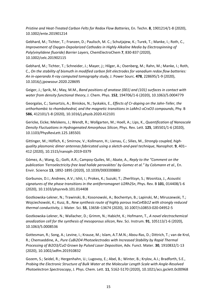*Pristine and Heat-Treated Carbon Felts for Redox Flow Batteries*, En. Techn. **8**, 1901214/1-8 (2020), 10.1002/ente.201901214

Gebhard, M.; Tichter, T.; Franzen, D.; Paulisch, M. C.; Schutjajew, K.; Turek, T.; Manke, I.; Roth, C., *Improvement of Oxygen-Depolarized Cathodes in Highly Alkaline Media by Electrospinning of Poly(vinylidene fluoride) Barrier Layers*, ChemElectroChem **7**, 830-837 (2020), 10.1002/celc.201902115

Gebhard, M.; Tichter, T.; Schneider, J.; Mayer, j:; Hilger, A.; Osenberg, M.; Rahn, M.; Manke, I.; Roth, C., *On the stability of bismuth in modified carbon felt electrodes for vanadium redox flow batteries: An in-operando X-ray computed tomography study*, J. Power Sourc. **478**, 228695/1-9 (2020), 10.1016/j.jpowsour.2020.228695

Geiger, J.; Sprik, M.; May, M.M., *Band positions of anatase (001) and (101) surfaces in contact with water from density functional theory*, J. Chem. Phys. **152**, 194706/1-6 (2020), 10.1063/5.0004779

Georgalas, C.; Samartzis, A.; Biniskos, N.; Syskakis, E., *Effects of Cr-doping on the Jahn-Teller, the orthorhombic to rhombohedral, and the magnetic transitions in LaMn1-xCrxO3 compounds*, Phy. B **586**, 412101/1-8 (2020), 10.1016/j.physb.2020.412101

Gericke, Eicke; Melskens, J.; Wendt, R.; Wollgarten, M.; Hoell, A.; Lips, K., *Quantification of Nanoscale Density Fluctuations in Hydrogenated Amorphous Silicon*, Phys. Rev. Lett. **125**, 185501/1-6 (2020), 10.1103/PhysRevLett.125.185501

Gittinger, M.; Höflich, K.; Smirnov, V.; Kollmann, H.; Lienau, C.; Silies, M., *Strongly coupled, highquality plasmonic dimer antennas fabricated using a sketch-and-peel technique*, Nanophot. **9**, 401– 412 (2020), 10.1515/nanoph-2019-0379

Gómez, A.; Wang, Q.; Goñi, A.R.; Campoy-Quiles, M.; Abate, A., *Reply to the "Comment on the publication 'Ferroelectricity-free lead halide perovskites' by Gomez et al." by Colsmann et al.*, En. Envir. Science **13**, 1892-1895 (2020), 10.1039/D0EE00880J

Gorbunov, D.I.; Andreev, A.V.; Ishii, I.; Prokes, K.; Suzuki, T.; Zherlitsyn, S.; Wosnitza, J., *Acoustic signatures of the phase transitions in the antiferromagnet U2Rh2Sn*, Phys. Rev. B **101**, 014408/1-6 (2020), 10.1103/physrevb.101.014408

Gostkowska-Lekner, N.; Trawinski, B.; Kosonowski, A.; Bochentyn, B.; Lapinski, M.; Miruszewski, T.; Wojciechowski, K.; Kusz, B., *New synthesis route of highly porous InxCo4Sb12 with strongly reduced thermal conductivity*, J. Mater. Sci. **55**, 13658–13674 (2020), 10.1007/s10853-020-04952-5

Gostkowska-Lekner, N.; Wallacher, D.; Grimm, N.; Habicht, K.; Hofmann, T., *A novel electrochemical anodization cell for the synthesis of mesoporous silicon*, Rev. Sci. Instrum. **91**, 105113/1-6 (2020), 10.1063/5.0008536

Gottesman, R.; Song, A.; Levine, I.; Krause, M.; Islam, A.T.M.N.; Abou-Ras, D.; Dittrich, T.; van de Krol, R.; Chemseddine, A., *Pure CuBi2O4 Photoelectrodes with Increased Stability by Rapid Thermal Processing of Bi2O3/CuO Grown by Pulsed Laser Deposition*, Adv. Funct. Mater. **30**, 1910832/1-13 (2020), 10.1002/adfm.201910832

Gozem, S.; Seidel, R.; Hergenhahn, U.; Lugovoy, E.; Abel, B.; Winter, B.; Krylov, A.I.; Bradforth, S.E., *Probing the Electronic Structure of Bulk Water at the Molecular Length Scale with Angle-Resolved Photoelectron Spectroscopy*, J. Phys. Chem. Lett. **11**, 5162-5170 (2020), 10.1021/acs.jpclett.0c00968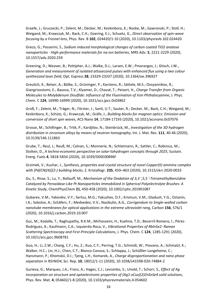Graefe, J.; Gruszecki, P.; Zelent, M.; Decker, M.; Keskinbora, K.; Noske, M.; Gawronski, P.; Stoll, H.; Weigand, M.; Krawczyk, M.; Back, C.H.; Goering, E.J.; Schuetz, G., *Direct observation of spin-wave focusing by a Fresnel lens*, Phys. Rev. B **102**, 024420/1-10 (2020), 10.1103/physrevb.102.024420

Greco, G.; Passerini, S., *Sodium induced morphological changes of carbon coated TiO2 anatase nanoparticles - High-performance materials for na-ion batteries*, MRS Adv. **5**, 2221-2229 (2020), 10.1557/adv.2020.259

Greening, D.; Weaver, B.; Pettipher, A.J.; Walke, D.J.; Larsen, E.W.; Pmarangos, J.; Gtisch, J.W., *Generation and measurement of isolated attosecond pulses with enhanced flux using a two colour synthesized laser field*, Opt. Express **28**, 23329-23337 (2020), 10.1364/oe.396927

Greulich, K.; Belser, A.; Bölke, S.; Grüninger, P.; Karstens, R.; Sättele, M.S.; Ovsyannikov, R.; Giangrisostomi, E.; Basova, T.V.; Klyamer, D.; Chassé, T.; Peisert, H., *Charge Transfer from Organic Molecules to Molybdenum Disulfide: Influence of the Fluorination of Iron Phthalocyanine*, J. Phys. Chem. C **124**, 16990-16999 (2020), 10.1021/acs.jpcc.0c03862

Groß, F.; Zelent, M.; Träger, N.; Förster, J.; Sanli, U.T.; Sauter, R.; Decker, M.; Back, C.H.; Weigand, M.; Keskinbora, K.; Schütz, G.; Krawczyk, M.; Gräfe, J., *Building blocks for magnon optics: Emission and conversion of short spin waves*, ACS Nano **14**, 17184-17193 (2020), 10.1021/acsnano.0c07076

Grosse, M.; Schillinger, B.; Trtik, P.; Kardjilov, N.; Steinbrück, M., *Investigation of the 3D hydrogen distribution in zirconium alloys by means of neutron tomography*, Int. J. Mat. Res. **111**, 40-46 (2020), 10.3139/146.111863

Grube, T.; Reul, J.; Reuß, M.; Calnan, S.; Monnerie, N.; Schlatmann, R.; Sattler, C.; Robinius, M.; Stolten, D., *A techno-economic perspective on solar-tohydrogen concepts through 2025*, Sustain. Energ. Fuels **4**, 5818-5834 (2020), 10.1039/D0SE00896F

Grzimek, V.; Kuchar, J., *Synthesis, properties and crystal structure of novel Copper(II) ammine complex with [Pd(CN)(4)](2-) building blocks*, Z. Kristallogr. **235**, 459–463 (2020), 10.1515/zkri-2020-0033

Gu, S.; Risse, S.; Lu, Y.; Ballauff, M., *Mechanism of the Oxidation of 3,3 ',5,5 '-Tetramethylbenzidine Catalyzed by Peroxidase-Like Pt Nanoparticles Immobilized in Spherical Polyelectrolyte Brushes: A Kinetic Study*, ChemPhysChem **21**, 450-458 (2020), 10.1002/cphc.201901087

Gubarev, V.M.; Yakovlev, V.Y.; Sertsu, M.G.; Yakushev, O.F.; Krivtsun, V.M.; Gladush, Y.G.; Ostanin, I.A.; Sokolov, A.; Schäfers, F.; Medvedev, V.V.; Nasibulin, A.G., *Corrigendum to Single-walled carbon nanotube membranes for optical applications in the extreme ultraviolet rang*, Carbon **156**, 576/1 (2020), 10.1016/j.carbon.2019.10.007

Guc, M.; Kodalle, T.; Raghupathy, R.K.M.; Mirhosseini, H.; Kuehne, T.D.; Becerril-Romero, I.; Pérez-Rodríguez, A.; Kaufmann, C.A.; Izquierdo-Roca, V., *Vibrational Properties of RbInSe2: Raman Scattering Spectroscopy and First-Principle Calculations*, J. Phys. Chem. C **124**, 1285-1291 (2020), 10.1021/acs.jpcc.9b08781

Guo, H.; Li, Z.W.; Chang, C.F.; Hu, Z.; Kuo, C.Y.; Perring, T.G.; Schmidt, W.; Piovano, A.; Schmalzl, K.; Walker, H.C.; Lin, H.J.; Chen, C.T.; Blanco-Canosa, S.; Schlappa, J.; Schüßler-Langeheine, C.; Hansmann, P.; Khomskii, D.I.; Tjeng, L.H.; Komarek, A., *Charge disproportionation and nano phase separation in RSrNiO4*, Sci. Rep. **10**, 18012/1-11 (2020), 10.1038/s41598-020-74884-2

Gurieva, G.; Marquez, J.A.; Franz, A.; Hages, C.J.; Levcenko, S.; Unold, T.; Schorr, S., *Effect of Ag incorporation on structure and optoelectronic properties of (Ag1-xCux)(2)ZnSnSe4 solid solutions*, Phys. Rev. Mat. **4**, 054602/1-8 (2020), 10.1103/physrevmaterials.4.054602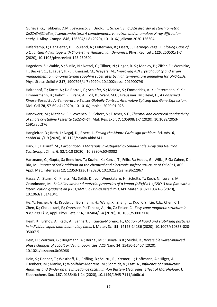Gurieva, G.; Többens, D.M.; Levcenco, S.; Unold, T.; Schorr, S., *Cu/Zn disorder in stoichiometric Cu2ZnSn(S1-xSex)4 semiconductors: A complementary neutron and anomalous X-ray diffraction study*, J. Alloy. Compd. **846**, 156304/1-8 (2020), 10.1016/j.jallcom.2020.156304

Haferkamp, J.; Hangleiter, D.; Bouland, A.; Fefferman, B.; Eisert, J.; Bermejo-Vega, J., *Closing Gaps of a Quantum Advantage with Short-Time Hamiltonian Dynamics*, Phys. Rev. Lett. **125**, 250501/1-7 (2020), 10.1103/physrevlett.125.250501

Hagedorn, S.; Walde, S.; Susilo, N.; Netzel, C.; Tillner, N.; Unger, R.-S.; Manley, P.; Ziffer, E.; Wernicke, T.; Becker, C.; Lugauer, H. - J.; Kneissel, M.; Weyers, M., *Improving AlN crystal quality and strain management on nano-patterned sapphire substrates by high temperature annealing for UVC-LEDs*, Phys. Status Solidi A **217**, 1900796/1-7 (2020), 10.1002/pssa.201900796

Haltenhof, T.; Kotte, A.; De Bortoli, F.; Schiefer, S.; Meinke, S.; Emmerichs, A.-K.; Petermann, K. K.; Timmermann, B.; Imhof, P.; Franz, A.; Loll, B.; Wahl, M.C.; Preussner, M.; Heyd, F., *A Conserved Kinase-Based Body-Temperature Sensor Globally Controls Alternative Splicing and Gene Expression*, Mol. Cell **78**, 57-69.e4 (2020), 10.1016/j.molcel.2020.01.028

Handwerg, M.; Mitdank, R.; Levcenco, S.; Schorr, S.; Fischer, S.F., *Thermal and electrical conductivity of single crystalline kesterite Cu2ZnSnS4*, Mat. Res. Expr. **7**, 105908/1-7 (2020), 10.1088/2053- 1591/abc276

Hangleiter, D.; Roth, I.; Nagaj, D.; Eisert, J., *Easing the Monte Carlo sign problem*, Sci. Adv. **6**, eabb8341/1-9 (2020), 10.1126/sciadv.abb8341

Härk, E.; Ballauff, M., *Carbonaceous Materials Investigated by Small-Angle X-ray and Neutron Scattering*, JCI Ins. **6**, 82/1-18 (2020), 10.3390/c6040082

Hartmann, C.; Gupta, S.; Bendikov, T.; Kozina, X.; Kunze, T.; Félix, R.; Hodes, G.; Wilks, R.G.; Cahen, D.; Bär, M., *Impact of SnF2 addition on the chemical and electronic surface structure of CsSnBr3*, ACS Appl. Mat. Interfaces **12**, 12353-12361 (2020), 10.1021/acsami.9b22967

Hassa, A.; Sturm, C.; Kneiss, M.; Splith, D.; von Wenckstern, H.; Schultz, T.; Koch, N.; Lorenz, M.; Grundmann, M., *Solubility limit and material properties of a kappa-(Al(x)Ga1-x)(2)O-3 thin film with a lateral cation gradient on (00.1)Al2O3 by tin-assisted PLD*, APL Mater. **8**, 021103/1-6 (2020), 10.1063/1.5141041

He, Y.; Fecher, G.H.; Kroder, J.; Borrmann, H.; Wang, X.; Zhang, L.; Kuo, C.Y.; Liu, C.E.; Chen, C.T.; Chen, K.; Choueikani, F.; Ohresser, P.; Tanaka, A.; Hu, Z.; Felser, C., *Easy-cone magnetic structure in (Cr0.9B0.1)Te*, Appl. Phys. Lett. **116**, 102404/1-4 (2020), 10.1063/5.0002118

Heim, K.; Ershov, A.; Rack, A.; Banhart, J.; Garcia-Moreno, F., *Motion of liquid and stabilising particles in individual liquid aluminium alloy films*, J. Mater. Sci. **55**, 14125-14136 (2020), 10.1007/s10853-020- 05007-5

Hein, D.; Wartner, G.; Bergmann, A.; Bernal, M.; Cuenya, B.R.; Seidel, R., *Reversible water-induced phase changes of cobalt oxide nanoparticles*, ACS Nano **14**, 15450-15457 (2020), 10.1021/acsnano.0c06066

Hein, S.; Danner, T.; Westhoff, D.; Prifling, B.; Scurtu, R.; Kremer, L.; Hoffmann, A.; Hilger, A.; Osenberg, M.; Manke, I.; Wohlfahrt-Mehrens, M.; Schmidt, V.; Latz, A., *Influence of Conductive Additives and Binder on the Impedance ofLithium-Ion Battery Electrodes: Effect of Morphology*, J. Electrochem. Soc. **167**, 013546/1-14 (2020), 10.1149/1945-7111/ab6b1d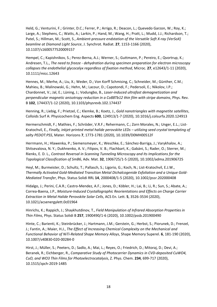Held, G.; Venturini, F.; Grinter, D.C.; Ferrer, P.; Arrigo, R.; Deacon, L.; Quevedo Garzon, W.; Roy, K.; Large, A.; Stephens, C.; Watts, A.; Larkin, P.; Hand, M.; Wang, H.; Pratt, L.; Mudd, J.J.; Richardson, T.; Patel, S.; Hillman, M.; Scott, S., *Ambient-pressure endstation of the Versatile Soft X-ray (VerSoX) beamline at Diamond Light Source*, J. Synchrot. Radiat. **27**, 1153-1166 (2020), 10.1107/s1600577520009157

Hempel, C.; Kapishnikov, S.; Perez-Berna, A.J.; Werner, S.; Guttmann, P.; Pereiro, E.; Qvortrup, K.; Andresen, T.L., *The need to freeze - dehydration during specimen preparation for electron microscopy collapses the endothelial glycocalyx regardless of fixation method*, Microc. **27**, e12643/1-11 (2020), 10.1111/micc.12643

Hennes, M.; Merhe, A.; Liu, X.; Weder, D.; Von Korff Schmising, C.; Schneider, M.; Günther, C.M.; Mahieu, B.; Malinowski, G.; Hehn, M.; Lacour, D.; Capotondi, F.; Pedersoli, E.; Nikolov, I.P.; Chardonnet, V.; Jal, E.; Lüning, J.; Vodungbo, B., *Laser-induced ultrafast demagnetization and perpendicular magnetic anisotropy reduction in a Co88Tb12 thin film with stripe domains*, Phys. Rev. B **102**, 174437/1-12 (2020), 10.1103/physrevb.102.174437

Henning, R.; Liebig, F.; Prietzel, C.; Klemke, B.; Koetz, J., *Gold nanotriangles with magnetite satellites*, Colloids Surf A: Physicochem Eng. Aspects **600**, 124913/1-7 (2020), 10.1016/j.colsurfa.2020.124913

Hermerschmidt, F.; Mathies, F.; Schröder, V.R.F.; Rehermann, C.; Zorn Morales, N.; Unger, E.L.; List-Kratochvil, E., *Finally, inkjet-printed metal halide perovskite LEDs – utilizing seed crystal templating of salty PEDOT:PSS*, Mater. Horizons **7**, 1773-1781 (2020), 10.1039/D0MH00512F

Herrmann, H.; Hlawenka, P.; Siemensmeyer, K.; Weschke, E.; Sánchez-Barriga, J.; Varykhalov, A.; Shitsevalova, N. Y.; Dukhnenko, A. V.; Filipov, V. B.; Flachbart, K.; Gabáni, S.; Rader, O.; Sterrer, M.; Rienks, E. D. L., *Contrast Reversal in Scanning Tunneling Microscopy and Its Implications for the Topological Classification of SmB6*, Adv. Mat. **32**, 1906725/1-5 (2020), 10.1002/adma.201906725

Heyl, M.; Burmeister, D.; Schultz, T.; Pallasch, S.; Ligorio, G.; Koch, N.; List-Kratochvil, E.J.W., *Thermally Activated Gold-Mediated Transition Metal Dichalcogenide Exfoliation and a Unique Gold-Mediated Transfer*, Phys. Status Solidi RRL **14**, 2000408/1-5 (2020), 10.1002/pssr.202000408

Hidalgo, J.; Perini, C.A.R.; Castro-Mendez, A.F.; Jones, D.; Köbler, H.; Lai, B.; Li, R.; Sun, S.; Abate, A.; Correa-Baena, J.P., *Moisture-Induced Crystallographic Reorientations and Effects on Charge Carrier Extraction in Metal Halide Perovskite Solar Cells*, ACS En. Lett. **5**, 3526-3534 (2020), 10.1021/acsenergylett.0c01964

Hinrichs, K.; Rappich, J.; Shaykhutdinov, T., *Field Manipulation of Infrared Absorption Properties in Thin Films*, Phys. Status Solidi B **257**, 1900490/1-6 (2020), 10.1002/pssb.201900490

Hinte, C.; Barienti, K.; Steinbrücker, J.; Hartmann, J.M.; Gerstein, G.; Herbst, S.; Piorunek, D.; Frenzel, J.; Fantin, A.; Maier, H.J., *The Effect of Increasing Chemical Complexity on the Mechanical and Functional Behavior of NiTi-Related Shape Memory Alloys*, Shape Memory Superel. **6**, 181-190 (2020), 10.1007/s40830-020-00284-0

Hirst, J.; Müller, S.; Peeters, D.; Sadlo, A.; Mai, L.; Reyes, O.; Friedrich, D.; Mitoraj, D.; Devi, A.; Beranek, R.; Eichberger, R., *Comparative Study of Photocarrier Dynamics in CVD-deposited CuWO4, CuO, and WO3 Thin Films for Photoelectrocatalysis*, Z. Phys. Chem. **234**, 699-717 (2020), 10.1515/zpch-2019-1485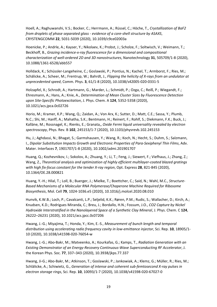Hoell, A.; Raghuwanshi, V.S.; Bocker, C.; Herrmann, A.; Rüssel, C.; Höche, T., *Crystallization of BaF2 from droplets of phase separated glass - evidence of a core-shell structure by ASAXS*, CRYSTENGCOMM **22**, 5031-5039 (2020), 10.1039/c9ce02003a

Hoenicke, P.; Andrle, A.; Kayser, Y.; Nikolaev, K.; Probst, J.; Scholze, F.; Soltwisch, V.; Weimann, T.; Beckhoff, B., *Grazing incidence-x-ray fluorescence for a dimensional and compositional characterization of well-ordered 2D and 3D nanostructures*, Nanotechnology **31**, 505709/1-8 (2020), 10.1088/1361-6528/abb557

Holldack, K.; Schüssler-Langeheine, C.; Goslawski, P.; Pontius, N.; Kachel, T.; Armborst, F.; Ries, M.; Schälicke, A.; Scheer, M.; Frentrup, W.; Bahrdt, J., *Flipping the helicity of X-rays from an undulator at unprecedented speed*, Comm. Phys. **3**, 61/1-8 (2020), 10.1038/s42005-020-0331-5

Holzapfel, X.; Schrodt, A.; Hartmann, G.; Marder, L.; Schmidt, P.; Ozga, C.; Reiß, P.; Wiegandt, F.; Ehresmann, A.; Hans, A.; Knie, A., *Determination of Mean Cluster Sizes by Fluorescence Detection upon Site-Specific Photoexcitation*, J. Phys. Chem. A **124**, 5352-5358 (2020), 10.1021/acs.jpca.0c02726

Horio, M.; Kramer, K.P.; Wang, Q.; Zaidan, A.; Von Arx, K.; Sutter, D.; Matt, C.E.; Sassa, Y.; Plumb, N.C.; Shi, M.; Hanff, A.; Mahatha, S.K.; Bentmann, H.; Reinert, F.; Rohlf, S.; Diekmann, F.K.; Buck, J.; Kalläne, M.; Rossnagel, K.; Rienks, E.; Granata,, *Oxide Fermi liquid universality revealed by electron spectroscopy*, Phys. Rev. B **102**, 245153/1-7 (2020), 10.1103/physrevb.102.245153

Hu, J.; Aghdassi, N.; Bhagat, S.; Garmshausen, Y.; Wang, R.; Koch, N.; Hecht, S.; Duhm, S.; Salzmann, I., *Dipolar Substitution Impacts Growth and Electronic Properties of Para-Sexiphenyl Thin Films*, Adv. Mater. Interfaces **7**, 1901707/1-8 (2020), 10.1002/admi.201901707

Huang, Q.; Kozhevnikov, I.; Sokolov, A.; Zhuang, Y.; Li, T.; Feng, J.; Siewert, F.; Viefhaus, J.; Zhang, Z.; Wang, Z., *Theoretical analysis and optimization of highly efficient multilayer-coated blazed gratings with high fix-focus constant for the tender X-ray region*, Opt. Express **28**, 821-845 (2020), 10.1364/OE.28.000821

Huang, Y.-H.; Hilal, T.; Loll, B.; Buerger, J.; Mielke, T.; Boettcher, C.; Said, N.; Wahl, M.C., *Structure-Based Mechanisms of a Molecular RNA Polymerase/Chaperone Machine Required for Ribosome Biosynthesis*, Mol. Cell **79**, 1024-1036.e5 (2020), 10.1016/j.molcel.2020.08.010

Hunvik, K.W.B.; Loch, P.; Cavalcanti, L.P.; Seljelid, K.K.; Røren, P.M.; Rudic, S.; Wallacher, D.; Kirch, A.; Knudsen, K.D.; Rodrigues Miranda, C.; Breu, J.; Bordallo, H.N.; Fossum, J.O., *CO2 Capture by Nickel Hydroxide Interstratified in the Nanolayered Space of a Synthetic Clay Mineral*, J. Phys. Chem. C **124**, 26222–26231 (2020), 10.1021/acs.jpcc.0c07206

Hwang, J.-G.; Miyajima, T.; Honda, Y.; Kim, E.-S., *Measurement of bunch length and temporal distribution using accelerating radio frequency cavity in low-emittance injector*, Sci. Rep. **10**, 18905/1- 10 (2020), 10.1038/s41598-020-76054-w

Hwang, J.-G.; Abo-Bakr, M.; Matveenko, A.; Kourkafas, G.; Kamps, T., *Radiation Generation with an Existing Demonstrator of an Energy-Recovery Continuous-Wave Superconducting RF Accelerator*, J. the Korean Phys. Soc. **77**, 337–343 (2020), 10.3938/jkps.77.337

Hwang, Ji-G.; Abo-Bakr, M.; Atkinson, T.; Goslawski, P.; Jankowiak, A.; Klemz, G.; Müller, R.; Ries, M.; Schlälicke, A.; Schiwietz, G., *Generation of intense and coherent sub-femtosecond X-ray pulses in electron storage rings*, Sci. Rep. **10**, 10093/1-7 (2020), 10.1038/s41598-020-67027-0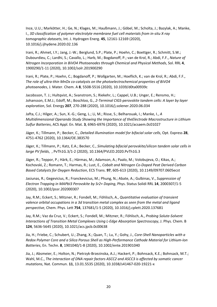Ince, U.U.; Markötter, H.; Ge, N.; Klages, M.; Haußmann, J.; Göbel, M.; Scholta, J.; Bazylak, A.; Manke, I., *3D classification of polymer electrolyte membrane fuel cell materials from in-situ X-ray tomographic datasets*, Int. J. Hydrogen Energ. **45**, 12161-12169 (2020), 10.1016/j.ijhydene.2020.02.136

Irani, R.; Ahmet, I.Y.; Jang, J.-W.; Berglund, S.P.; Plate, P.; Hoehn, C.; Boettger, R.; Schmitt, S.W.; Dubourdieu, C.; Lardhi, S.; Cavallo, L.; Harb, M.; Bogdanoff, P.; van de Krol, R.; Abdi, F.F., *Nature of Nitrogen Incorporation in BiVO4 Photoanodes through Chemical and Physical Methods*, Sol. RRL **4**, 1900290/1-11 (2020), 10.1002/solr.201900290

Irani, R.; Plate, P.; Hoehn, C.; Bogdanoff, P.; Wollgarten, M.; Hoeflich, K.; van de Krol, R.; Abdi, F.F., *The role of ultra-thin MnOx co-catalysts on the photoelectrochemical properties of BiVO4 photoanodes*, J. Mater. Chem. A **8**, 5508-5516 (2020), 10.1039/d0ta00939c

Jacobsson, T. J.; Hultqvist, A.; Svanstrom, S.; Riekehr, L.; Cappel, U.B.; Unger, E.; Rensmo, H.; Johansson, E.M.J.; Edoff, M.; Boschloo, G., *2-Terminal CIGS-perovskite tandem cells: A layer by layer exploration*, Sol. Energy **207**, 270-288 (2020), 10.1016/j.solener.2020.06.034

Jafta, C.J.; Hilger, A.; Sun, X.-G.; Geng, L.; Li, M.; Risse, S.; Belharouak, I.; Manke, I., *A Multidimensional Operando Study Showing the Importance of theElectrode Macrostructure in Lithium Sulfur Batteries*, ACS Appl. En. Mat. **3**, 6965-6976 (2020), 10.1021/acsaem.0c01027

Jäger, K.; Tillmann, P.; Becker, C., *Detailed illumination model for bifacial solar cells*, Opt. Express **28**, 4751-4762 (2020), 10.1364/OE.383570

Jäger, K.; Tillmann, P.; Katz, E.A.; Becker, C., *Simulating bifacial perovskite/silicon tandem solar cells in large PV fields*, , PvTh1G.3/1-2 (2020), 10.1364/PVLED.2020.PvTh1G.3

Jäger, R.; Teppor, P.; Härk, E.; Härmas, M.; Adamson, A.; Paalo, M.; Volobujeva, O.; Kikas, A.; Kochovski, Z.; Romann, T.; Harmas, R.; Lust, E., *Cobalt and Nitrogen Co-Doped Peat Derived Carbon Based Catalysts for Oxygen Reduction*, ECS Trans. **97**, 605-613 (2020), 10.1149/09707.0605ecst

Jasiunas, R.; Gegevicius, R.; Franckevicius, M.; Phung, N.; Abate, A.; Gulbinas, V., *Suppression of Electron Trapping in MAPbI3 Perovskite by Sr2+ Doping*, Phys. Status Solidi RRL **14**, 2000307/1-5 (2020), 10.1002/pssr.202000307

Jay, R.M.; Eckert, S.; Mitzner, R.; Fondell, M.; Föhlisch, A., *Quantitative evaluation of transient valence orbital occupations in a 3d transition metal complex as seen from the metal and ligand perspective*, Chem. Phys. Lett **754**, 137681/1-5 (2020), 10.1016/j.cplett.2020.137681

Jay, R.M.; Vaz da Cruz, V.; Eckert, S.; Fondell, M.; Mitzner, R.; Föhlisch, A., *Probing Solute-Solvent Interactions of Transition Metal Complexes Using L-Edge Absorption Spectroscopy*, J. Phys. Chem. B **124**, 5636-5645 (2020), 10.1021/acs.jpcb.0c00638

Jia, H.; Friebe, C.; Schubert, U.; Zhang, X.; Quan, T.; Lu, Y.; Gohy, J., *Core-Shell Nanoparticles with a Redox Polymer Core and a Silica Porous Shell as High-Performance Cathode Material for Lithium-Ion Batteries*, En. Techn. **8**, 1901040/1-8 (2020), 10.1002/ente.201901040

Jia, J.; Absmeier, E.; Holton, N.; Pietrzyk-Brzezinska, A.J.; Hackert, P.; Bohnsack, K.E.; Bohnsack, M.T.; Wahl, M.C., *The interaction of DNA repair factors ASCC2 and ASCC3 is affected by somatic cancer mutations*, Nat. Commun. **11**, 13.01.5535 (2020), 10.1038/s41467-020-19221-x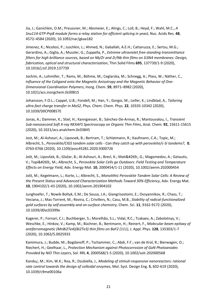Jia, J.; Ganichkin, O.M.; Preussner, M.; Absmeier, E.; Alings, C.; Loll, B.; Heyd, F.; Wahl, M.C., *A Snu114-GTP-Prp8 module forms a relay station for efficient splicing in yeast*, Nuc. Acids Res. **48**, 4572–4584 (2020), 10.1093/nar/gkaa182

Jimenez, K.; Nicolosi, P.; Juschkin, L.; Ahmed, N.; Gaballah, A.E.H.; Cattaruzza, E.; Sertsu, M.G.; Gerardino, A.; Giglia, A.; Mussler, G.; Zuppella, P., *Extreme ultraviolet free-standing transmittance filters for high brilliance sources, based on Nb/Zr and Zr/Nb thin films on Si3N4 membranes: Design, fabrication, optical and structural characterization*, Thin Solid Films **695**, 137739/1-9 (2020), 10.1016/j.tsf.2019.137739

Jochim, A.; Lohmiller, T.; Rams, M.; Böhme, M.; Ceglarska, M.; Schnegg, A.; Plass, W.; Näther, C., *Influence of the Coligand onto the Magnetic Anisotropy and the Magnetic Behavior of One-Dimensional Coordination Polymers*, Inorg. Chem. **59**, 8971–8982 (2020), 10.1021/acs.inorgchem.0c00815

Johansson, F.O.L.; Cappel, U.B.; Fondell, M.; Han, Y.; Gorgoi, M.; Leifer, K.; Lindblad, A., *Tailoring ultra-fast charge transfer in MoS2*, Phys. Chem. Chem. Phys. **22**, 10335-10342 (2020), 10.1039/D0CP00857E

Jonas, A.; Dammer, K.; Stiel, H.; Kanngiesser, B.; Sánchez-De-Armas, R.; Mantouvalou, I., *Transient Sub-nanosecond Soft X-ray NEXAFS Spectroscopy on Organic Thin Films*, Anal. Chem. **92**, 15611-15615 (2020), 10.1021/acs.analchem.0c03845

Jost, M.; Al-Ashouri, A.; Lipovsek, B.; Bertram, T.; Schlatmann, R.; Kaufmann, C.A.; Topic, M.; Albrecht, S., *Perovskite/CIGS tandem solar cells - Can they catch up with perovskite/c-Si tandems?*, **0**, 0763-0766 (2020), 10.1109/pvsc45281.2020.9300726

Jošt, M.; Lipovšek, B.; Glažar, B.; Al-Ashouri, A.; Brecl, K.; Matič, G.; Magomedov, A.; Getautis, V.; Topič, M.; Albrecht, S., *Perovskite Solar Cells go Outdoors: Field Testing and Temperature Effects on Energy Yield*, Adv. Energy Mat. **10**, 2000454/1-11 (2020), 10.1002/aenm.202000454

Jošt, M.; Kegelmann, L.; Korte, L.; Albrecht, S., *Monolithic Perovskite Tandem Solar Cells: A Review of the Present Status and Advanced Characterization Methods Toward 30% Efficiency*, Adv. Energy Mat. **10**, 1904102/1-43 (2020), 10.1002/aenm.201904102

Junghoefer, T.; Nowik-Boltyk, E.M.; De Sousa, J.A.; Giangrisostomi, E.; Ovsyannikov, R.; Chass, T.; Veciana, J.; Mas-Torrent, M.; Rovira, C.; Crivillers, N.; Casu, M.B., *Stability of radical-functionalized gold surfaces by self-assembly and on-surface chemistry*, Chem. Sci. **11**, 9162-9172 (2020), 10.1039/d0sc03399e

Kagerer, P.; Fornari, C.I.; Buchberger, S.; Morelhão, S.L.; Vidal, R.C.; Tcakaev, A.; Zabolotnyy, V.; Weschke, E.; Hinkov, V.; Kamp, M.; Büchner, B.; Bentmann, H.; Reinert, F., *Molecular beam epitaxy of antiferromagnetic (MnBi2Te4)(Bi2Te3) thin films on BaF2 (111)*, J. Appl. Phys. **128**, 135303/1-7 (2020), 10.1063/5.0025933

Kamimura, J.; Budde, M.; Bogdanoff, P.; Tschammer, C.; Abdi, F.F.; van de Krol, R.; Bierwagen, O.; Riechert, H.; Geelhaar, L., *Protection Mechanism against Photocorrosion of GaN Photoanodes Provided by NiO Thin Layers*, Sol. RRL **4**, 2000568/1-5 (2020), 10.1002/solr.202000568

Kandu¿, M.; Kim, W.K.; Roa, R.; Dzubiella, J., *Modeling of stimuli-responsive nanoreactors: rational rate control towards the design of colloidal enzymes*, Mol. Syst. Design Eng. **5**, 602-619 (2020), 10.1039/c9me00106a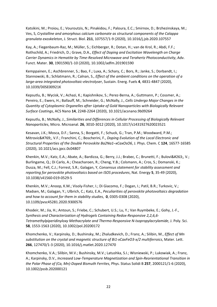Katsikini, M.; Proiou, E.; Vouroutzis, N.; Pinakidou, F.; Paloura, E.C.; Smirnov, D.; Brzhezinskaya, M.; Ves, S, *Crystalline and amorphous calcium carbonate as structural components of the Calappa granulata exoskeleton*, J. Struct. Biol. **211**, 107557/1-9 (2020), 10.1016/j.jsb.2020.107557

Kay, A.; Fiegenbaum-Raz, M.; Müller, S.; Eichberger, R.; Dotan, H.; van de Krol, R.; Abdi, F.F.; Rothschild, A.; Friedrich, D.; Grave, D.A., *Effect of Doping and Excitation Wavelength on Charge Carrier Dynamics in Hematite by Time-Resolved Microwave and Terahertz Photoconductivity*, Adv. Funct. Mater. **30**, 1901590/1-10 (2020), 10.1002/adfm.201901590

Kemppainen, E.; Aschbrenner, S.; Bao, F.; Luxa, A.; Schary, C.; Bors, R.; Janke, S.; Dorbandt, I.; Stannowski, B.; Schlatmann, R.; Calnan, S., *Effect of the ambient conditions on the operation of a large-area integrated photovoltaic-electrolyser*, Sustain. Energ. Fuels **4**, 4831-4847 (2020), 10.1039/D0SE00921K

Kepsutlu, B.; Wycisk, V.; Achazi, K.; Kapishnikov, S.; Perez-Berna, A.; Guttmann, P.; Cossmer, A.; Pereiro, E.; Ewers, H.; Ballauff, M.; Schneider, G.; McNally, J., *Cells Undergo Major Changes in the Quantity of Cytoplasmic Organelles after Uptake of Gold Nanoparticles with Biologically Relevant Surface Coatings*, ACS Nano **14**, 2248-2264 (2020), 10.1021/acsnano.9b09264

Kepsutlu, B.; McNally, J., *Similarities and Differences in Cellular Processing of Biologically Relevant Nanoparticles*, Micro. Microanal. **26**, 3010-3012 (2020), 10.1017/s1431927620023521

Kesavan, J.K.; Mosca, D.F.; Sanna, S.; Borgatti, F.; Schuck, G.; Tran, P.M.; Woodward, P.M.; Mitrović, V.F.; Franchini, C.; Boscherini, F., *Doping Evolution of the Local Electronic and Structural Properties of the Double Perovskite Ba2Na1–xCaxOsO6*, J. Phys. Chem. C **124**, 16577-16585 (2020), 10.1021/acs.jpcc.0c04807

Khenkin, M.V.; Katz, E.A.; Abate, A.; Bardizza, G.; Berry, J.J.; Brabec, C.; Brunetti, F.; Bulović, V.; Burlingame, Q.; Di Carlo, A.; Cheacharoen, R.; Cheng, Y.B.; Colsmann, A.; Cros, S.; Domanski, K.; Dusza, M.; Fell, C.J.; Forrest, S.R.; Galagan, Y, *Consensus statement for stability assessment and reporting for perovskite photovoltaics based on ISOS procedures*, Nat. Energy **5**, 35-49 (2020), 10.1038/s41560-019-0529-5

Khenkin, M.V.; Anoop, K.M.; Visoly-Fisher, I.; Di Giacomo, F.; Dogan, I.; Patil, B.R.; Turkovic, V.; Madsen, M.; Galagan, Y.; Ulbrich, C.; Katz, E.A., *Peculiarities of perovskite photovoltaics degradation and how to account for them in stability studies*, **0**, 0305-0308 (2020), 10.1109/pvsc45281.2020.9300576

Khodeir, M.; Jia, H.; Antoun, S.; Friebe, C.; Schubert, U.S.; Lu, Y.; Van Ruymbeke, E.; Gohy, J.-F., *Synthesis and Characterization of Hydrogels Containing Redox-Responsive 2,2,6,6- Tetramethylpiperidinyloxy Methacrylate and Thermo-Responsive N-Isopropylacrylamide*, J. Poly. Sci. **58**, 1553-1563 (2020), 10.1002/pol.20200172

Khomchenko, V.; Karpinsky, D.; Bushinsky, M.; Zhaludkevich, D.; Franz, A.; Silibin, M., *Effect of Mn substitution on the crystal and magnetic structure of Bi1-xCaxFeO3-x/2 multiferroics*, Mater. Lett. **266**, 127470/1-3 (2020), 10.1016/j.matlet.2020.127470

Khomchenko, V.A.; Silibin, M.V.; Bushinsky, M.V.; Latushka, S.I.; Wisniewski, P.; Lukowiak, A.; Franz, A.; Karpinsky, D.V., *Increased Low-Temperature Magnetization and Spin-Reorientational Transition in the Polar Phase of (Ca, Mn)-Doped Bismuth Ferrites*, Phys. Status Solidi B **257**, 2000121/1-6 (2020), 10.1002/pssb.202000121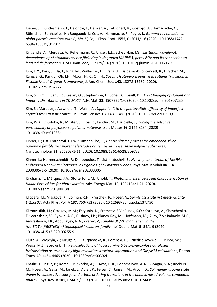Kiener, J.; Bundesmann, J.; Deloncle, I.; Denker, A.; Tatischeff, V.; Gostojic, A.; Hamadache, C.; Röhrich, J.; Benhabiles, H.; Bougaoub, I.; Coc, A.; Hammache, F.; Peyré, J., *Gamma-ray emission in alpha-particle reactions with C, Mg, Si, Fe*, J. Phys. Conf. **1555**, 012011/1-6 (2020), 10.1088/1742- 6596/1555/1/012011

Kiligaridis, A.; Merdasa, A.; Rehermann, C.; Unger, E.L.; Scheblykin, I.G., *Excitation wavelength dependence of photoluminescence flickering in degraded MAPbI(3) perovskite and its connection to lead iodide formation*, J. of Lumin. **222**, 117129/1-6 (2020), 10.1016/j.jlumin.2020.117129

Kim, J. Y.; Park, J.; Ha, J.; Jung, M.; Wallacher, D.; Franz, A.; Balderas-Xicohténcatl, R.; Hirscher, M.; Kang, S. G.; Park, J.; Oh, I.H.; Moon, H. R.; Oh, H., *Specific Isotope-Responsive Breathing Transition in Flexible Metal-Organic Frameworks*, J. Am. Chem. Soc. **142**, 13278-13282 (2020), 10.1021/jacs.0c04277

Kim, S.; Lim, J.; Sahu, R.; Kasian, O.; Stephenson, L.; Scheu, C.; Gault, B., *Direct Imaging of Dopant and Impurity Distributions in 2D MoS2*, Adv. Mat. **32**, 1907235/1-6 (2020), 10.1002/adma.201907235

Kim, S.; Márquez, J.A.; Unold, T.; Walsh, A., *Upper limit to the photovoltaic efficiency of imperfect crystals from first principles*, En. Envir. Science **13**, 1481-1491 (2020), 10.1039/d0ee00291g

Kim, W.K.; Chudoba, R.; Milster, S.; Roa, R.; Kanduc, M.; Dzubiella, J., *Tuning the selective permeability of polydisperse polymer networks*, Soft Matter **16**, 8144-8154 (2020), 10.1039/d0sm01083a

Kinner, L.; List-Kratochvil, E.J.W.; Dimopoulos, T., *Gentle plasma process for embedded silvernanowire flexible transparent electrodes on temperature-sensitive polymer substrates*, Nanotechnology **31**, 365303/1-11 (2020), 10.1088/1361-6528/ab97aa

Kinner, L.; Hermerschmidt, F.; Dimopoulos, T.; List-Kratochvil, E.J.W., *Implementation of Flexible Embedded Nanowire Electrodes in Organic Light-Emitting Diodes*, Phys. Status Solidi RRL **14**, 2000305/1-6 (2020), 10.1002/pssr.202000305

Kirchartz, T.; Márquez, J.A.; Stolterfoht, M.; Unold, T., *Photoluminescence-Based Characterization of Halide Perovskites for Photovoltaics*, Adv. Energy Mat. **10**, 1904134/1-21 (2020), 10.1002/aenm.201904134

Klicpera, M.; Vlásková, K.; Colman, R.H.; Proschek, P.; Hoser, A., *Spin-Glass State in Defect-Fluorite Er2Zr2O7*, Acta Phys. Pol. A **137**, 750-752 (2020), 10.12693/aphyspola.137.750

Klimovskikh, I.I.; Otrokov, M.M.; Estyunin, D.; Eremeev, S.V.; Filnov, S.O.; Koroleva, A.; Shevchenko, E.; Voroshnin, V.; Rybkin, A.G.; Rusinov, I.P.; Blanco-Rey, M.; Hoffmann, M.; Aliev, Z.S.; Babanly, M.B.; Amiraslanov, I.R.; Abdullayev, N.A.; Zverev, V, *Tunable 3D/2D magnetism in the (MnBi2Te4)(Bi2Te3)(m) topological insulators family*, npj Quant. Mat. **5**, 54/1-9 (2020), 10.1038/s41535-020-00255-9

Kluza, A.; Wojdyla, Z.; Mrugala, B.; Kurpiewska, K.; Porebski, P.J.; Niedzialkowska, E.; Minor, W.; Weiss, M.S.; Borowski, T., *Regioselectivity of hyoscyamine 6 beta-hydroxylase-catalysed hydroxylation as revealed by high-resolution structural information and QM/MM calculations*, Dalton Trans. **49**, 4454-4469 (2020), 10.1039/d0dt00302f

Knaflic, T.; Jeglic, P.; Komelj, M.; Zorko, A.; Biswas, P. K.; Ponomaryov, A. N.; Zvyagin, S. A.; Reehuis, M.; Hoser, A.; Geiss, M.; Janek, J.; Adler, P.; Felser, C.; Jansen, M.; Arcon, D., *Spin-dimer ground state driven by consecutive charge and orbital ordering transitions in the anionic mixed-valence compound Rb4O6*, Phys. Rev. B **101**, 024419/1-13 (2020), 10.1103/PhysRevB.101.024419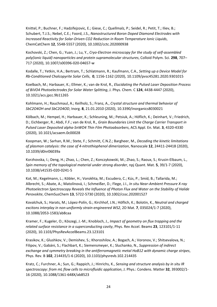Knittel, P.; Buchner, F.; Hadzifejzovic, E.; Giese, C.; Quellmalz, P.; Seidel, R.; Petit, T.; Iliev, B.; Schubert, T.J.S.; Nebel, C.E.; Foord, J.S., *Nanostructured Boron Doped Diamond Electrodes with Increased Reactivity for Solar-Driven CO2 Reduction in Room Temperature Ionic Liquids*, ChemCatChem **12**, 5548-5557 (2020), 10.1002/cctc.202000938

Kochovski, Z.; Chen, G.; Yuan, J.; Lu, Y., *Cryo-Electron microscopy for the study of self-assembled poly(ionic liquid) nanoparticles and protein supramolecular structures*, Colloid Polym. Sci. **298**, 707– 717 (2020), 10.1007/s00396-020-04657-w

Kodalle, T.; Yetkin, H.A.; Bertram, T.; Schlatmann, R.; Kaufmann, C.A., *Setting up a Device Model for Rb-Conditioned Chalcopyrite Solar Cells*, **0**, 1156-1162 (2020), 10.1109/pvsc45281.2020.9301015

Koelbach, M.; Harbauer, K.; Ellmer, K.; van de Krol, R., *Elucidating the Pulsed Laser Deposition Process of BiVO4 Photoelectrodes for Solar Water Splitting*, J. Phys. Chem. C **124**, 4438-4447 (2020), 10.1021/acs.jpcc.9b11265

Kohlmann, H.; Rauchmaul, A.; Keilholz, S.; Franz, A., *Crystal structure and thermal behavior of SbC2O4OH and SbC2O4OD*, Inorg. **8**, 21.01.2010 (2020), 10.3390/inorganics8030021

Kölbach, M.; Hempel, H.; Harbauer, K.; Schleuning, M.; Petsiuk, A.; Höflich, K.; Deinhart, V.; Friedrich, D.; Eichberger, R.; Abdi, F.F.; van de Krol, R., *Grain Boundaries Limit the Charge Carrier Transport in Pulsed Laser Deposited alpha-SnWO4 Thin Film Photoabsorbers*, ACS Appl. En. Mat. **3**, 4320-4330 (2020), 10.1021/acsaem.0c00028

Koopman, W.; Sarhan, R.M.; Stete, F.; Schmitt, C.N.Z.; Bargheer, M., *Decoding the kinetic limitations of plasmon catalysis: the case of 4-nitrothiophenol dimerization*, Nanoscale **12**, 24411-24418 (2020), 10.1039/d0nr06039a

Korzhovska, I.; Deng, H.; Zhao, L.; Chen, Z.; Konczykowski, M.; Zhao, S.; Raoux, S.; Krusin-Elbaum, L., *Spin memory of the topological material under strong disorder*, npj Quant. Mat. **5**, 39/1-7 (2020), 10.1038/s41535-020-0241-5

Kot, M.; Kegelmann, L.; Köbler, H.; Vorokhta, M.; Escudero, C.; Kús, P.; Smíd, B.; Tallarida, M.; Albrecht, S.; Abate, A.; Matolínová, I.; Schmeißer, D.; Flege, J.I., *In situ Near-Ambient Pressure X-ray Photoelectron Spectroscopy Reveals the Influence of Photon Flux and Water on the Stability of Halide Perovskite*, ChemSusChem **13**, 5722-5730 (2020), 10.1002/cssc.202001527

Kovalchuk, S.; Harats, M.; López-Polín, G.; Kirchhof, J.N.; Höflich, K.; Bolotin, K., *Neutral and charged excitons interplay in non-uniformly strain-engineered WS2*, 2D Mat. **7**, 035024/1-7 (2020), 10.1088/2053-1583/ab8caa

Kramer, F.; Kugeler, O.; Köszegi, J.-M.; Knobloch, J., *Impact of geometry on flux trapping and the related surface resistance in a superconducting cavity*, Phys. Rev Accel. Beams **23**, 123101/1-11 (2020), 10.1103/PhysRevAccelBeams.23.123101

Krasikov, K.; Glushkov, V.; Demishev, S.; Khoroshilov, A.; Bogach, A.; Voronov, V.; Shitsevalova, N.; Filipov, V.; Gabáni, S.; Flachbart, K.; Siemensmeyer, K.; Sluchanko, N., *Suppression of indirect exchange and symmetry breaking in the antiferromagnetic metal HoB12 with dynamic charge stripes*, Phys. Rev. B **102**, 214435/1-6 (2020), 10.1103/physrevb.102.214435

Kratz, C.; Furchner, A.; Sun, G.; Rappich, J.; Hinrichs, K., *Sensing and structure analysis by in situ IR spectroscopy: from mL flow cells to microfluidic application*, J. Phys.: Condens. Matter **32**, 393002/1- 16 (2020), 10.1088/1361-648X/ab8523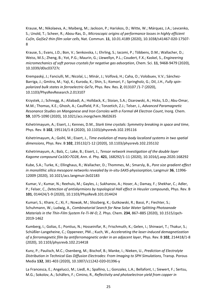Krause, M.; Nikolaeva, A.; Maiberg, M.; Jackson, P.; Hariskos, D.; Witte, W.; Márquez, J.A.; Levcenko, S.; Unold, T.; Scheer, R.; Abou-Ras, D., *Microscopic origins of performance losses in highly efficient Cu(In, Ga)Se2 thin-film solar cells*, Nat. Commun. **11**, 10.01.4189 (2020), 10.1038/s41467-020-17507- 8

Krause, S.; Evans, J.D.; Bon, V.; Senkovska, I.; Ehrling, S.; Iacomi, P.; Többens, D.M.; Wallacher, D.; Weiss, M.S.; Zheng, B.; Yot, P.G.; Maurin, G.; Llewellyn, P.L.; Coudert, F.X.; Kaskel, S., *Engineering micromechanics of soft porous crystals for negative gas adsorption*, Chem. Sci. **11**, 9468-9479 (2020), 10.1039/d0sc03727c

Krempaský, J.; Fanciulli, M.; Nicolaï, L.; Minár, J.; Volfová, H.; Caha, O.; Volobuev, V.V.; Sánchez-Barriga, J.; Gmitra, M.; Yaji, K.; Kuroda, K.; Shin, S.; Komori, F.; Springholz, G.; Dil, J.H., *Fully spinpolarized bulk states in ferroelectric GeTe*, Phys. Rev. Res. **2**, 013107 /1-7 (2020), 10.1103/PhysRevResearch.2.013107

Krzystek, J.; Schnegg, A.; Aliabadi, A.; Holldack, K.; Stoian, S.A.; Ozarowski, A.; Hicks, S.D.; Abu-Omar, M.M.; Thomas, K.E.; Ghosh, A.; Caulfield, P.K.; Tonzetich, Z.J.; Telser, J., *Advanced Paramagnetic Resonance Studies on Manganese and Iron Corroles with a Formal d4 Electron Count*, Inorg. Chem. **59**, 1075-1090 (2020), 10.1021/acs.inorgchem.9b02635

Kshetrimayum, A.; Eisert, J.; Kennes, D.M., *Stark time crystals: Symmetry breaking in space and time*, Phys. Rev. B **102**, 195116/1-8 (2020), 10.1103/physrevb.102.195116

Kshetrimayum, A.; Goihl, M.; Eisert, J., *Time evolution of many-body localized systems in two spatial dimensions*, Phys. Rev. B **102**, 235132/1-12 (2020), 10.1103/physrevb.102.235132

Kshetrimayum, A.; Balz, C.; Lake, B.; Eisert, J., *Tensor network investigation of the double layer Kagome compound Ca10Cr7O28*, Ann. d. Phy. **421**, 168292/1-11 (2020), 10.1016/j.aop.2020.168292

Kube, S.A.; Turke, K.; Ellinghaus, R.; Wallacher, D.; Thommes, M.; Smarsly, B., *Pore size gradient effect in monolithic silica mesopore networks revealed by in-situ-SAXS-physisorption*, Langmuir **36**, 11996- 12009 (2020), 10.1021/acs.langmuir.0c02183

Kumar, V.; Kumar, N.; Reehuis, M.; Gayles, J.; Sukhanov, A.; Hoser, A.; Damay, F.; Shekhar, C.; Adler, P.; Felser, C., *Detection of antiskyrmions by topological Hall effect in Heusler compounds*, Phys. Rev. B **101**, 014424/1-9 (2020), 10.1103/PhysRevB.101.014424

Kumari, S.; Khare, C.; Xi, F.; Nowak, M.; Sliozberg, K.; Gutkowski, R.; Bassi, P.; Fiechter, S.; Schuhmann, W.; Ludwig, A., *Combinatorial Search for New Solar Water Splitting Photoanode Materials in the Thin-Film System Fe-Ti-W-O*, Z. Phys. Chem. **234**, 867–885 (2020), 10.1515/zpch-2019-1462

Kumberg, I.; Golias, E.; Pontius, N.; Hosseinifar, R.; Frischmuth, K.; Gelen, I.; Shinwari, T.; Thakur, S.; Schüßler-Langeheine, C.; Oppeneer, PM..; Kuch, W., *Accelerating the laser-induced demagnetization of a ferromagnetic film by antiferromagnetic order in an adjacent layer*, Phys. Rev. B **102**, 214418/1-8 (2020), 10.1103/physrevb.102.214418

Kunz, P.; Paulisch, M.C.; Osenberg, M.; Bischof, B.; Manke, I.; Nieken, U., *Prediction of Electrolyte Distribution in Technical Gas Diffusion Electrodes: From Imaging to SPH Simulations*, Transp. Porous Media **132**, 381-403 (2020), 10.1007/s11242-020-01396-y

La Francesca, E.; Angelucci, M.; Liedl, A.; Spallino, L.; Gonzalez, L.A.; Bellafont, I.; Siewert, F.; Sertsu, M.G.; Sokolov, A.; Schäfers, F.; Cimino, R., *Reflectivity and photoelectron yield from copper in*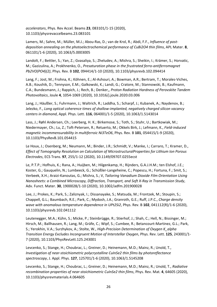*accelerators*, Phys. Rev Accel. Beams **23**, 083101/1-15 (2020), 10.1103/physrevaccelbeams.23.083101

Lamers, M.; Sahre, M.; Müller, M.J.; Abou-Ras, D.; van de Krol, R.; Abdi, F.F., *Influence of postdeposition annealing on the photoelectrochemical performance of CuBi2O4 thin films*, APL Mater. **8**, 061101/1-6 (2020), 10.1063/5.0003005

Landolt, F.; Bettler, S.; Yan, Z.; Gvasaliya, S.; Zheludev, A.; Mishra, S.; Sheikin, I.; Krämer, S.; Horvatic, M.; Gazizulina, A.; Prokhnenko, O., *Presaturation phase in the frustrated ferro-antiferromagnet Pb2VO(PO4)(2)*, Phys. Rev. B **102**, 094414/1-10 (2020), 10.1103/physrevb.102.094414

Lang, F.; Jost, M.; Frohna, K.; Köhnen, E.; Al-Ashouri, A.; Bowman, A.R.; Bertram, T.; Morales-Viches, A.B.; Koushik, D.; Tennyson, E.M.; Galkowski, K.; Landi, G.; Cratore, M.; Stannowski, B.; Kaufmann, C.A.; Bundesmann, J.; Rappich, J.; Rech, B.; Denker,, *Proton Radiation Hardness of Perovskite Tandem Photovoltaics*, Joule **4**, 1054-1069 (2020), 10.1016/j.joule.2020.03.006

Lang, J.; Häußler, S.; Fuhrmann, J.; Waltrich, R.; Laddha, S.; Scharpf, J.; Kubanek, A.; Naydenov, B.; Jelezko, F., *Long optical coherence times of shallow-implanted, negatively charged silicon vacancy centers in diamond*, Appl. Phys. Lett. **116**, 064001/1-5 (2020), 10.1063/1.5143014

Lass, J.; Røhl Andersen, Ch.; Leerberg, H. K.; Birkemose, S.; Toth, S.; Stuhr, U.; Bartkowiak, M.; Niedermayer, Ch.; Lu, Z.; Toft-Petersen, R.; Retuerto, M.; Okkels Birk, J.; Lefmann, K., *Field-induced magnetic incommensurability in multiferroic Ni3TeO6*, Phys. Rev. B **101**, 054415/1-9 (2020), 10.1103/PhysRevB.101.054415

Le Houx, J.; Osenberg, M.; Neumann, M.; Binder, J.R.; Schmidt, V.; Manke, I.; Carraro, T.; Kramer, D., *Effect of Tomography Resolution on Calculation of MicrostructuralProperties for Lithium Ion Porous Electrodes*, ECS Trans. **97**, 255/1-12 (2020), 10.1149/09707.0255ecst

Le, P.T.P.; Hofhuis, K.; Rana, A.; Huijben, M.; Hilgenkamp, H.; Rijnders, G.A.J.H.M.; ten Elshof, J.E.; Koster, G.; Gauquelin, N.; Lumbeeck, G.; Schüßler-Langeheine, C.; Popescu, H.; Fortuna, F.; Smit, S.; Verbeek, X.H.; Araizi-Kanoutas, G.; Mishra, S.; V, *Tailoring Vanadium Dioxide Film Orientation Using Nanosheets: a Combined Microscopy, Diffraction, Transport, and Soft X-Ray in Transmission Study*, Adv. Funct. Mater. **30**, 1900028/1-10 (2020), 10.1002/adfm.201900028

Lee, J.; Prokes, K.; Park, S.; Zaliznyak, I.; Dissanayake, S.; Matsuda, M.; Frontzek, M.; Stoupin, S.; Chappell, G.L.; Baumbach, R.E.; Park, C.; Mydosh, J.A.; Granroth, G.E.; Ruff, J.P.C., *Charge density wave with anomalous temperature dependence in UPt2Si2*, Phys. Rev. B **102**, 041112(R)/1-6 (2020), 10.1103/physrevb.102.041112

Leutenegger, M.A.; Kühn, S.; Micke, P.; Steinbrügge, R.; Stierhof, J.; Shah, C.; Hell, N.; Bissinger, M.; Hirsch, M.; Ballhausen, R.; Lang, M.; Gräfe, C.; Wipf, S.; Cumbee, R.; Betancourt-Martinez, G.L.; Park, S.; Yerokhin, V.A.; Surzhykov, A.; Stolte, W., *High-Precision Determination of Oxygen K\_alpha Transition Energy Excludes Incongruent Motion of Interstellar Oxygen*, Phys. Rev. Lett. **125**, 243001/1- 7 (2020), 10.1103/PhysRevLett.125.243001

Levcenko, S.; Stange, H.; Choubrac, L.; Greiner, D.; Heinemann, M.D.; Mainz, R.; Unold, T., *Investigation of near-stoichiometric polycrystalline CuInSe2 thin films by photoreflectance spectroscopy*, J. Appl. Phys. **127**, 125701/1-6 (2020), 10.1063/1.5145208

Levcenko, S.; Stange, H.; Choubrac, L.; Greiner, D.; Heinemann, M.D.; Mainz, R.; Unold, T., *Radiative recombination properties of near-stoichiometric CuInSe2 thin films*, Phys. Rev. Mat. **4**, 64605 (2020), 10.1103/physrevmaterials.4.064605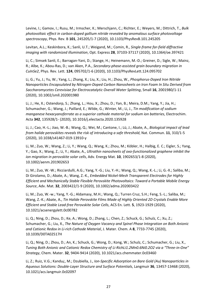Levine, I.; Gamov, I.; Rusu, M.; Irmscher, K.; Merschjann, C.; Richter, E.; Weyers, M.; Dittrich, T., *Bulk photovoltaic effect in carbon-doped gallium nitride revealed by anomalous surface photovoltage spectroscopy*, Phys. Rev. B **101**, 245205/1-7 (2020), 10.1103/PhysRevB.101.245205

Levitan, A.L.; Keskinbora, K.; Sanli, U.T.; Weigand, M.; Comin, R., *Single-frame far-field diffractive imaging with randomized illumination*, Opt. Express **28**, 37103-37117 (2020), 10.1364/oe.397421

Li, C.; Simsek Sanli, E.; Barragan-Yani, D.; Stange, H.; Heinemann, M.-D.; Greiner, D.; Sigle, W.; Mainz, R.; Albe, K.; Abou-Ras, D.; van Aken, P.A., *Secondary-phase-assisted grain boundary migration in CuInSe2*, Phys. Rev. Lett. **124**, 095702/1-6 (2020), 10.1103/PhysRevLett.124.095702

Li, G.; Yu, J.; Yu, W.; Yang, L.; Zhang, X.; Liu, X.; Liu, H.; Zhou, W., *Phosphorus-Doped Iron Nitride Nanoparticles Encapsulated by Nitrogen-Doped Carbon Nanosheets on Iron Foam In Situ Derived from Saccharomycetes Cerevisiae for Electrocatalytic Overall Water Splitting*, Small **16**, 2001980/1-11 (2020), 10.1002/smll.202001980

Li, J.; He, X.; Ostendorp, S.; Zhang, L.; Hou, X.; Zhou, D.; Yan, B.; Meira, D.M.; Yang, Y.; Jia, H.; Schumacher, G.; Wang, J.; Paillard, E.; Wilde, G.; Winter, M.; Li, J., *Tin modification of sodium manganese hexacyanoferrate as a superior cathode material for sodium ion batteries*, Electrochim. Acta **342**, 135928/1- (2020), 10.1016/j.electacta.2020.135928

Li, J.; Cao, H.-L.; Jiao, W.-B.; Wang, Q.; Wei, M.; Cantone, I.; Lü, J.; Abate, A., *Biological impact of lead from halide perovskites reveals the risk of introducing a safe threshold*, Nat. Commun. **11**, 310/1-5 (2020), 10.1038/s41467-019-13910-y

Li, M.; Zuo, W.; Wang, Z.; Li, Y.; Wang, Q.; Wang, K.; Zhou, M.; Köbler, H.; Halbig, E. C.; Eigler, S.; Yang, Y.; Gao, X.; Wang, Z.; Li, Y.; Abate, A., *Ultrathin nanosheets of oxo-functionalized graphene inhibit the ion migration in perovskite solar cells*, Adv. Energy Mat. **10**, 1902653/1-8 (2020), 10.1002/aenm.201902653

Li, M.; Zuo, W.-W.; Ricciardulli, A.G.; Yang, Y.-G.; Liu, Y.-H.; Wang, Q.; Wang, K.-L.; Li, G.-X.; Saliba, M.; Di Girolamo, D.; Abate, A.; Wang, Z.-K., *Embedded Nickel-Mesh Transparent Electrodes for Highly Efficient and Mechanically Stable Flexible Perovskite Photovoltaics: Toward a Portable Mobile Energy Source*, Adv. Mat. **32**, 2003422/1-9 (2020), 10.1002/adma.202003422

Li, M.; Zuo, W.-w.; Yang, Y.-G.; Aldamasy, M.H.; Wang, Q.; Turren Cruz, S.H.; Feng, S.-L.; Saliba, M.; Wang, Z.-K.; Abate, A., *Tin Halide Perovskite Films Made of Highly Oriented 2D Crystals Enable More Efficient and Stable Lead-free Perovskite Solar Cells*, ACS En. Lett. **5**, 1923-1929 (2020), 10.1021/acsenergylett.0c00782

Li, Q.; Ning, D.; Zhou, D.; Ke, A.; Wong, D.; Zhang, L.; Chen, Z.; Schuck, G.; Schulz, C.; Xu, Z.; Schumacher, G.; Liu, X., *The Nature of Oxygen Vacancy and Spinel Phase Integration on Both Anionic and Cationic Redox in Li-rich Cathode Material*, J. Mater. Chem. A **8**, 7733-7745 (2020), 10.1039/D0TA02517H

Li, Q.; Ning, D.; Zhou, D.; An, K.; Schuck, G.; Wong, D.; Kong, W.; Schulz, C.; Schumacher, G.; Liu, X., *Tuning Both Anionic and Cationic Redox Chemistry of Li-RichLi1.2Mn0.6Ni0.2O2 via a "Three-in-One" Strategy*, Chem. Mater. **32**, 9404-9414 (2020), 10.1021/acs.chemmater.0c03460

Li, Z.; Ruiz, V.G.; Kandu¿, M.; Dzubiella, J., *Ion-Specific Adsorption on Bare Gold (Au) Nanoparticles in Aqueous Solutions: Double-Layer Structure and Surface Potentials*, Langmuir **36**, 13457-13468 (2020), 10.1021/acs.langmuir.0c02097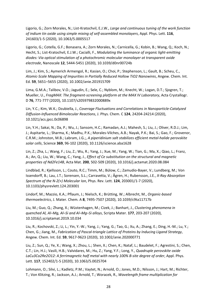Ligorio, G.; Zorn Morales, N.; List-Kratochvil, E.J.W., *Large and continuous tuning of the work function of indium tin oxide using simple mixing of self-assembled monolayers*, Appl. Phys. Lett. **116**, 241603/1-5 (2020), 10.1063/5.0005517

Ligorio, G.; Cotella, G.F.; Bonasera, A.; Zorn Morales, N.; Carnicella, G.; Kobin, B.; Wang, Q.; Koch, N.; Hecht, S.; List-Kratochvil, E.J.W.; Cacialli, F., *Modulating the luminance of organic light-emitting diodes: Via optical stimulation of a photochromic molecular monolayer at transparent oxide electrode*, Nanoscale **12**, 5444-5451 (2020), 10.1039/d0nr00724b

Lim, J.; Kim, S.; Aymerich Armengol, R.; Kasian, O.; Choi, P.; Stephenson, L.; Gault, B.; Scheu, C., *Atomic-Scale Mapping of Impurities in Partially Reduced Hollow TiO2 Nanowires*, Angew. Chem. Int. Ed. **59**, 5651–5655 (2020), 10.1002/anie.201915709

Lima, G.M.A.; Talibov, V.O.; Jagudin, E.; Sele, C.; Nyblom, M.; Knecht, W.; Logan, D.T.; Sjogren, T.; Mueller, U., *FragMAX: The fragment-screening platform at the MAX IV Laboratory*, Acta Crystallogr. D **76**, 771-777 (2020), 10.1107/s205979832000889x

Lin, Y.C.; Kim, W.K.; Dzubiella, J., *Coverage Fluctuations and Correlations in Nanoparticle-Catalyzed Diffusion-Influenced Bimolecular Reactions*, J. Phys. Chem. C **124**, 24204-24214 (2020), 10.1021/acs.jpcc.0c06898

Lin, Y.H.; Sakai, N.; Da, P.; Wu, J.; Sansom, H.C.; Ramadan, A.J.; Mahesh, S.; Liu, J.; Oliver, R.D.J.; Lim, J.; Aspitarte, L.; Sharma, K.; Madhu, P.K.; Morales-Vilches, A.B.; Nayak, P.K.; Bai, S.; Gao, F.; Grovenor, C.R.M.; Johnston, M.B.; Labram, J.G.;, *A piperidinium salt stabilizes efficient metal-halide perovskite solar cells*, Science **369**, 96-102 (2020), 10.1126/science.aba1628

Lin, Z.; Zha, L.; Wang, F.; Liu, Z.; Wu, R.; Yang, J.; Xue, M.; Yang, W.; Tian, G.; Ma, X.; Qiao, L.; Franz, A.; An, Q.; Liu, W.; Wang, C.; Yang, J., *Effect of Ce substitution on the structural and magnetic properties of Nd2Fe14B*, Acta Mat. **200**, 502-509 (2020), 10.1016/j.actamat.2020.08.084

Lindblad, R.; Kjellsson, L.; Couto, R.C.; Timm, M.; Bülow, C.; Zamudio-Bayer, V.; Lundberg, M.; Von Issendorff, B.; Lau, J.T.; Sorensen, S.L.; Carravetta, V.; Ågren, H.; Rubensson, J.E., *X-Ray Absorption Spectrum of the N-2(+) Molecular Ion*, Phys. Rev. Lett. **124**, 203001/1-7 (2020), 10.1103/physrevlett.124.203001

Lindorf, M.; Mazzio, K.A.; Pflaum, J.; Nielsch, K.; Brütting, W.; Albrecht, M., *Organic-based thermoelectrics*, J. Mater. Chem. A **8**, 7495-7507 (2020), 10.1039/c9ta11717b

Liu, M.; Guo, Q.; Zhang, X.; Wüstenhagen, M.; Cizek, J.; Banhart, J., *Clustering phenomena in quenched Al, Al–Mg, Al–Si and Al–Mg–Si alloys*, Scripta Mater. **177**, 203-207 (2020), 10.1016/j.scriptamat.2019.10.034

Liu, R.; Kochovski, Z.; Li, L.; Yin, Y.-W.; Yang, J.; Yang, G.; Tao, G.; Xu, A.; Zhang, E.; Ding, H.-M.; Lu, Y.; Chen, G.; Jiang, M., *Fabrication of Pascal-triangle Lattice of Proteins by Inducing Ligand Strategy*, Angew. Chem. Int. Ed. **59**, 9617-9623 (2020), 10.1002/anie.202000771

Liu, Z.; Sun, Q.; Ye, X.; Wang, X.; Zhou, L.; Shen, X.; Chen, K.; Nataf, L.; Baudelet, F.; Agrestini, S.; Chen, C.T.; Lin, H.J.; Vasili, H.B.; Valvidares, M.; Hu, Z.; Yang, Y.F.; Long, Y., *Quadruple perovskite oxide LaCu3Co2Re2O12: A ferrimagnetic half metal with nearly 100% B-site degree of order*, Appl. Phys. Lett. **117**, 152402/1-5 (2020), 10.1063/5.0025704

Lohmann, O.; Silvi, L.; Kadletz, P.M.; Vaytet, N.; Arnold, O.; Jones, M.D.; Nilsson, J.; Hart, M.; Richter, T.; Von Klitzing, R.; Jackson, A.J.; Arnold, T.; Woracek, R., *Wavelength frame multiplication for*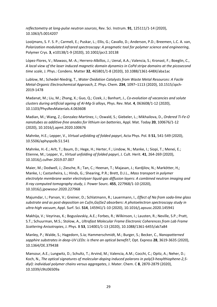*reflectometry at long-pulse neutron sources*, Rev. Sci. Instrum. **91**, 125111/1-14 (2020), 10.1063/5.0014207

Looijmans, S. F. S. P.; Carmeli, E.; Puskar, L.; Ellis, G.; Cavallo, D.; Anderson, P.D.; Breemen, L.C. A. van, *Polarization modulated infrared spectroscopy: A pragmatic tool for polymer science and engineering*, Polymer Crys. **3**, e10138/1-9 (2020), 10.1002/pcr2.10138

López-Flores, V.; Mawass, M.-A.; Herrero-Albillos, J.; Uenal, A.A.; Valencia, S.; Kronast, F.; Boeglin, C., *A local view of the laser induced magnetic domain dynamics in CoPd stripe domains at the picosecond time scale*, J. Phys.: Condens. Matter **32**, 465801/1-8 (2020), 10.1088/1361-648X/aba1ac

Lublow, M.; Schedel-Niedrig, T., *Water Oxidation Catalysts from Waste Metal Resources: A Facile Metal-Organic Electrochemical Approach*, Z. Phys. Chem. **234**, 1097–1113 (2020), 10.1515/zpch-2019-1478

Madanat, M.; Liu, M.; Zhang, X.; Guo, Q.; Cizek, J.; Banhart, J., *Co-evolution of vacancies and solute clusters during artificial ageing of Al-Mg-Si alloys*, Phys. Rev. Mat. **4**, 063608/1-12 (2020), 10.1103/PhysRevMaterials.4.063608

Madian, M.; Wang, Z.; Gonzalez-Martinez, I.; Oswald, S.; Giebeler, L.; Mikhailova, D., *Ordered Ti-Fe-O nanotubes as additive-free anodes for lithium ion batteries*, Appl. Mat. Today **20**, 100676/1-12 (2020), 10.1016/j.apmt.2020.100676

Mahnke, H.E.; Lepper, V., *Virtual unfolding of folded papyri*, Acta Phys. Pol. B **51**, 541-549 (2020), 10.5506/aphyspolb.51.541

Mahnke, H.-E.; Arlt, T.; Baum, D.; Hege, H.; Herter, F.; Lindow, N.; Manke, I.; Siopi, T.; Menei, E.; Etienne, M.; Lepper, V., *Virtual unfolding of folded papyri*, J. Cult. Herit. **41**, 264-269 (2020), 10.1016/j.culher.2019.07.007

Maier, M.; Dodwell, J.; Ziesche, R.; Tan, C.; Heenan, T.; Majasan, J.; Kardjilov, N.; Markötter, H,; Manke, I.; Castanheira, L.; Hinds, G.; Shearing, P.R.; Brett, D.J.L., *Mass transport in polymer electrolyte membrane water electrolyser liquid-gas diffusion layers: A combined neutron imaging and X-ray computed tomography study*, J. Power Sourc. **455**, 227968/1-10 (2020), 10.1016/j.jpowsour.2020.227968

Majumdar, I.; Parvan, V.; Greiner, D.; Schlatmann, R.; Lauermann, I., *Effect of Na from soda-lime glass substrate and as post-deposition on Cu(In,Ga)Se2 absorbers: A photoelectron spectroscopy study in ultra-high vacuum*, Appl. Surf. Sci. **514**, 145941/1-10 (2020), 10.1016/j.apsusc.2020.145941

Makhija, V.; Veyrinas, K.; Boguslavskiy, A.E.; Forbes, R.; Wilkinson, I.; Lausten, R.; Neville, S.P.; Pratt, S.T.; Schuurman, M.S.; Stolow, A., *Ultrafast Molecular Frame Electronic Coherences from Lab Frame Scattering Anisotropies*, J. Phys. B **53**, 114001/1-13 (2020), 10.1088/1361-6455/ab7a84

Manley, P.; Walde, S.; Hagedorn, S.ia; Hammerschmidt, M.; Burger, S.; Becker, C., *Nanopatterned sapphire substrates in deep-UV LEDs: is there an optical benefit?*, Opt. Express **28**, 3619-3635 (2020), 10.1364/OE.379438

Mansour, A.E.; Lungwitz, D.; Schultz, T.; Arvind, M.; Valencia, A.M.; Cocchi, C.; Opitz, A.; Neher, D.; Koch, N., *The optical signatures of molecular-doping induced polarons in poly(3-hexylthiophene-2,5 diyl): individual polymer chains versus aggregates*, J. Mater. Chem. C **8**, 2870-2879 (2020), 10.1039/c9tc06509a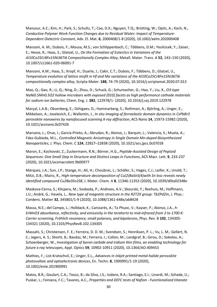Mansour, A.E.; Kim, H.; Park, S.; Schultz, T.; Cao, D.X.; Nguyen, T.Q.; Brütting, W.; Opitz, A.; Koch, N., *Conductive Polymer Work Function Changes due to Residual Water: Impact of Temperature-Dependent Dielectric Constant*, Adv. El. Mat. **6**, 2000408/1-8 (2020), 10.1002/aelm.202000408

Manzoni, A. M.; Dubois, F.; Mousa, M.S.; von Schlippenbach, C.; Többens, D.M.; Yesilcicek, Y.; Zaiser, E.; Hesse, R.; Haas, S.; Glatzel, U., *On the Formation of Eutectics in Variations of the Al10Co25Cr8Fe15Ni36Ti6 Compositionally Complex Alloy*, Metall. Mater. Trans. A **52**, 143–150 (2020), 10.1007/s11661-020-06091-7

Manzoni, A.M.; Haas, S.; Kropf, H.; Duarte, J.; Cakir, C.T.; Dubois, F.; Többens, D.; Glatzel, U., *Temperature evolution of lattice misfit in Hf and Mo variations of the Al10Co25Cr8Fe15Ni36Ti6 compositionally complex alloy*, Scripta Mater. **188**, 74-79 (2020), 10.1016/j.scriptamat.2020.07.013

Mao, Q.; Gao, R.; Li, Q.; Ning, D.; Zhou, D.; Schuck, G.; Schumacher, G.; Hao, Y.; Liu, X., *O3-type NaNi0.5Mn0.5O2 hollow microbars with exposed {010} facets as high performance cathode materials for sodium-ion batteries*, Chem. Eng. J. **382**, 122978/1- (2020), 10.1016/j.cej.2019.122978

Marçal, L.A.B.; Oksenberg, E.; Dzhigaev, D.; Hammarberg, S.; Rothman, A.; Björling, A.; Unger, E.; Mikkelsen, A.; Joselevich, E.; Wallentin, J., *In situ imaging of ferroelastic domain dynamics in CsPbBr3 perovskite nanowires by nanofocused scanning X-ray diffraction*, ACS Nano **14**, 15973-15982 (2020), 10.1021/acsnano.0c07426

Marcano, L.; Orue, I.; Garcia-Prieto, A.; Abrudan, R.; Alonso, J.; Barquin, L.; Valencia, S.; Muela, A.; Fdez-Gubieda, M.L., *Controlled Magnetic Anisotropy in Single Domain Mn-doped Biosynthesized Nanoparticles*, J. Phys. Chem. C **124**, 22827–22838 (2020), 10.1021/acs.jpcc.0c07018

Maron, E.; Kochovski, Z.; Zuckermann, R.N.; Börner, H.G., *Peptide-Assisted Design of Peptoid Sequences: One Small Step in Structure and Distinct Leaps in Functions*, ACS Macr. Lett. **9**, 233-237 (2020), 10.1021/acsmacrolett.9b00977

Márquez, J.A.; Sun, J.P.; Stange, H.; Ali, H.; Choubrac, L.; Schäfer, S.; Hages, C.J.; Leifer, K.; Unold, T.; Mitzi, D.B.; Mainz, R., *High-temperature decomposition of Cu(2)BaSnS(4)with Sn loss reveals newly identified compound Cu2Ba3Sn2S8*, J. Mater. Chem. A **8**, 11346-11353 (2020), 10.1039/d0ta02348e

Maskova-Cerna, S.; Klicpera, M.; Svoboda, P.; Andreev, A.V.; Skourski, Y.; Reehuis, M.; Hoffmann, J.U.; André, G.; Havela, L., *New type of magnetic structure in the R2T2X group: Tb2Pd2In*, J. Phys.: Condens. Matter **32**, 345801/1-9 (2020), 10.1088/1361-648x/ab8428

Massa, N.E.; del Campo, L.; Holldack, K.; Canizarès, A.; Ta Phuoc, V.; Kayser, P.; Alonso, J.A., *h-ErMnO3 absorbance, reflectivity, and emissivity in the terahertz to mid-infrared from 2 to 1700 K: Carrier screening, Fröhlich resonance, small polarons, and bipolarons*, Phys. Rev. B **102**, 134305- 134321 (2020), 10.1103/PhysRevB.102.134305

Massahi, S.; Christensen, F. E.; Ferreira, D. D. M.; Svendsen, S.; Henriksen, P. L.; Vu, L. M.; Gellert, N. C.; Jegers, A. S.; Shortt, B.; Bavdaz, M.; Ferreira, I.; Collon, M.; Landgraf, B.; Girou, D.; Sokolov, A.; Schoenberger, W., *Investigation of boron carbide and iridium thin films, an enabling technology for future x-ray telescopes*, Appl. Optics **59**, 10902-10911 (2020), 10.1364/AO.409453

Mathies, F.; List-Kratochvil, E.; Unger, E.L., *Advances in inkjet-printed metal-halide perovskite photovoltaic and optoelectronic devices*, En. Techn. **8**, 1900991/1-19 (2020), 10.1002/ente.201900991

Matos, B.R.; Goulart, C.A.; Tosco, B.; da Silva, J.S.; Isidoro, R.A.; Santiago, E.I.; Linardi, M.; Schade, U.; Puskar, L.; Fonseca, F.C.; Tavares, A.C., *Properties and DEFC tests of Nafion - Functionalized titanate*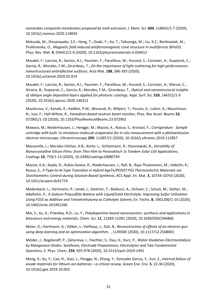*nanotubes composite membranes prepared by melt-extrusion*, J. Mem. Sci. **604**, 118042/1-7 (2020), 10.1016/j.memsci.2020.118042

Matsuda, M.; Dissanayake, S.E.; Hong, T.; Ozaki, Y.; Ito, T.; Tokunaga, M.; Liu, X.Z.; Bartkowiak, M.; Prokhnenko, O., *Magnetic field induced antiferromagnetic cone structure in multiferroic BiFeO3*, Phys. Rev. Mat. **4**, 034412/1-6 (2020), 10.1103/physrevmaterials.4.034412

Maudet, F.; Lacroix, B.; Santos, A.J.; Paumier, F.; Paraillous, M.; Hurand, S.; Corvisier, A.; Dupeyrat, C.; García, R.; Morales, F.M.; Girardeau, T., *On the importance of light scattering for high performances nanostructured antireflective surfaces*, Acta Mat. **188**, 386-393 (2020), 10.1016/j.actamat.2020.02.014

Maudet, F.; Lacroix, B.; Santos, A.J.; Paumier, F.; Paraillous, M.; Hurand, S.; Corvisier, A.; Marsal, C.; Giroire, B.; Dupeyrat, C.; García, R.; Morales, F.M.; Girardeau, T., *Optical and nanostructural insights of oblique angle deposited layers applied for photonic coatings*, Appl. Surf. Sci. **520**, 146312/1-9 (2020), 10.1016/j.apsusc.2020.146312

Maulerova, V.; Kanaki, K.; Kadletz, P.M.; Woracek, R.; Wilpert, T.; Fissum, K.; Laloni, A.; Mauritzson, N.; Issa, F.; Hall-Wilton, R., *Vanadium-based neutron beam monitor*, Phys. Rev Accel. Beams **23**, 072901/1-10 (2020), 10.1103/PhysRevAccelBeams.23.072901

Mawass, M.; Niederhausen, J.; Hengge, M.; Mazzio, K.; Raoux, S.; Kronast, F., *Corrigendum : Sample cartridge with built -in miniature molecule evaporator for in-situ measurement with a photoemission electron microscope*, Ultramicroscopy **209**, 112857/1 (2020), 10.1016/j.ultramic.2019.112857

Mazzarella, L.; Morales-Vilches, A.B.; Korte, L.; Schlatmann, R.; Stannowski, B., *Versatility of Nanocrystalline Silicon Films: from Thin-Film to Perovskite/c-Si Tandem Solar Cell Applications*, Coatings **10**, 759/1-13 (2020), 10.3390/coatings10080759

Mazzio, K.A.; Kojda, D.; Rubio-Govea, R.; Niederhausen, J.; Ryll, B.; Raja-Thulasimani, M.; Habicht, K.; Raoux, S., *P-Type-to-N-Type Transition in Hybrid AgxTe/PEDOT:PSS Thermoelectric Materials via Stoichiometric Control during Solution-Based Synthesis*, ACS Appl. En. Mat. **3**, 10734-10743 (2020), 10.1021/acsaem.0c01774

Medenbach, L.; Hartmann, P.; Janek, J.; Stettner, T.; Balducci, A.; Dirksen, C.; Schulz, M.; Stelter, M.; Adelhelm, P., *A Sodium Polysulfide Battery with Liquid/Solid Electrolyte: Improving Sulfur Utilization Using P2S5 as Additive and Tetramethylurea as Catholyte Solvent*, En. Techn. **8**, 1901200/1-10 (2020), 10.1002/ente.201901200

Mei, S.; Xu, X.; Priestley, R.D.; Lu, Y., *Polydopamine-based nanoreactors: synthesis and applications in bioscience and energy materials*, Chem. Sci. **11**, 12269-12281 (2020), 10.1039/D0SC04486E

Meier, D.; Hartmann, G.; Völker, J.; Viefhaus, J.; Sick, B., *Reconstruction of offsets of an electron gun using deep learning and an optimization algorithm*, , 114930E (2020), 10.1117/12.2568001

Melder, J.; Bogdanoff, P.; Zaharieva, I.; Fiechter, S.; Dau, H.; Kurz, P., *Water-Oxidation Electrocatalysis by Manganese Oxides: Syntheses, Electrode Preparations, Electrolytes and Two Fundamental Questions*, Z. Phys. Chem. **234**, 925-978 (2020), 10.1515/zpch-2019-1491

Meng, X.; Xu, Y.; Cao, H.; Xiao, L.; Pengge, N.; Zhang, Y.; Gonzales Garcia, Y.; Sun, Z., *Internal failure of anode materials for lithium-ion batteries – a critical reivew*, Green Ene. Env. **5**, 22-36 (2020), 10.1016/j.gee.2019.10.003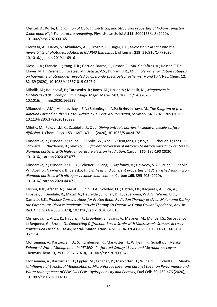Menzel, D.; Korte, L., *Evolution of Optical, Electrical, and Structural Properties of Indium Tungsten Oxide upon High Temperature Annealing*, Phys. Status Solidi A **218**, 2000165/1-8 (2020), 10.1002/pssa.202000165

Merdasa, A.; Tsarev, S.; Akbulatov, A.F.; Troshin, P.; Unger, E.L., *Microscopic insight into the reversibility of photodegradation in MAPbI3 thin films*, J. of Lumin. **219**, 116916/1-7 (2020), 10.1016/j.jlumin.2019.116916

Mesa, C.A.; Francàs, L.; Yang, K.R.; Garrido-Barros, P.; Pastor, E.; Ma, Y.; Kafizas, A.; Rosser, T.E.; Mayer, M.T.; Reisner, E.; Grätzel, M.; Batista, V.S.; Durrant, J.R., *Multihole water oxidation catalysis on haematite photoanodes revealed by operando spectroelectrochemistry and DFT*, Nat. Chem. **12**, 82–89 (2020), 10.1038/s41557-019-0347-1

Mihalik, M.; Roupcová, P.; Tarasenko, R.; Rams, M.; Hoser, A.; Mihalik, M., *Magnetism in NdMn0.1Fe0.9O3 compound*, J. Magn. Magn. Mater. **502**, 166539/1-6 (2020), 10.1016/j.jmmm.2020.166539

Mikoushkin, V.M.; Makarevskaya, E.A.; Solonitsyna, A.P.; Brzhezinskaya, M., *The Diagram of p–n Junction Formed on the n-GaAs Surface by 1.5 keV Ar+ Ion Beam*, Semicon. **54**, 1702-1705 (2020), 10.1134/s1063782620120222

Miletic, M.; Palczynski, K.; Dzubiella, J., *Quantifying entropic barriers in single-molecule surface diffusion*, J. Chem. Phys. **153**, 164713/1-11 (2020), 10.1063/5.0024178

Mindarava, Y.; Blinder, R.; Laube, C.; Knolle, W.; Abel, B.; Jentgens, C.; Isoya, J.; Scheuer, J.; Lang, J.; Schwartz, I.; Naydenov, B.; Jelezko, F., *Efficient conversion of nitrogen to nitrogen-vacancy centers in diamond particles with high-temperature electron irradiation*, Carbon **170**, 182-190 (2020), 10.1016/j.carbon.2020.07.077

Mindarava, Y.; Blinder, R.; Liu, Y.; Scheuer, J.; Lang, J.; Agafonov, V.; Davydov, V.A.; Laube, C.; Knolle, W.; Abel, B.; Naydenov, B.; Jelezko, F., *Synthesis and coherent properties of 13C enriched sub-micron diamond particles with nitrogen vacancy color centers*, Carbon **165**, 395-403 (2020), 10.1016/j.carbon.2020.04.071

Mishra, K.K.; Afshar, A.; Thariat, J.; Shih, H.A.; Scholey, J.E.; Daftari, I.K.; Kacperek, A.; Pica, A.; Hrbacek, J.; Dendale, R.; Mazal, A.; Heufelder, J.; Char, D.H.; Sauerwein, W.A.G.; Weber, D.C.; Damato, B.E., *Practice Considerations for Proton Beam Radiation Therapy of Uveal Melanoma During the Coronavirus Disease Pandemic Particle Therapy Co-Operative Group Ocular Experience*, Adv. in Rad. Onc. **5**, 682-686 (2020), 10.1016/j.adro.2020.04.010

Mishurova, T.; Artzt, K.; Haubrich, J.; Evsevleev, S.; Evans, A.; Meixner, M.; Munoz, I.S.; Sevostianov, I.; Requena, G.; Bruno, G., *Connecting Diffraction-Based Strain with Macroscopic Stresses in Laser Powder Bed Fused Ti-6Al-4V*, Metall. Mater. Trans. A **51**, 3194-3204 (2020), 10.1007/s11661-020- 05711-6

Mohseninia, A.; Kartouzian, D.; Schlumberger, R.; Markötter, H.; Wilhelm, F.; Scholta, J.; Manke, I., *Enhanced Water Management in PEMFCs: Perforated Catalyst Layer and Microporous Layers*, ChemSusChem **13**, 2931-2934 (2020), 10.1002/cssc.202000542

Mohseninia, A.; Kartouzian, D.; Eppler, M.; Langner, P.; Markötter, H.; Wilhelm, F.; Scholta, J.; Manke, I., *Influence of Structural Modification of Micro-Porous Layer and Catalyst Layer on Performance and Water Management of PEM Fuel Cells: Hydrophobicity and Porosity*, Fuel Cells **20**, 469-476 (2020), 10.1002/fuce.201900203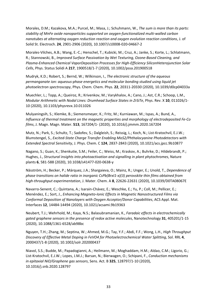Morales, D.M.; Kazakova, M.A.; Purcel, M.; Masa, J.; Schuhmann, W., *The sum is more than its parts: stability of MnFe oxide nanoparticles supported on oxygen-functionalized multi-walled carbon nanotubes at alternating oxygen reduction reaction and oxygen evolution reaction conditions*, J. of Solid St. Electroch. **24**, 2901-2906 (2020), 10.1007/s10008-020-04667-2

Morales-Vilches, A.B.; Wang, E.-C.; Henschel, T.; Kubicki, M.; Cruz, A.; Janke, S.; Korte, L.; Schlatmann, R.; Stannowski, B., *Improved Surface Passivation by Wet Texturing, Ozone-Based Cleaning, and Plasma-Enhanced Chemical VaporDeposition Processes for High-Efficiency SiliconHeterojunction Solar Cells*, Phys. Status Solidi A **217**, 1900518/1-7 (2020), 10.1002/pssa.201900518

Mudryk, K.D.; Robert, S.; Bernd, W.; Wilkinson, I., *The electronic structure of the aqueous permanganate ion: aqueous-phase energetics and molecular bonding studied using liquid jet photoelectron spectroscopy*, Phys. Chem. Chem. Phys. **22**, 20311-20330 (2020), 10.1039/d0cp04033a

Muechler, L.; Topp, A.; Queiroz, R.; Krivenkov, M.; Varykhalov, A.; Cano, J.; Ast, C.R.; Schoop, L.M., *Modular Arithmetic with Nodal Lines: Drumhead Surface States in ZrSiTe*, Phys. Rev. X **10**, 011026/1- 10 (2020), 10.1103/physrevx.10.011026

Mulyaningsih, S.; Klemke, B.; Siemensmeyer, K.; Fritz, M.; Kurniawan, M.; Ispas, A.; Bund, A., *Influence of thermal treatment on the magnetic properties and morphology of electrodeposited Fe-Co films*, J. Magn. Magn. Mater. **513**, 167204/1- (2020), 10.1016/j.jmmm.2020.167204

Mutz, N.; Park, S.; Schultz, T.; Sadofev, S.; Dalgleish, S.; Reissig, L.; Koch, N.; List-Kratochvil, E.J.W.; Blumstengel, S., *Excited-State Charge Transfer Enabling MoS2/Phthalocyanine Photodetectors with Extended Spectral Sensitivity*, J. Phys. Chem. C **124**, 2837-2843 (2020), 10.1021/acs.jpcc.9b10877

Nagano, S.; Guan, K.; Shenkutie, S.M.; Feiler, C.; Weiss, M.; Kraskov, A.; Buhrke, D.; Hildebrandt, P.; Hughes, J., *Structural insights into photoactivation and signalling in plant phytochromes*, Nature plants **6**, 581-588 (2020), 10.1038/s41477-020-0638-y

Näsström, H.; Becker, P.; Márquez, J.A.; Shargaieva, O.; Mainz, R.; Unger, E.; Unold, T., *Dependence of phase transitions on halide ratio in inorganic CsPb(BrxI1-x)(3) perovskite thin films obtained from high-throughput experimentation*, J. Mater. Chem. A **8**, 22626-22631 (2020), 10.1039/D0TA08067E

Navarro-Senent, C.; Quintana, A.; Isarain-Chávez, E.; Weschke, E.; Yu, P.; Coll, M.; Pellicer, E.; Menéndez, E.; Sort, J., *Enhancing Magneto-Ionic Effects in Magnetic Nanostructured Films via Conformal Deposition of Nanolayers with Oxygen Acceptor/Donor Capabilities*, ACS Appl. Mat. Interfaces **12**, 14484-14494 (2020), 10.1021/acsami.9b19363

Neubert, T.J.; Wehrhold, M.; Kaya, N.S.; Balasubramanian, K., *Faradaic effects in electrochemically gated graphene sensors in the presence of redox active molecules*, Nanotechnology **31**, 405201/1-15 (2020), 10.1088/1361-6528/ab98bc

Nguyen, T.H.; Zhang, M.; Septina, W.; Ahmed, M.G.; Tay, Y.F.; Abdi, F.F.; Wong, L.H., *High Throughput Discovery of Effective Metal Doping in FeVO4 for Photoelectrochemical Water Splitting*, Sol. RRL **4**, 2000437/1-8 (2020), 10.1002/solr.202000437

Niavol, S.S.; Budde, M.; Papadogianni, A.; Heilmann, M.; Moghaddam, H.M.; Aldao, C.M.; Ligorio, G.; List-Kratochvil, E.J.W.; Lopes, J.M.J.; Barsan, N.; Bierwagen, O.; Schipani, F., *Conduction mechanisms in epitaxial NiO/Graphene gas sensors*, Sens. Act. B **325**, 128797/1-10 (2020), 10.1016/j.snb.2020.128797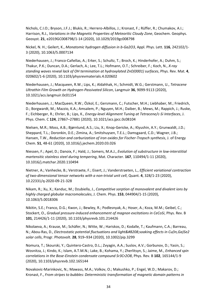Nichols, C.I.O.; Bryson, J.F.J.; Blukis, R.; Herrero-Albillos, J.; Kronast, F.; Rüffer, R.; Chumakov, A.I.; Harrison, R.J., *Variations in the Magnetic Properties of Meteoritic Cloudy Zone*, Geochem. Geophys. Geosyst. **21**, e2019GC008798/1-14 (2020), 10.1029/2019gc008798

Nickel, N. H.; Geilert, K., *Monatomic hydrogen diffusion in b-Ga2O3*, Appl. Phys. Lett. **116**, 242102/1- 3 (2020), 10.1063/5.0007134

Niederhausen, J.; Franco-Cañellas, A.; Erker, S.; Schultz, T.; Broch, K.; Hinderhofer, A.; Duhm, S.; Thakur, P.K.; Duncan, D.A.; Gerlach, A.; Lee, T.L.; Hofmann, O.T.; Schreiber, F.; Koch, N., *X-ray standing waves reveal lack of OH termination at hydroxylated ZnO(0001) surfaces*, Phys. Rev. Mat. **4**, 020602/1-6 (2020), 10.1103/physrevmaterials.4.020602

Niederhausen, J.; Macqueen, R.W.; Lips, K.; Aldahhak, H.; Schmidt, W.G.; Gerstmann, U., *Tetracene Ultrathin Film Growth on Hydrogen-Passivated Silicon*, Langmuir **36**, 9099-9113 (2020), 10.1021/acs.langmuir.0c01154

Niederhausen, J.; MacQueen, R.W.; Özkol, E.; Gersmann, C.; Futscher, M.H.; Liebhaber, M.; Friedrich, D.; Borgwardt, M.; Mazzio, K.A.; Amsalem, P.; Nguyen, M.H.; Daiber, B.; Mews, M.; Rappich, J.; Ruske, F.; Eichberger, R.; Ehrler, B.; Lips, K., *Energy-level Alignment Tuning at Tetracene/c-Si Interfaces*, J. Phys. Chem. C **124**, 27867–27881 (2020), 10.1021/acs.jpcc.0c08104

Nielsen, M.R.; Moss, A.B.; Bjørnlund, A.S.; Liu, X.; Knop-Gericke, A.; Klyushin, A.Y.; Grunwaldt, J.D.; Sheppard, T.L.; Doronkin, D.E.; Zimina, A.; Smitshuysen, T.E.L.; Damsgaard, C.D.; Wagner, J.B.; Hansen, T.W., *Reduction and carburization of iron oxides for Fischer-Tropsch synthesis*, J. of Energy Chem. **51**, 48-61 (2020), 10.1016/j.jechem.2020.03.026

Niessen, F.; Apel, D.; Danoix, F.; Hald, J.; Somers, M.A.J., *Evolution of substructure in low-interstitial martensitic stainless steel during tempering*, Mat. Character. **167**, 110494/1-11 (2020), 10.1016/j.matchar.2020.110494

Nietner, A.; Vanhecke, B.; Verstraete, F.; Eisert, J.; Vanderstraeten, L., *Efficient variational contraction of two-dimensional tensor networks with a non-trivial unit cell*, Quant. **4**, 328/1-23 (2020), 10.22331/q-2020-09-21-328

Nikam, R.; Xu, X.; Kanduc, M.; Dzubiella, J., *Competitive sorption of monovalent and divalent ions by highly charged globular macromolecules*, J. Chem. Phys. **153**, 044904/1-15 (2020), 10.1063/5.0018306

Nikitin, S.E.; Franco, D.G.; Kwon, J.; Bewley, R.; Podlesnyak, A.; Hoser, A.; Koza, M.M.; Geibel, C.; Stockert, O., *Gradual pressure-induced enhancement of magnon excitations in CeCoSi*, Phys. Rev. B **101**, 214426/1-11 (2020), 10.1103/physrevb.101.214426

Nikolaeva, A.; Krause, M.; Schäfer, N.; Witte, W.; Hariskos, D.; Kodalle, T.; Kaufmann, C.A.; Barreau, N.; Abou-Ras, D., *Electrostatic potential fluctuations and light‐soaking effects in Cu(In,Ga)Se2 solar cells*, Progr. Photovolt. **28**, 919–934 (2020), 10.1002/pip.3299

Nomura, T.; Skourski, Y.; Quintero-Castro, D.L.; Zvyagin, A.A.; Suslov, A.V.; Gorbunov, D.; Yasin, S.; Wosnitza, J.; Kindo, K.; Islam, A.T.M.N.; Lake, B.; Kohama, Y.; Zherlitsyn, S.; Jaime, M., *Enhanced spin correlations in the Bose-Einstein condensate compound Sr3Cr2O8*, Phys. Rev. B **102**, 165144/1-9 (2020), 10.1103/physrevb.102.165144

Novakovic-Marinkovic, N.; Mawass, M.A.; Volkov, O.; Makushko, P.; Engel, W.D.; Makarov, D.; Kronast, F., *From stripes to bubbles: Deterministic transformation of magnetic domain patterns in*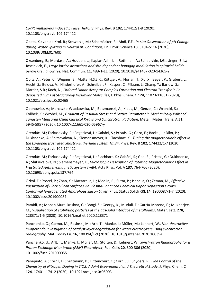*Co/Pt multilayers induced by laser helicity*, Phys. Rev. B **102**, 174412/1-8 (2020), 10.1103/physrevb.102.174412

Obata, K.; van de Krol, R.; Schwarze, M.; Schomäcker, R.; Abdi, F.F., *In-situ Observation of pH Change during Water Splitting in Neutral pH Conditions*, En. Envir. Science **13**, 5104-5116 (2020), 10.1039/D0EE01760D

Oksenberg, E.; Merdasa, A.; Houben, L.; Kaplan-Ashiri, I.; Rothman, A.; Scheblykin, I.G.; Unger, E. L.; Joselevich, E., *Large lattice distortions and size-dependent bandgap modulation in epitaxial halide perovskite nanowires*, Nat. Commun. **11**, 489/1-11 (2020), 10.1038/s41467-020-14365-2

Opitz, A.; Peter, C.; Wegner, B.; Matte, H.S.S.R.; Röttger, A.; Florian, T.; Xu, X.; Beyer, P.; Grubert, L.; Hecht, S.; Belova, V.; Hinderhofer, A.; Schreiber, F.; Kasper, C.; Pflaum, J.; Zhang, Y.; Barlow, S.; Marder, S.R.; Koch, N., *Ordered Donor-Acceptor Complex Formation and Electron Transfer in Codeposited Films of Structurally Dissimilar Molecules*, J. Phys. Chem. C **124**, 11023-11031 (2020), 10.1021/acs.jpcc.0c02465

Oponowicz, A.; Marciszko-Wiackowska, M.; Baczmanski, A.; Klaus, M.; Genzel, C.; Wronski, S.; Kollbek, K.; Wróbel, M., *Gradient of Residual Stress and Lattice Parameter in Mechanically Polished Tungsten Measured Using Classical X-rays and Synchrotron Radiation*, Metall. Mater. Trans. A **51**, 5945-5957 (2020), 10.1007/s11661-020-05967-y

Orendác, M.; Farkasovský, P.; Regeciová, L.; Gabáni, S.; Pristás, G.; Gazo, E.; Backai, J.; Diko, P.; Dukhnenko, A.; Shitsevalova, N.; Siemensmeyer, K.; Flachbart, K., *Tuning the magnetocaloric effect in the Lu-doped frustrated Shastry-Sutherland system TmB4*, Phys. Rev. B **102**, 174422/1-7 (2020), 10.1103/physrevb.102.174422

Orendác, M.; Farkasovský, P.; Regeciová, L.; Flachbart, K.; Gabáni, S.; Gao, E.; Pristás, G.; Dukhnenko, A.; Shitsevalova, N.; Siemensmeyer, K., *Microscopic Description of Rotating Magnetocaloric Effect in Frustrated Antiferromagnetic System TmB4*, Acta Phys. Pol. A **137**, 764-766 (2020), 10.12693/aphyspola.137.764

Özkol, E.; Procel, P.; Zhao, Y.; Mazzarella, L.; Medlin, R.; Sutta, P.; Isabella, O.; Zeman, M., *Effective Passivation of Black Silicon Surfaces via Plasma-Enhanced Chemical Vapor Deposition Grown Conformal Hydrogenated Amorphous Silicon Layer*, Phys. Status Solidi RRL **14**, 1900087/1-7 (2020), 10.1002/pssr.201900087

Pamidi, V.; Mohan Muralikrishna, G.; Bhogi, S.; Georgy, K.; Muduli, F.; García-Moreno, F.; Mukherjee, M., *Visualisation of stabilising particles at the gas-solid interface of metalfoams*, Mater. Lett. **278**, 128371/1-5 (2020), 10.1016/j.matlet.2020.128371

Panchenko, O.; Carmo, M.; Rasinski, M.; Arlt, T.; Manke, I.; Müller, M.; Lehnert, W., *Non-destructive in-operando investigation of catalyst layer degradation for water electrolyzers using synchrotron radiography*, Mat. Today En. **16**, 100394/1-9 (2020), 10.1016/j.mtener.2020.100394

Panchenko, U.; Arlt, T.; Manke, I.; Müller, M.; Stolten, D.; Lehnert, W., *Synchrotron Radiography for a Proton Exchange Membrane (PEM) Electrolyzer*, Fuel Cells **20**, 300-306 (2020), 10.1002/fuce.201900055

Panepinto, A.; Cornil, D.; Guttmann, P.; Bittencourt, C.; Cornil, J.; Snyders, R., *Fine Control of the Chemistry of Nitrogen Doping in TiO2: A Joint Experimental and Theoretical Study*, J. Phys. Chem. C **124**, 17401–17412 (2020), 10.1021/acs.jpcc.0c05003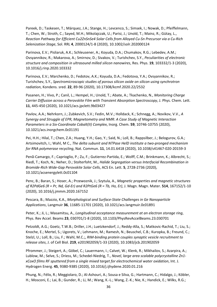Pareek, D.; Taskesen, T.; Márquez, J.A.; Stange, H.; Levcenco, S.; Simsek, I.; Nowak, D.; Pfeiffelmann, T.; Chen, W.; Stroth, C.; Sayed, M.H.; Mikolajczak, U.; Parisi, J.; Unold, T.; Mainz, R.; Gütay, L., *Reaction Pathway for Efficient Cu2ZnSnSe4 Solar Cells from Alloyed Cu-Sn Precursor via a Cu-Rich Selenization Stage*, Sol. RRL **4**, 2000124/1-8 (2020), 10.1002/solr.202000124

Parinova, E.V.; Pisliaruk, A.K.; Schleusener, A.; Koyuda, D.A.; Chumakov, R.G.; Lebedev, A.M.; Ovsyannikov, R.; Makarova, A.; Smirnov, D.; Sivakov, V.; Turishchev, S.Y., *Peculiarities of electronic structure and composition in ultrasound milled silicon nanowires*, Res. Phys. **19**, 103332/1-3 (2020), 10.1016/j.rinp.2020.103332

Parinova, E.V.; Marchenko, D.; Fedotov, A.K.; Koyuda, D.A.; Fedotova, Y.A.; Ovsyannikov, R.; Turishchev, S.Y., *Spectromicroscopic studies of porous silicon oxide on silicon using synchrotron radiation*, Kondens. sred. **22**, 89-96 (2020), 10.17308/kcmf.2020.22/2532

Pasanen, H.; Vivo, P.; Canil, L.; Hempel, H.; Unold, T.; Abate, A.; Tkachenko, N., *Monitoring Charge Carrier Diffusion across a Perovskite Film with Transient Absorption Spectroscopy*, J. Phys. Chem. Lett. **11**, 445-450 (2020), 10.1021/acs.jpclett.9b03427

Pavlov, A.A.; Nehrkorn, J.; Zubkevich, S.V.; Fedin, M.V.; Holldack, K.; Schnegg, A.; Novikov, V.V., *A Synergy and Struggle of EPR, Magnetometry and NMR: A Case Study of Magnetic Interaction Parameters in a Six-Coordinate Cobalt(II) Complex*, Inorg. Chem. **59**, 10746-10755 (2020), 10.1021/acs.inorgchem.0c01191

Pei, H.H.; Hilal, T.; Chen, Z.A.; Huang, Y.H.; Gao, Y.; Said, N.; Loll, B.; Rappsilber, J.; Belogurov, G.A.; Artsimovitch, I.; Wahl, M C., *The delta subunit and NTPase HelD institute a two-pronged mechanism for RNA polymerase recycling*, Nat. Commun. **11**, 14.01.6418 (2020), 10.1038/s41467-020-20159-3

Penã-Camargo, F.; Caprioglio, P.; Zu, F.; Gutierrez-Partida, E.; Wolff, C.M.; Brinkmann, K.; Albrecht, S.; Riedl, T.; Koch, N.; Neher, D.; Stolterfoht, M., *Halide Segregation versus Interfacial Recombination in Bromide-Rich Wide-Gap Perovskite Solar Cells*, ACS En. Lett. **5**, 2728-2736 (2020), 10.1021/acsenergylett.0c01104

Penc, B.; Baran, S.; Hoser, A.; Przewoznik, J.; Szytula, A., *Magnetic properties and magnetic structures of R2PdGe6 (R = Pr, Nd, Gd-Er) and R2PtGe6 (R = Tb, Ho, Er)*, J. Magn. Magn. Mater. **514**, 167152/1-10 (2020), 10.1016/j.jmmm.2020.167152

Pescara, B.; Mazzio, K.A., *Morphological and Surface-State Challenges in Ge Nanoparticle Applications*, Langmuir **36**, 11685-11701 (2020), 10.1021/acs.langmuir.0c01891

Peter, K.; Ji, L.; Masamitsu, A., *Longitudinal acceptance measurement at an electron storage ring*, Phys. Rev Accel. Beams **23**, 030701/1-8 (2020), 10.1103/PhysRevAccelBeams.23.030701

Petzoldt, A.G.; Goetz, T.W.B.; Driller, J.H.; Luetzkendorf, J.; Reddy-Alla, S.; Matkovic-Rachid, T.; Liu, S.; Knoche, E.; Mertel, S.; Ugorets, V.; Lehmann, M.; Ramesh, N.; Beuschel, C.B.; Kuropka, B.; Freund, C.; Stelzl, U.; Loll, B.; Liu, F.; Wahl, M.C.;, *RIM-binding protein couples synaptic vesicle recruitment to release sites*, J. of Cell Biol. **219**, e201902059/1-33 (2020), 10.1083/jcb.201902059

Pfrommer, J.; Steigert, A.; Göbel, C.; Lauermann, I.; Calvet, W.; Klenk, R.; Mikhailov, S.; Azarpira, A.; Lublow, M.; Selve, S.; Driess, M.; Schedel-Niedrig, T., *Novel, large area scalable polycrystalline Zn1 xCoxO films RF sputtered from a single mixed target for electrochemical water oxidation*, Int. J. Hydrogen Energ. **45**, 9380-9385 (2020), 10.1016/j.ijhydene.2020.01.216

Phung, N.; Félix, R.; Meggiolaro, D.; Al-Ashouri, A.; Sousa e Silva, G.; Hartmann, C.; Hidalgo, J.; Köbler, H.; Mosconi, E.; Lai, B.; Gunder, R.; Li, M.; Wang, K.-L.; Wang, Z.-K.; Nie, K.; Handick, E.; Wilks, R.G.;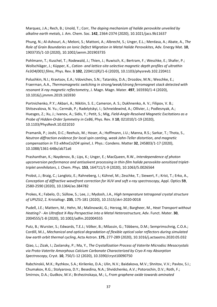Marquez, J.A.; Rech, B.; Unold, T.; Corr, *The doping mechanism of halide perovskite unveiled by alkaline earth metals*, J. Am. Chem. Soc. **142**, 2364-2374 (2020), 10.1021/jacs.9b11637

Phung, N.; Al-Ashouri, A.; Meloni, S.; Mattoni, A.; Albrecht, S.; Unger, E.L.; Merdasa, A.; Abate, A., *The Role of Grain Boundaries on Ionic Defect Migration in Metal Halide Perovskites*, Adv. Energy Mat. **10**, 1903735/1-10 (2020), 10.1002/aenm.201903735

Pohlmann, T.; Kuschel, T.; Rodewald, J.; Thien, J.; Ruwisch, K.; Bertram, F.; Weschke, E.; Shafer, P.; Wollschläger, J.; Küpper, K., *Cation- and lattice-site-selective magnetic depth profiles of ultrathin Fe3O4(001) films*, Phys. Rev. B **102**, 220411(R)/1-6 (2020), 10.1103/physrevb.102.220411

Polushkin, N.I.; Kravtsov, E.A.; Vdovichev, S.N.; Tatarskiy, D.A.; Drozdov, M.N.; Weschke, E.; Fraerman, A.A., *Thermomagnetic switching in strong/weak/strong ferromagnet stack detected with resonant X-ray magnetic reflectometry*, J. Magn. Magn. Mater. **497**, 165930/1-4 (2020), 10.1016/j.jmmm.2019.165930

Portnichenko, P.Y.; Akbari, A.; Nikitin, S. E.; Cameron, A. S.; Dukhnenko, A. V.; Filipov, V. B.; Shitsevalova, N. Yu.; Cermák, P.; Radelytskyi, I.; Schneidewind, A.; Ollivier, J.; Podlesnyak, A.; Huesges, Z.; Xu, J.; Ivanov, A.; Sidis, Y.; Petit, S.; Mig, *Field-Angle-Resolved Magnetic Excitations as a Probe of Hidden-Order Symmetry in CeB6*, Phys. Rev. X **10**, 021010/1-19 (2020), 10.1103/PhysRevX.10.021010

Pramanik, P.; Joshi, D.C.; Reehuis, M.; Hoser, A.; Hoffmann, J.U.; Manna, R.S.; Sarkar, T.; Thota, S., *Neutron diffraction evidence for local spin canting, weak Jahn-Teller distortion, and magnetic compensation in Ti1-xMnxCo2O4 spinel*, J. Phys.: Condens. Matter **32**, 245803/1-17 (2020), 10.1088/1361-648x/ab71a6

Prashanthan, K.; Naydenov, B.; Lips, K.; Unger, E.; MacQueen, R.W., *Interdependence of photon upconversion performance and antisolvent processing in thin-film halide perovskite-sensitized triplettriplet annihilators*, J. Chem. Phys. **153**, 164711/1-9 (2020), 10.1063/5.0026564

Probst, J.; Braig, C.; Langlotz, E.; Rahneberg, I.; Kühnel, M.; Zeschke, T.; Siewert, F.; Krist, T.; Erko, A., *Conception of diffractive wavefront correction for XUV and soft x-ray spectroscopy*, Appl. Optics **59**, 2580-2590 (2020), 10.1364/ao.384782

Prokes, K.; Fabelo, O.; Süllow, S.; Lee, J.; Mydosh, J.A., *High temperature tetragonal crystal structure of UPt2Si2*, Z. Kristallogr. **235**, 175-181 (2020), 10.1515/zkri-2020-0018

Pudell, J.E.; Mattern, M.; Hehn, M.; Malinowski, G.; Herzog, M.; Bargheer, M., *Heat Transport without Heating? - An Ultrafast X-Ray Perspective into a Metal Heterostructure*, Adv. Funct. Mater. **30**, 2004555/1-8 (2020), 10.1002/adfm.202004555

Putz, B.; Wurster, S.; Edwards, T.E.J.; Völker, B.; Milassin, G.; Többens, D.M.; Semprimschnig, C.O.A.; Cordill, M.J., *Mechanical and optical degradation of flexible optical solar reflectors during simulated low earth orbit thermal cycling*, Acta Astron. **175**, 277-289 (2020), 10.1016/j.actaastro.2020.05.032

Qiao, L.; Zizak, I.; Zaslansky, P.; Ma, Y., *The Crystallization Process of Vaterite Microdisc Mesocrystals via Proto-Vaterite Amorphous Calcium Carbonate Characterized by Cryo-X-ray Absorption Spectroscopy*, Cryst. **10**, 750/1-12 (2020), 10.3390/cryst10090750

Rabchinskii, M.K.; Ryzhkov, S.A.; Kirilenko, D.A.; Ulin, N.V.; Baidakova, M.V.; Shnitov, V.V.; Pavlov, S.I.; Chumakov, R.G.; Stolyarova, D.Y.; Besedina, N.A.; Shvidchenko, A.V.; Potorochin, D.V.; Roth, F.; Smirnov, D.A.; Gudkov, M.V.; Brzhezinskaya, M.; L, *From graphene oxide towards aminated*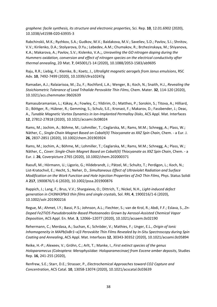*graphene: facile synthesis, its structure and electronic properties*, Sci. Rep. **10**, 12.01.6902 (2020), 10.1038/s41598-020-63935-3

Rabchinskii, M.K.; Ryzhkov, S.A.; Gudkov, M.V.; Baidakova, M.V.; Saveliev, S.D.; Pavlov, S.I.; Shnitov, V.V.; Kirilenko, D.A.; Stolyarova, D.Yu.; Lebedev, A.M.; Chumakov, R.; Brzhezinskaya, M.; Shiyanova, K.A.; Makarova, A.; Pavlov, S.V.; Kislenko, V.A.;, *Unraveling the GO nitrogen doping during the Hummers oxidation, conversion and effect of nitrogen species on the electrical conductivity after thermal annealing*, 2D Mat. **7**, 045001/1-14 (2020), 10.1088/2053-1583/ab9695

Raju, R.R.; Liebig, F.; Klemke, B.; Koetz, J., *Ultralight magnetic aerogels from Janus emulsions*, RSC Adv. **10**, 7492-7499 (2020), 10.1039/c9ra10247g

Ramadan, A.J.; Ralaiarisoa, M.; Zu, F.; Rochford, L.A.; Wenger, B.; Koch, N.; Snaith, H.J., *Revealing the Stoichiometric Tolerance of Lead Trihalide Perovskite Thin Films*, Chem. Mater. **32**, 114-120 (2020), 10.1021/acs.chemmater.9b02639

Ramasubramanian, L.; Kákay, A.; Fowley, C.; Yildirim, O.; Matthes, P.; Sorokin, S.; Titova, A.; Hilliard, D.; Böttger, R.; Hübner, R.; Gemming, S.; Schulz, S.E.; Kronast, F.; Makarov, D.; Fassbender, J.; Deac, A., *Tunable Magnetic Vortex Dynamics in Ion-Implanted Permalloy Disks*, ACS Appl. Mat. Interfaces **12**, 27812-27818 (2020), 10.1021/acsami.0c08024

Rams, M.; Jochim, A.; Böhme, M.; Lohmiller, T.; Ceglarska, M.; Rams, M.M.; Schnegg, A.; Plass, W.; Näther, C., *Single-Chain Magnet Based on Cobalt(II) Thiocyanate as XXZ Spin Chain*, Chem. - a Eur. J. **26**, 2837-2851 (2020), 10.1002/chem.201903924

Rams, M.; Jochim, A.; Böhme, M.; Lohmiller, T.; Ceglarska, M.; Rams, M.M.; Schnegg, A.; Plass, W.; Näther, C., *Cover: Single-Chain Magnet Based on Cobalt(II) Thiocyanate as XXZ Spin Chain*, Chem. - a Eur. J. **26**, Coverpicture 2765 (2020), 10.1002/chem.202000371

Raoufi, M.; Hörmann, U.; Ligorio, G.; Hildebrandt, J.; Pätzel, M.; Schultz, T.; Perdigon, L.; Koch, N.; List-Kratochvil, E.; Hecht, S.; Neher, D., *Simultaneous Effect of Ultraviolet Radiation and Surface Modification on the Work Function and Hole Injection Properties of ZnO Thin Films*, Phys. Status Solidi A **217**, 1900876/1-6 (2020), 10.1002/pssa.201900876

Rappich, J.; Lang, F.; Brus, V.V.; Shargaieva, O.; Dittrich, T.; Nickel, N.H., *Light-induced defect generation in CH3NH3PbI3 thin films and single crystals*, Sol. RRL **4**, 1900216/1-6 (2020), 10.1002/solr.201900216

Regue, M.; Ahmet, I.Y.; Bassi, P.S.; Johnson, A.L.; Fiechter, S.; van de Krol, R.; Abdi, F.F.; Eslava, S., *Zn-Doped Fe2TiO5 Pseudobrookite-Based Photoanodes Grown by Aerosol-Assisted Chemical Vapor Deposition*, ACS Appl. En. Mat. **3**, 12066–12077 (2020), 10.1021/acsaem.0c02190

Rehermann, C.; Merdasa, A.; Suchan, K.; Schröder, V.; Mathies, F.; Unger, E.L., *Origin of Ionic Inhomogeneity in MAPb(IxBr1–x)3 Perovskite Thin Films Revealed by In-Situ Spectroscopy during Spin Coating and Annealing*, ACS Appl. Mat. Interfaces **12**, 30343-30352 (2020), 10.1021/acsami.0c05894

Reike, H.-P.; Alexeev, V.; Gröhn, C.; Arlt, T.; Manke, I., *First extinct species of the genus Holoparamecus (Coleoptera: Merophysiidae: Holoparamecinae) from Eocene amber deposits*, Studies Rep. **16**, 241-255 (2020),

Renfrew, S.E.; Starr, D.E.; Strasser, P., *Electrochemical Approaches toward CO2 Capture and Concentration*, ACS Catal. **10**, 13058-13074 (2020), 10.1021/acscatal.0c03639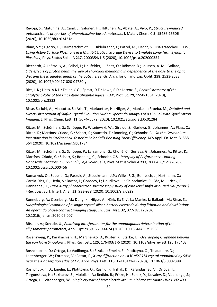Revoju, S.; Matuhina, A.; Canil, L.; Salonen, H.; Hiltunen, A.; Abate, A.; Vivo, P., *Structure-induced optoelectronic properties of phenothiazine-based materials*, J. Mater. Chem. C **8**, 15486-15506 (2020), 10.1039/d0tc03421e

Rhim, S.Y.; Ligorio, G.; Hermerschmidt, F.; Hildebrandt, J.; Pätzel, M.; Hecht, S.; List-Kratochvil, E.J.W., *Using Active Surface Plasmons in a Multibit Optical Storage Device to Emulate Long-Term Synaptic Plasticity*, Phys. Status Solidi A **217**, 2000354/1-5 (2020), 10.1002/pssa.202000354

Riechardt, A.I.; Stroux, A.; Seibel, I.; Heufelder, J.; Zeitz, O.; Böhmer, D.; Joussen, A. M.; Gollrad, J., *Side effects of proton beam therapy of choroidal melanoma in dependence of the dose to the optic disc and the irradiated lengh of the optic nerve*, Gr. Arch. for Cl. and Exp. Opht. **258**, 2523-2533 (2020), 10.1007/s00417-020-04780-y

Ries, L.K.; Liess, A.K.L.; Feiler, C.G.; Spratt, D.E.; Lowe, E.D.; Lorenz, S., *Crystal structure of the catalytic C-lobe of the HECT-type ubiquitin ligase E6AP*, Prot. Sc. **29**, 1550-1554 (2020), 10.1002/pro.3832

Risse, S.; Juhl, A.; Mascotto, S.; Arlt, T.; Markoetter, H.; Hilger, A.; Manke, I.; Froeba, M., *Detailed and Direct Observation of Sulfur Crystal Evolution During Operando Analysis of a Li-S Cell with Synchrotron Imaging*, J. Phys. Chem. Lett. **11**, 5674–5679 (2020), 10.1021/acs.jpclett.0c01284

Ritzer, M.; Schönherr, S.; Schöppe, P.; Wisniewski, W.; Giraldo, S.; Gurieva, G.; Johannes, A.; Plass, C.; Ritter, K.; Martínez-Criado, G.; Schorr, S.; Saucedo, E.; Ronning, C.; Schnohr, C., *On the Germanium Incorporation in Cu2ZnSnSe4 Kesterite Solar Cells Boosting Their Efficiency*, ACS Appl. En. Mat. **3**, 558- 564 (2020), 10.1021/acsaem.9b01784

Ritzer, M.; Schönherr, S.; Schöppe, P.; Larramona, G.; Choné, C.; Gurieva, G.; Johannes, A.; Ritter, K.; Martínez-Criado, G.; Schorr, S.; Ronning, C.; Schnohr, C.S., *Interplay of Performance-Limiting Nanoscale Features in Cu2ZnSn(S,Se)4 Solar Cells*, Phys. Status Solidi A **217**, 2000456/1-9 (2020), 10.1002/pssa.202000456

Romanyuk, O.; Supplie, O.; Paszuk, A.; Stoeckmann, J.P.; Wilks, R.G.; Bombsch, J.; Hartmann, C.; Garcia-Diez, R.; Ueda, S.; Bartos, I.; Gordeev, I.; Houdkova, J.; Kleinschmidt, P.; Bär, M.; Jiricek, P.; Hannappel, T., *Hard X-ray photoelectron spectroscopy study of core level shifts at buried GaP/Si(001) interfaces*, Surf. Interf. Anal. **52**, 933-938 (2020), 10.1002/sia.6829

Ronneburg, A.; Osenberg, M.; Dong, K.; Hilger, A.; Härk, E.; Silvi, L.; Manke, I.; Ballauff, M.; Risse, S., *Morphological evolution of a single crystal silicon battery electrode during lithiation and delithiation: An operando phase-contrast imaging study*, En. Stor. Mat. **32**, 377-385 (2020), 10.1016/j.ensm.2020.06.007

Röseler, A.; Schade, U., *Polarizing interferometer for the unambiguous determination of the ellipsometric parameters*, Appl. Optics **59**, 6619-6624 (2020), 10.1364/AO.392538

Rosenzweig, P.; Karakachian, H.; Marchenko, D.; Küster, K.; Starke, U., *Overdoping Graphene Beyond the van Hove Singularity*, Phys. Rev. Lett. **125**, 176403/1-6 (2020), 10.1103/physrevlett.125.176403

Roshchupkin, D.; Ortega, L.; Vadilonga, S.; Zizak, I.; Emelin, E.; Plotitcyna, O.; Thiaudiere, D.; Leitenberger, W.; Formoso, V.; Fettar, F., *X-ray diffraction on La3Ga5SiO14 crystal modulated by SAW near the K absorption edge of Ga*, Appl. Phys. Lett. **116**, 174101/1-4 (2020), 10.1063/5.0002388

Roshchupkin, D.; Emelin, E.; Plotitcyna, O.; Rashid, F.; Irzhak, D.; Karandashev, V.; Orlova, T.; Targonskaya, N.; Sakharov, S.; Mololkin, A.; Redkin, B.; Fritze, H.; Suhak, Y.; Kovalev, D.; Vadilonga, S.; Ortega, L.; Leitenberger, W., *Single crystals of ferroelectric lithium niobate-tantalate LiNb1-xTaxO3*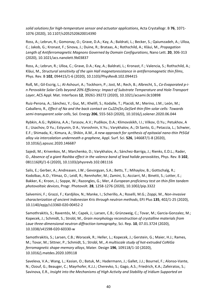*solid solutions for high-temperature sensor and actuator applications*, Acta Crystallogr. B **76**, 1071- 1076 (2020), 10.1107/s2052520620014390

Ross, A.; Lebrun, R.; Gomonay, O.; Grave, D.A.; Kay, A.; Baldrati, L.; Becker, S.; Qaiumzadeh, A.; Ulloa, C.; Jakob, G.; Kronast, F.; Sinova, J.; Duine, R.; Brataas, A.; Rothschild, A.; Kläui, M., *Propagation Length of Antiferromagnetic Magnons Governed by Domain Configurations*, Nano Lett. **20**, 306-313 (2020), 10.1021/acs.nanolett.9b03837

Ross, A.; Lebrun, R.; Ulloa, C.; Grave, D.A.; Kay, A.; Baldrati, L.; Kronast, F.; Valencia, S.; Rothschild, A.; Kläui, M., *Structural sensitivity of the spin Hall magnetoresistance in antiferromagnetic thin films*, Phys. Rev. B **102**, 094415/1-6 (2020), 10.1103/PhysRevB.102.094415

Roß, M.; Gil-Escrig, L.; Al-Ashouri, A.; Tockhorn, P.; Jost, M.; Rech, B.; Albrecht, S., *Co-Evaporated p-in Perovskite Solar Cells beyond 20% Efficiency: Impact of Substrate Temperature and Hole-Transport Layer*, ACS Appl. Mat. Interfaces **12**, 39261-39272 (2020), 10.1021/acsami.0c10898

Ruiz-Perona, A.; Sánchez, Y.; Guc, M.; Khelifi, S.; Kodalle, T.; Placidi, M.; Merino, J.M.; León, M.; Caballero, R., *Effect of Na and the back contact on Cu2Zn(Sn,Ge)Se4 thin-film solar cells: Towards semi-transparent solar cells*, Sol. Energy **206**, 555-563 (2020), 10.1016/j.solener.2020.06.044

Rybkin, A.G.; Rybkina, A.A.; Tarasov, A.V.; Pudikov, D.A.; Klimovskikh, I.I.; Vilkov, O.Yu.; Petukhov, A E.; Usachov, D Yu.; Estyunin, D A.; Voroshnin, V.Yu.; Varykhalov, A.; Di Santo, G.; Petaccia, L.; Schwier, E.F.; Shimada, K.; Kimura, A.; Shikin, A.M., *A new approach for synthesis of epitaxial nano-thin Pt5Gd alloy via intercalation underneath a graphene*, Appl. Surf. Sci. **526**, 146687/1-8 (2020), 10.1016/j.apsusc.2020.146687

Sajedi, M.; Krivenkov, M.; Marchenko, D.; Varykhalov, A.; Sánchez-Barriga, J.; Rienks, E.D.L.; Rader, O., *Absence of a giant Rashba effect in the valence band of lead halide perovskites*, Phys. Rev. B **102**, 081116(R)/1-6 (2020), 10.1103/physrevb.102.081116

Salis, E.; Gerber, A.; Andreasen, J.W.; Gevorgyan, S.A.; Betts, T.; Mihaylov, B.; Gottschalg, R.; Kodolbas, A.O.; Yilmaz, O.; Leidl, R.; Rennhofer, M.; Zamini, S.; Acciarri, M.; Binetti, S.; Lotter, E.; Bakker, K.; Kroon, J.; Soppe, W.; Razongles, G.; Mer, *A European proficiency test on thin-film tandem photovoltaic devices*, Progr. Photovolt. **28**, 1258-1276 (2020), 10.1002/pip.3322

Salvemini, F.; Grazzi, F.; Kardjilov, N.; Manke, I.; Scherillo, A.; Roselli, M.G.; Zoppi, M., *Non-invasive characterization of ancient Indonesian Kris through neutron methods*, EPJ Plus **135**, 402/1-25 (2020), 10.1140/epjp/s13360-020-00452-2

Samothrakitis, S.; Raventós, M.; Capek, J.; Larsen, C.B.; Grünzweig, C.; Tovar, M.; Garcia-Gonzalez, M.; Kopecek, J.; Schmidt, S.; Strobl, M., *Grain morphology reconstruction of crystalline materials from Laue three-dimensional neutron diffraction tomography*, Sci. Rep. **10**, 07.01.3724 (2020), 10.1038/s41598-020-60330-w

Samothrakitis, S.; Larsen, C.B.; Woracek, R.; Heller, L.; Kopecek, J.; Gerstein, G.; Maier, H.J.; Rames, M.; Tovar, M.; Sittner, P.; Schmidt, S.; Strobl, M., *A multiscale study of hot-extruded CoNiGa ferromagnetic shape-memory alloys*, Mater. Design **196**, 109118/1-10 (2020), 10.1016/j.matdes.2020.109118

Saveleva, V.A.; Wang, L.; Kasian, O.; Batuk, M.; Hadermann, J.; Gallet, J.J.; Bournel, F.; Alonso-Vante, N.; Ozouf, G.; Beauger, C.; Mayrhofer, K.J.J.; Cherevko, S.; Gago, A.S.; Friedrich, K.A.; Zafeiratos, S.; Savinova, E.R., *Insight into the Mechanisms of High Activity and Stability of Iridium Supported on*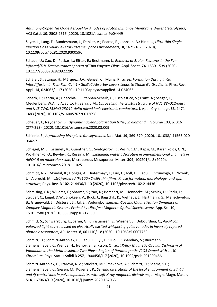*Antimony-Doped Tin Oxide Aerogel for Anodes of Proton Exchange Membrane Water Electrolyzers*, ACS Catal. **10**, 2508-2516 (2020), 10.1021/acscatal.9b04449

Sayre, L.; Lang, F.; Bundesmann, J.; Denker, A.; Pearce, P.; Johnson, A.; Hirst, L., *Ultra-thin Singlejunction GaAs Solar Cells for Extreme Space Environments*, **0**, 1621-1625 (2020), 10.1109/pvsc45281.2020.9300596

Schade, U.; Cao, D.; Puskar, L.; Ritter, E.; Beckmann, J., *Removal of Etalon Features in the Farinfrared/THz Transmittance Spectra of Thin Polymer Films*, Appl. Spect. **74**, 1530-1539 (2020), 10.1177/0003702820922295

Schäfer, S.; Stange, H.; Márquez, J.A.; Genzel, C.; Mainz, R., *Stress Formation During In-Ga Interdiffusion in Thin-Film CuIn1-xGaxSe2 Absorber Layers Leads to Stable Ga Gradients*, Phys. Rev. Appl. **14**, 024063/1-17 (2020), 10.1103/physrevapplied.14.024063

Scherb, T.; Fantin, A.; Checchia, S.; Stephan-Scherb, C.; Escolastico, S.; Franz, A.; Seeger, J.; Meulenberg, W.A.; d'Acapito, F.; Serra, J.M., *Unravelling the crystal structure of Nd5.8WO12-delta and Nd5.7W0.75Mo0.25O12-delta mixed ionic electronic conductors*, J. Appl. Crystallogr. **53**, 1471- 1483 (2020), 10.1107/S1600576720012698

Scheuer, J.; Naydenov, B., *Dynamic nuclear polarization (DNP) in diamond*, , Volume 103, p. 316 (277-293) (2020), 10.1016/bs.semsem.2020.03.009

Schierle, E., *A promising birthplace for skyrmions*, Nat. Mat. **19**, 369-370 (2020), 10.1038/s41563-020- 0642-7

Schlegel, M.C.; Grzimek, V.; Guenther, G.; Svetogorov, R.; Veziri, C.M.; Kapsi, M.; Karanikolos, G.N.; Prokhnenko, O.; Bewley, R.; Russina, M., *Explaining water adsorption in one-dimensional channels in AlPO4-5 on molecular scale*, Microporous Mesoporous Mater. **304**, 109201/1-8 (2020), 10.1016/j.micromeso.2018.11.025

Schmidt, N.Y.; Mondal, R.; Donges, A.; Hintermayr, J.; Luo, C.; Ryll, H.; Radu, F.; Szunyogh, L.; Nowak, U.; Albrecht, M., *L1(0)-ordered (Fe100-xCrx)Pt thin films: Phase formation, morphology, and spin structure*, Phys. Rev. B **102**, 214436/1-10 (2020), 10.1103/physrevb.102.214436

Schmising, C.K.; Willems, F.; Sharma, S.; Yao, K.; Borchert, M.; Hennecke, M.; Schick, D.; Radu, I.; Strüber, C.; Engel, D.W.; Shokeen, V.; Buck, J.; Bagschik, K.; Viefhaus, J.; Hartmann, G.; Manschwetus, B.; Grunewald, S.; Düsterer, S.; Jal, E.; Vodungbo, *Element-Specific Magnetization Dynamics of Complex Magnetic Systems Probed by Ultrafast Magneto-Optical Spectroscopy*, App. Sci. **10**, 15.01.7580 (2020), 10.3390/app10217580

Schmitt, S.; Schwarzburg, K.; Sarau, G.; Christiansen, S.; Wiesner, S.; Dubourdieu, C., *All-silicon polarized light source based on electrically excited whispering gallery modes in inversely tapered photonic resonators*, APL Mater. **8**, 061110/1-8 (2020), 10.1063/5.0007759

Schmitz, D.; Schmitz-Antoniak, C.; Radu, F.; Ryll, H.; Luo, C.; Bhandary, S.; Biermann, S.; Siemensmeyer, K.; Wende, H.; Ivanov, S.; Eriksson, O., *Soft X-Ray Magnetic Circular Dichroism of Vanadium in the Metal-Insulator Two-Phase Region of Paramagnetic V2O3 Doped with 1.1% Chromium*, Phys. Status Solidi B **257**, 1900456/1-7 (2020), 10.1002/pssb.201900456

Schmitz-Antoniak, C.; Izarova, N.V.; Stuckart, M.; Smekhova, A.; Schmitz, D.; Shams, S.F.; Siemensmeyer, K.; Giesen, M.; Kögerler, P., *Sensing alterations of the local environment of 3d, 4d, and 4f central ions in polyoxopalladates with soft X-ray magnetic dichroisms*, J. Magn. Magn. Mater. **514**, 167063/1-9 (2020), 10.1016/j.jmmm.2020.167063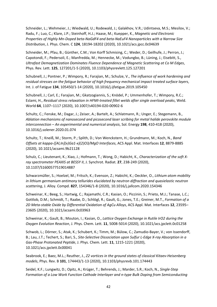Schneider, L.; Wehmeier, J.; Wiedwald, U.; Rodewald, J.; Galakhov, V.R.; Udintseva, M.S.; Mesilov, V.; Radu, F.; Luo, C.; Klare, J.P.; Steinhoff, H.J.; Haase, M.; Kuepper, K., *Magnetic and Electronic Properties of Highly Mn-Doped beta-NaGdF4 and beta-NaEuF4 Nanoparticles with a Narrow Size Distribution*, J. Phys. Chem. C **124**, 18194-18202 (2020), 10.1021/acs.jpcc.0c04639

Schneider, M.; Pfau, B.; Günther, C.M.; Von Korff Schmising, C.; Weder, D.; Geilhufe, J.; Perron, J.; Capotondi, F.; Pedersoli, E.; Manfredda, M.; Hennecke, M.; Vodungbo, B.; Lüning, J.; Eisebitt, S., *Ultrafast Demagnetization Dominates Fluence Dependence of Magnetic Scattering at Co M Edges*, Phys. Rev. Lett. **125**, 127201/1-5 (2020), 10.1103/physrevlett.125.127201

Schubnell, J.; Pontner, P.; Wimpory, R.; Farajian, M.; Schulze, V., *The influence of work hardening and residual stresses on the fatigue behavior of high frequency mechanical impact treated surface layers*, Int. J. of Fatigue **134**, 105450/1-14 (2020), 10.1016/j.ijfatigue.2019.105450

Schubnell, J.; Carl, E.; Farajian, M.; Gkatzogiannis, S.; Knödel, P.; Ummenhofer, T.; Wimpory, R.C.; Eslami, H., *Residual stress relaxation in HFMI-treated fillet welds after single overload peaks*, Weld. World **64**, 1107–1117 (2020), 10.1007/s40194-020-00902-6

Schultz, C.; Fenske, M.; Dagar, J.; Zeiser, A.; Bartelt, A.; Schlatmann, R.; Unger, E.; Stegemann, B., *Ablation mechanisms of nanosecond and picosecond laser scribing for metal halide perovskite module interconnection – An experimental and numerical analysis*, Sol. Energy **198**, 410-418 (2020), 10.1016/j.solener.2020.01.074

Schultz, T.; Kneiß, M.; Storm, P.; Splith, D.; Von Wenckstern, H.; Grundmann, M.; Koch, N., *Band Offsets at kappa-([Al,In](x)Ga1-x)(2)O3/MgO Interfaces*, ACS Appl. Mat. Interfaces **12**, 8879-8885 (2020), 10.1021/acsami.9b21128

Schulz, C.; Lieutenant, K.; Xiao, J.; Hofmann, T.; Wong, D.; Habicht, K., *Characterization of the soft Xray spectrometer PEAXIS at BESSY II*, J. Synchrot. Radiat. **27**, 238-249 (2020), 10.1107/S1600577519014887

Schwarzmüller, S.; Hoelzel, M.; Fritsch, K.; Evenson, Z.; Habicht, K.; Oeckler, O., *Lithium atom mobility in lithium germanium antimony tellurides elucidated by neutron diffraction and quasielastic neutron scattering*, J. Alloy. Compd. **827**, 154346/1-8 (2020), 10.1016/j.jallcom.2020.154346

Schweinar, K.; Beeg, S.; Hartwig, C.; Rajamathi, C.R.; Kasian, O.; Piccinin, S.; Prieto, M.J.; Tanase, L.C.; Gottlob, D.M.; Schmidt, T.; Raabe, D.; Schlögl, R.; Gault, G.; Jones, T.E.; Greiner, M.T., *Formation of a 2D Meta-stable Oxide by Differential Oxidation of AgCu Alloys*, ACS Appl. Mat. Interfaces **12**, 23595– 23605 (2020), 10.1021/acsami.0c03963

Schweinar, K.; Gault, B.; Mouton, I.; Kasian, O., *Lattice Oxygen Exchange in Rutile IrO2 during the Oxygen Evolution Reaction*, J. Phys. Chem. Lett. **11**, 5008-5014 (2020), 10.1021/acs.jpclett.0c01258

Schwob, L.; Dörner, S.; Atak, K.; Schubert, K.; Timm, M.; Bülow, C.; Zamudio-Bayer, V.; von Issendorff, B.; Lau, J.T.; Techert, S.; Bari, S., *Site-Selective Dissociation upon Sulfur L-Edge X-ray Absorption in a Gas-Phase Protonated Peptide*, J. Phys. Chem. Lett. **11**, 1215-1221 (2020), 10.1021/acs.jpclett.0c00041

Seabrook, E.; Baez, M.L.; Reuther, J., *Z2 vortices in the ground states of classical Kitaev-Heisenberg models*, Phys. Rev. B **101**, 174443/1-13 (2020), 10.1103/physrevb.101.174443

Seidel, K.F.; Lungwitz, D.; Opitz, A.; Krüger, T.; Behrends, J.; Marder, S.R.; Koch, N., *Single-Step Formation of a Low Work Function Cathode Interlayer and n-type Bulk Doping from Semiconducting*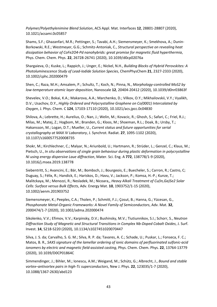*Polymer/Polyethylenimine Blend Solution*, ACS Appl. Mat. Interfaces **12**, 28801-28807 (2020), 10.1021/acsami.0c05857

Shams, S.F.; Ghazanfari, M.R.; Pettinger, S.; Tavabi, A.H.; Siemensmeyer, K.; Smekhova, A.; Dunin-Borkowski, R.E.; Westmeyer, G.G.; Schmitz-Antoniak, C., *Structural perspective on revealing heat dissipation behavior of CoFe2O4-Pd nanohybrids: great promise for magnetic fluid hyperthermia*, Phys. Chem. Chem. Phys. **22**, 26728-26741 (2020), 10.1039/d0cp02076a

Shargaieva, O.; Kuske, L.; Rappich, J.; Unger, E.; Nickel, N.H., *Building Blocks of Hybrid Perovskites: A Photoluminescence Study of Lead-Iodide Solution Species*, ChemPhysChem **21**, 2327-2333 (2020), 10.1002/cphc.202000479

Shen, C.; Raza, M.H.; Amsalem, P.; Schultz, T.; Koch, N.; Pinna, N., *Morphology-controlled MoS2 by low-temperature atomic layer deposition*, Nanoscale **12**, 20404-20412 (2020), 10.1039/d0nr03863f

Shevelev, V.O.; Bokai, K.A.; Makarova, A.A.; Marchenko, D.; Vilkov, O.Y.; Mikhailovskii, V.Y.; Vyalikh, D.V.; Usachov, D.Y., *Highly Ordered and Polycrystalline Graphene on Co(0001) Intercalated by Oxygen*, J. Phys. Chem. C **124**, 17103-17110 (2020), 10.1021/acs.jpcc.0c04830

Shilova, A.; Lebrette, H.; Aurelius, O.; Nan, J.; Welin, M.; Kovacic, R.; Ghosh, S.; Safari, C.; Friel, R.J.; Milas, M.; Matej, Z.; Hogbom, M.; Branden, G.; Kloos, M.; Shoeman, R.L.; Doak, B.; Ursby, T.; Hakansson, M.; Logan, D.T.; Mueller, U., *Current status and future opportunities for serial crystallography at MAX IV Laboratory*, J. Synchrot. Radiat. **27**, 1095-1102 (2020), 10.1107/s1600577520008735

Shokr, M.; Kirchlechner, C.; Malyar, N.; Ariunbold, U.; Hartmann, R.; Strüder, L.; Genzel, C.; Klaus, M.; Pietsch, U., *In situ observations of single grain behaviour during plastic deformation in polycrystalline Ni using energy dispersive Laue diffraction*, Mater. Sci. Eng. A **772**, 138778/1-9 (2020), 10.1016/j.msea.2019.138778

Siebentritt, S.; Avancini, E.; Bär, M.; Bombsch, J.; Bourgeois, E.; Buecheler, S.; Carron, R.; Castro, C; Duguay, S.; Félix, R.; Handick, E.; Hariskos, D.; Havu, V.; Jackson, P.; Komsa, H.-P.; Kunze, T.; Malitckaya, M.; Menozzi, R.; Nesladek, M.; Nicoara,, *Heavy Alkali Treatment of Cu(In,Ga)Se2 Solar Cells: Surface versus Bulk Effects*, Adv. Energy Mat. **10**, 1903752/1-15 (2020), 10.1002/aenm.201903752

Siemensmeyer, K.; Peeples, C.A.; Tholen, P.; Schmitt, F.J.; Çosut, B.; Hanna, G.; Yücesan, G., *Phosphonate Metal-Organic Frameworks: A Novel Family of Semiconductors*, Adv. Mat. **32**, 2000474/1-7 (2020), 10.1002/adma.202000474

Sikolenko, V.V.; Efimov, V.V.; Karpinsky, D.V.; Bushinsky, M.V.; Tiutiunnikov, S.I.; Schorr, S., *Neutron Diffraction Study of Magnetic and Structural Transitions in Complex Nb-Doped Cobalt Oxides*, J. Surf. Invest. **14**, S218-S220 (2020), 10.1134/s1027451020070447

Silva, J. S. da; Carvalho, S. G. M.; Silva, R. P. da; Tavares, A. C.; Schade, U.; Puskar, L.; Fonseca, F. C.; Matos, B. R., *SAXS signature of the lamellar ordering of ionic domains of perfluorinated sulfonic-acid ionomers by electric and magnetic field-assisted casting*, Phys. Chem. Chem. Phys. **22**, 13764-13779 (2020), 10.1039/D0CP01864C

Simmendinger, J.; Bihler, M.; Ionescu, A.M.; Weigand, M.; Schütz, G.; Albrecht, J., *Bound and stable vortex–antivortex pairs in high-Tc superconductors*, New J. Phys. **22**, 123035/1-7 (2020), 10.1088/1367-2630/abd123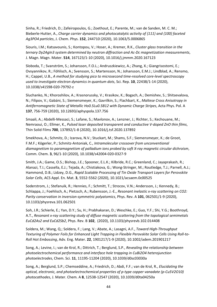Sinha, R.; Friedrich, D.; Zafeiropoulos, G.; Zoethout, E.; Parente, M.; van de Sanden, M. C. M.; Bieberle-Hutter, A., *Charge carrier dynamics and photocatalytic activity of {111} and {100} faceted Ag3PO4 particles*, J. Chem. Phys. **152**, 244710 (2020), 10.1063/5.0006865

Siouris, I.M.; Katsavounis, S.; Kontopou, V.; Hoser, A.; Kremer, R.K., *Cluster glass transition in the ternary Dy2AgIn3 system determined by neutron diffraction and Ac-Dc magnetization measurements*, J. Magn. Magn. Mater. **514**, 167123/1-10 (2020), 10.1016/j.jmmm.2020.167123

Sloboda, T.; Svanström, S.; Johansson, F.O.L.; Andruszkiewicz, A.; Zhang, X.; Giangrisostomi, E.; Ovsyannikov, R.; Föhlisch, A.; Svensson, S.; Martensson, N.; Johansson, E.M.J.; Lindblad, A.; Rensmo, H.; Cappel, U.B., *A method for studying pico to microsecond time-resolved core-level spectroscopy used to investigate electron dynamics in quantum dots*, Sci. Rep. **10**, 22438/1-14 (2020), 10.1038/s41598-020-79792-z

Sluchanko, N.; Khoroshilov, A.; Krasnorussky, V.; Krasikov, K.; Bogach, A.; Demishev, S.; Shitsevalova, N.; Filipov, V.; Gabáni, S.; Siemensmeyer, K.; Gavrilkin, S.; Flachbart, K., *Maltese Cross Anisotropy in Antiferromagnetic State of Metallic Ho0.5Lu0.5B12 with Dynamic Charge Stripes*, Acta Phys. Pol. A **137**, 756-759 (2020), 10.12693/aphyspola.137.756

Smaali, A.; Abdelli-Messaci, S.; Lafane, S.; Mavlonov, A.; Lenzner, J.; Richter, S.; Kechouane, M.; Nemraoui, O.; Ellmer, K., *Pulsed laser deposited transparent and conductive V-doped ZnO thin films*, Thin Solid Films **700**, 137892/1-8 (2020), 10.1016/j.tsf.2020.137892

Smekhova, A.; Schmitz, D.; Izarova, N.V.; Stuckart, M.; Shams, S.F.; Siemensmeyer, K.; de Groot, F.M.F.; Kögerler, P.; Schmitz-Antoniak, C., *Intramolecular crossover from unconventional diamagnetism to paramagnetism of palladium ions probed by soft X-ray magnetic circular dichroism*, Comm. Chem. **3**, 96/1-10 (2020), 10.1038/s42004-020-0327-9

Smith, J.A.; Game, O.S.; Bishop, J.E.; Spooner, E.L.K.; Kilbride, R.C.; Greenland, C.; Jayaprakash, R.; Alanazi, T.I.; Cassella, E.J.; Tejada, A.; Chistiakova, G.; Wong-Stringer, M.; Routledge, T.J.; Parnell, A.J.; Hammond, D.B.; Lidzey, D.G., *Rapid Scalable Processing of Tin Oxide Transport Layers for Perovskite Solar Cells*, ACS Appl. En. Mat. **3**, 5552-5562 (2020), 10.1021/acsaem.0c00525

Soderstrom, J.; Stefanuik, R.; Hennies, F.; Schmitt, T.; Strocov, V.N.; Andersson, J.; Kennedy, B.; Schlappa, J.; Foehlisch, A.; Pietzsch, A.; Rubensson, J.-E., *Resonant inelastic x-ray scattering on CO2: Parity conservation in inversion-symmetric polyatomics*, Phys. Rev. A **101**, 062501/1-9 (2020), 10.1103/physreva.101.062501

Soh, J.R.; Schierle, E.; Yan, D.Y.; Su, H.; Prabhakaran, D.; Weschke, E.; Guo, Y.F.; Shi, Y.G.; Boothroyd, A.T., *Resonant x-ray scattering study of diffuse magnetic scattering from the topological semimetals EuCd2As2 and EuCd2Sb2*, Phys. Rev. B **102**, (2020), 10.1103/physrevb.102.014408

Soldera, M.; Wang, Q.; Soldera, F.; Lang, V.; Abate, A.; Lasagni, A.F., *Toward High-Throughput Texturing of Polymer Foils for Enhanced Light Trapping in Flexible Perovskite Solar Cells Using Roll-to-Roll Hot Embossing*, Adv. Eng. Mater. **22**, 1901217/1-9 (2020), 10.1002/adem.201901217

Song, A.; Levine, I.; van de Krol, R.; Dittrich, T.; Berglund, S.P., *Revealing the relationship between photoelectrochemical performance and interface hole trapping in CuBi2O4 heterojunction photoelectrodes*, Chem. Sci. **11**, 11195-11204 (2020), 10.1039/d0sc03030a

Song, A.; Berglund, S.P.; Chemseddine, A.; Friedrich, D.; Abdi, F.F.; van de Krol, R., *Elucidating the optical, electronic, and photoelectrochemical properties of p-type copper vanadate (p-Cu5V2O10) photocathodes*, J. Mater. Chem. A **8**, 12538-12547 (2020), 10.1039/d0ta04250a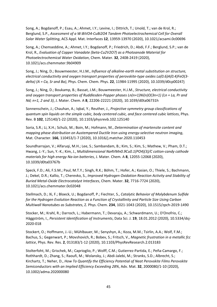Song, A.; Bogdanoff, P.; Esau, A.; Ahmet, I.Y.; Levine, I.; Dittrich, T.; Unold, T.; van de Krol, R.; Berglund, S.P., *Assessment of a W:BiVO4-CuBi2O4 Tandem Photoelectrochemical Cell for Overall Solar Water Splitting*, ACS Appl. Mat. Interfaces **12**, 13959-13970 (2020), 10.1021/acsami.0c00696

Song, A.; Chemseddine, A.; Ahmet, I.Y.; Bogdanoff, P.; Friedrich, D.; Abdi, F.F.; Berglund, S.P.; van de Krol, R., *Evaluation of Copper Vanadate (beta-Cu2V2O7) as a Photoanode Material for Photoelectrochemical Water Oxidation*, Chem. Mater. **32**, 2408-2419 (2020), 10.1021/acs.chemmater.9b04909

Song, J.; Ning, D.; Bouwmeester, H.J.M., *Influence of alkaline-earth metal substitution on structure, electrical conductivity and oxygen transport properties of perovskite-type oxides La(0.6)A(0.4)FeO(3 delta) (A = Ca, Sr and Ba)*, Phys. Chem. Chem. Phys. **22**, 11984-11995 (2020), 10.1039/d0cp00247j

Song, J.; Ning, D.; Boukamp, B.; Bassat, J.M.; Bouwmeester, H.J.M., *Structure, electrical conductivity and oxygen transport properties of Ruddlesden-Popper phases Ln(n+1)Ni(n)O(3n+1) (Ln = La, Pr and Nd; n=1, 2 and 3)*, J. Mater. Chem. A **8**, 22206-22221 (2020), 10.1039/d0ta06731h

Sonnenschein, J.; Chauhan, A.; Iqbal, Y.; Reuther, J., *Projective symmetry group classifications of quantum spin liquids on the simple cubic, body centered cubic, and face centered cubic lattices*, Phys. Rev. B **102**, 125140/1-22 (2020), 10.1103/physrevb.102.125140

Soria, S.R.; Li, X.H.; Schulz, M.; Boin, M.; Hofmann, M., *Determination of martensite content and mapping phase distribution on Austempered Ductile Iron using energy-selective neutron imaging*, Mat. Character. **166**, 110453/1-7 (2020), 10.1016/j.matchar.2020.110453

Soundharrajan, V.; Alfaruqi, M.H.; Lee, S.; Sambandam, B.; Kim, S.; Kim, S.; Mathew, V.; Pham, D.T.; Hwang, J.-Y.; Sun, Y.-K.; Kim, J., *Multidimensional Na4VMn0.9Cu0.1(PO4)(3)/C cotton-candy cathode materials for high energy Na-ion batteries*, J. Mater. Chem. A **8**, 12055-12068 (2020), 10.1039/d0ta03767b

Speck, F.D.; Ali, F.S.M.; Paul, M.T.Y.; Singh, R.K.; Böhm, T.; Hofer, A.; Kasian, O.; Thiele, S.; Bachmann, J.; Dekel, D.R.; Kallio, T.; Cherevko, S., *Improved Hydrogen Oxidation Reaction Activity and Stability of Buried Metal-Oxide Electrocatalyst Interfaces*, Chem. Mater. **32**, 7716-7724 (2020), 10.1021/acs.chemmater.0c02048

Stellmach, D.; Xi, F.; Bloeck, U.; Bogdanoff, P.; Fiechter, S., *Catalytic Behavior of Molybdenum Sulfide for the Hydrogen Evolution Reaction as a Function of Crystallinity and Particle Size Using Carbon Multiwall Nanotubes as Substrates*, Z. Phys. Chem. **234**, 1021-1043 (2020), 10.1515/zpch-2019-1490

Stocker, M.; Krahl, R.; Darroch, L.; Habermann, T.; Devaraju, A.; Schwardmann, U.; D'Onofrio, C.; Häggström, I., *Persistent Identification of Instruments*, Data Sci. J. **19**, 18.01.2012 (2020), 10.5334/dsj-2020-018

Stockert, O.; Hoffmann, J.-U.; Mühlbauer, M.; Senyshyn, A.; Koza, M.M.; Tsirlin, A.A.; Wolf, F.M.; Bachus, S.; Gegenwart, P.; Movshovich, R.; Bobev, S.; Fritsch, V., *Magnetic frustration in a metallic fcc lattice*, Phys. Rev. Res. **2**, 013183/1-12 (2020), 10.1103/PhysRevResearch.2.013183

Stolterfoht, M.; Grischek, M.; Caprioglio, P.; Wolff, C.M.; Gutierrez-Partida, E.; Peña-Camargo, F.; Rothhardt, D.; Zhang, S.; Raoufi, M.; Wolansky, J.; Abdi-Jalebi, M.; Stranks, S.D.; Albrecht, S.; Kirchartz, T.; Neher, D., *How To Quantify the Efficiency Potential of Neat Perovskite Films Perovskite Semiconductors with an Implied Efficiency Exceeding 28%*, Adv. Mat. **32**, 2000080/1-10 (2020), 10.1002/adma.202000080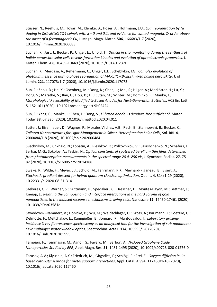Stüsser, N.; Reehuis, M.; Tovar, M.; Klemke, B.; Hoser, A.; Hoffmann, J.U., *Spin reorientation by Ni doping in Cu1-xNixCr2O4 spinels with x = 0 and 0.1, and evidence for canted magnetic Cr order above the onset of a ferromagnetic Cu*, J. Magn. Magn. Mater. **506**, 166683/1-7 (2020), 10.1016/j.jmmm.2020.166683

Suchan, K.; Just, J.; Becker, P.; Unger, E.; Unold, T., *Optical in situ monitoring during the synthesis of halide perovskite solar cells reveals formation kinetics and evolution of optoelectronic properties*, J. Mater. Chem. A **8**, 10439-10449 (2020), 10.1039/D0TA01237H

Suchan, K.; Merdasa, A.; Rehermann, C.; Unger, E.L.; Scheblykin, I.G., *Complex evolution of photoluminescence during phase segregation of MAPb(I1-xBrx)(3) mixed halide perovskite*, J. of Lumin. **221**, 117073/1-7 (2020), 10.1016/j.jlumin.2020.117073

Sun, F.; Zhou, D.; He, X.; Osenberg, M.; Dong, K.; Chen, L.; Mei, S.; Hilger, A.; Markötter, H.; Lu, Y.; Dong, S.; Marathe, S.; Rau, C.; Hou, X.; Li, J.; Stan, M.; Winter, M.; Dominko, R.; Manke, I., *Morphological Reversibility of Modified Li-Based Anodes for Next-Generation Batteries*, ACS En. Lett. **5**, 152-161 (2020), 10.1021/acsenergylett.9b02424

Sun, F.; Yang, C.; Manke, I.; Chen, L.; Dong, S., *Li-based anode: Is dendrite-free sufficient?*, Mater. Today **38**, 07.Sep (2020), 10.1016/j.mattod.2020.04.011

Sutter, J.; Eisenhauer, D.; Wagner, P.; Morales Vilches, A.B.; Rech, B.; Stannowski, B.; Becker, C., *Tailored Nanostructures for Light Management in Silicon Heterojunction Solar Cells*, Sol. RRL **4**, 2000484/1-8 (2020), 10.1002/solr.202000484

Svechnikov, M.; Chkhalo, N.; Lopatin, A.; Pleshkov, R.; Polkovnikov, V.; Salashchenko, N.; Schäfers, F.; Sertsu, M.G.; Sokolov, A.; Tsybin, N., *Optical constants of sputtered beryllium thin films determined from photoabsorption measurements in the spectral range 20.4–250 eV*, J. Synchrot. Radiat. **27**, 75- 82 (2020), 10.1107/S1600577519014188

Sweke, R.; Wilde, F.; Meyer, J.J.; Schuld, M.; Fährmann, P.K.; Meynard-Piganeau, B.; Eisert, J., *Stochastic gradient descent for hybrid quantum-classical optimization*, Quant. **4**, 314/1-29 (2020), 10.22331/q-2020-08-31-314

Szekeres, G.P.; Werner, S.; Guttmann, P.; Spedalieri, C.; Drescher, D.; Montes-Bayon, M.; Bettmer, J.; Kneipp, J., *Relating the composition and interface interactions in the hard corona of gold nanoparticles to the induced response mechanisms in living cells*, Nanoscale **12**, 17450-17461 (2020), 10.1039/d0nr03581e

Szwedowski-Rammert, V.; Hönicke, P.; Wu, M.; Waldschläger, U.; Gross, A.; Baumann, J.; Goetzke, G.; Delmotte, F.; Meltchakov, E.; Kanngießer, B.; Jonnard, P.; Mantouvalou, I., *Laboratory grazingincidence X-ray fluorescence spectroscopy as an analytical tool for the investigation of sub-nanometer CrSc multilayer water window optics*, Spectrochim. Acta B **174**, 105995/1-6 (2020), 10.1016/j.sab.2020.105995

Tampieri, F.; Tommasini, M.; Agnoli, S.; Favaro, M.; Barbon, A., *N-Doped Graphene Oxide Nanoparticles Studied by EPR*, Appl. Magn. Res. **51**, 1481-1495 (2020), 10.1007/s00723-020-01276-0

Tarasov, A.V.; Klyushin, A.Y.; Friedrich, M.; Girgsdies, F.; Schlögl, R.; Frei, E., *Oxygen diffusion in Cubased catalysts: A probe for metal support interactions*, Appl. Catal. A **594**, 117460/1-10 (2020), 10.1016/j.apcata.2020.117460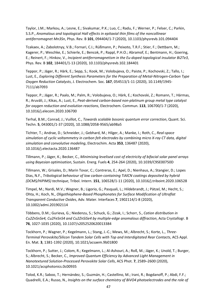Taylor, J.M.; Markou, A.; Lesne, E.; Sivakumar, P.K.; Luo, C.; Radu, F.; Werner, P.; Felser, C.; Parkin, S.S.P., *Anomalous and topological Hall effects in epitaxial thin films of the noncollinear antiferromagnet Mn3Sn*, Phys. Rev. B **101**, 094404/1-7 (2020), 10.1103/physrevb.101.094404

Tcakaev, A.; Zabolotnyy, V.B.; Fornari, C.I.; Rüßmann, P.; Peixoto, T.R.F.; Stier, F.; Dettbarn, M.; Kagerer, P.; Weschke, E.; Schierle, E.; Bencok, P.; Rappl, P.H.O.; Abramof, E.; Bentmann, H.; Goering, E.; Reinert, F.; Hinkov, V., *Incipient antiferromagnetism in the Eu-doped topological insulator Bi2Te3*, Phys. Rev. B **102**, 184401/1-13 (2020), 10.1103/physrevb.102.184401

Teppor, P.; Jäger, R.; Härk, E.; Sepp, S.; Kook, M.; Volobujeva, O.; Paiste, P.; Kochovski, Z.; Tallo, I.; Lust, E., *Exploring Different Synthesis Parameters for the Preparation of Metal-Nitrogen-Carbon Type Oxygen Reduction Catalysts*, J. Electrochem. Soc. **167**, 054513/1-11 (2020), 10.1149/1945- 7111/ab7093

Teppor, P.; Jäger, R.; Paalo, M.; Palm, R.; Volobujeva, O.; Härk, E.; Kochovski, Z.; Romann, T.; Härmas, R.; Aruväli, J.; Kikas, A.; Lust, E., *Peat-derived carbon-based non-platinum group metal type catalyst for oxygen reduction and evolution reactions*, Electrochem. Commun. **113**, 106700/1-7 (2020), 10.1016/j.elecom.2020.106700

Terhal, B.M.; Conrad, J.; Vuillot, C., *Towards scalable bosonic quantum error correction*, Quant. Sci. Techn. **5**, 043001/1-37 (2020), 10.1088/2058-9565/ab98a5

Tichter, T.; Andrae, D.; Schneider, J.; Gebhard, M.; Hilger, A.; Manke, I.; Roth, C., *Real-space simulation of cyclic voltammetry in carbon felt electrodes by combining micro X-ray CT data, digital simulation and convolutive modeling*, Electrochim. Acta **353**, 136487 (2020), 10.1016/j.electacta.2020.136487

Tillmann, P.; Jäger, K.; Becker, C., *Minimising levelised cost of electricity of bifacial solar panel arrays using Bayesian optimisation*, Sustain. Energ. Fuels **4**, 254-264 (2020), 10.1039/C9SE00750D

Tillmann, W.; Grisales, D.; Marin Tovar, C.; Contreras, E.; Apel, D.; Nienhaus, A.; Stangier, D.; Lopes Dias, N.F., *Tribological behaviour of low carbon-containing TiAlCN coatings deposited by hybrid (DCMS/HiPIMS) technique*, Tribol. Intern. **151**, 106528/1-11 (2020), 10.1016/j.triboint.2020.106528

Timpel, M.; Nardi, M.V.; Wegner, B.; Ligorio, G.; Pasquali, L.; Hildebrandt, J.; Pätzel, M.; Hecht, S.; Ohta, H.; Koch, N., *Oligothiophene-Based Phosphonates for Surface Modification of Ultraflat Transparent Conductive Oxides*, Adv. Mater. Interfaces **7**, 1902114/1-8 (2020), 10.1002/admi.201902114

Többens, D.M.; Gurieva, G.; Niedenzu, S.; Schuck, G.; Zizak, I.; Schorr, S., *Cation distribution in Cu2ZnSnSe4, Cu2FeSnS4 and Cu2ZnSiSe4 by multiple-edge anomalous diffraction*, Acta Crystallogr. B **76**, 1027-1035 (2020), 10.1107/s2052520620013384

Tockhorn, P.; Wagner, P.; Kegelmann, L.; Stang, J.-C.; Mews, M.; Albrecht, S.; Korte, L., *Three-Terminal Perovskite/Silicon Tandem Solar Cells with Top and Interdigitated Rear Contacts*, ACS Appl. En. Mat. **3**, 1381-1392 (2020), 10.1021/acsaem.9b01800

Tockhorn, P.; Sutter, J.; Colom, R.; Kegelmann, L.; Al-Ashouri, A.; Roß, M.; Jäger, K.; Unold, T.; Burger, S.; Albrecht, S.; Becker, C., *Improved Quantum Efficiency by Advanced Light Management in Nanotextured Solution-Processed Perovskite Solar Cells*, ACS Phot. **7**, 2589–2600 (2020), 10.1021/acsphotonics.0c00935

Tolod, K.R.; Saboo, T.; Hernández, S.; Guzmán, H.; Castellino, M.; Irani, R.; Bogdanoff, P.; Abdi, F.F.; Quadrelli, E.A.; Russo, N., *Insights on the surface chemistry of BiVO4 photoelectrodes and the role of*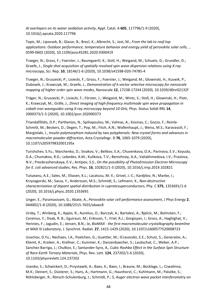*Al overlayers on its water oxidation activity*, Appl. Catal. A **605**, 117796/1-9 (2020), 10.1016/j.apcata.2020.117796

Topic, M.; Lipovsek, B.; Glazar, B.; Brecl, K.; Albrecht, S.; Jost, M., *From the lab to roof top applications: Outdoor performance, temperature behavior and energy yield of perovskite solar cells*, , 0599-0602 (2020), 10.1109/pvsc45281.2020.9300419

Traeger, N.; Gross, F.; Foerster, J.; Baumgaertl, K.; Stoll, H.; Weigand, M.; Schuetz, G.; Grundler, D.; Graefe, J., *Single shot acquisition of spatially resolved spin wave dispersion relations using X-ray microscopy*, Sci. Rep. **10**, 18146/1-6 (2020), 10.1038/s41598-020-74785-4

Traeger, N.; Gruszecki, P.; Lisiecki, F.; Gross, F.; Foerster, J.; Weigand, M.; Glowinski, H.; Kuswik, P.; Dubowik, J.; Krawczyk, M.; Graefe, J., *Demonstration of k-vector selective microscopy for nanoscale mapping of higher order spin wave modes*, Nanoscale **12**, 17238-17244 (2020), 10.1039/d0nr02132f

Träger, N.; Gruszecki, P.; Lisiecki, F.; Förster, J.; Weigand, M.; Wintz, S.; Stoll, H.; Glowinski, H.; Piotr, K.; Krawczyk, M.; Gräfe, J., *Direct imaging of high-frequency multimode spin wave propagation in cobalt-iron waveguides using X-ray microscopy beyond 10 GHz*, Phys. Status Solidi RRL **14**, 2000373/1-5 (2020), 10.1002/pssr.202000373

Triandafillidis, D.P.; Parthenios, N.; Spiliopoulou, M.; Valmas, A.; Kosinas, C.; Gozzo, F.; Reinle-Schmitt, M.; Beckers, D.; Degen, T.; Pop, M.; Fitch, A.N.; Wollenhaupt, J.; Weiss, M.S.; Karavassili, F.; Margiolaki, I., *Insulin polymorphism induced by two polyphenols: New crystal forms and advances in macromolecular powder diffraction*, Acta Crystallogr. D **76**, 1065-1079 (2020), 10.1107/s205979832001195x

Turishchev, S.Yu.; Marchenko, D.; Sivakov, V.; Belikov, E.A.; Chuvenkova, O.A.; Parinova, E.V.; Koyuda, D.A.; Chumakov, R.G.; Lebedev, A.M.; Kulikova, T.V.; Berezhnoy, A.A.; Valiakhmedova, I.V.; Praslova, N.V.; Preobrazhenskaya, E.V.; Antipov, S.S., *On the possibility of PhotoEmission Electron Microscopy for E. coli advanced studies*, Res. Phys. **16**, 102821/1-3 (2020), 10.1016/j.rinp.2019.102821

Tutueanu, A.E.; Sales, M.; Eliasen, K.L.; Lacatusu, M.-E.; Grivel, J.-C.; Kardjilov, N.; Manke, I.; Krzyzagorski, M.; Sassa, Y.; Andersson, M.S.; Schmidt, S.; Lefmann, K., *Non-destructive characterisation of dopant spatial distribution in cupratesuperconductors*, Phy. C **575**, 1353691/1-6 (2020), 10.1016/j.physc.2020.1353691

Unger, E.; Paramasivam, G.; Abate, A., *Perovskite solar cell performance assessment*, J Phys Energy **2**, 044002/1-8 (2020), 10.1088/2515-7655/abaec8

Ursby, T.; Ahnberg, K.; Appio, R.; Aurelius, O.; Barczyk, A.; Bartalesi, A.; Bjelcic, M.; Bolmsten, F.; Cerenius, Y.; Doak, R. B.; Eguiraun, M.; Eriksson, T.; Friel, R.J.; Gorgisyan, I.; Gross, A.; Haghighat, V.; Hennies, F.; Jagudin, E.; Jensen, B.N.; Je, *BioMAX - the first macromolecular crystallography beamline at MAX IV Laboratory*, J. Synchrot. Radiat. **27**, 1415-1429 (2020), 10.1107/s1600577520008723

Usachov, D.Yu.; Nechaev, I.A.; Poelchen, G.; Guettler, M.; ICrasovskii, E.E.; Schulz, S.; Generalov, A.; Kliemt, K.; Kraiker, A.; Krellner, C.; Kummer, K.; Danzenbaecher, S.; Laubschat, C.; Weber, A.P.; Sanchez-Barriga, J.; Chulkov, E.; Santander-Syro, A., *Cubic Rashba Effect in the Surface Spin Structure of Rare-Earth Ternary Materials*, Phys. Rev. Lett. **124**, 237202/1-6 (2020), 10.1103/physrevlett.124.237202

Usenko, S.; Schwickert, D.; Przystawik, A.; Baev, K.; Baev, I.; Braune, M.; Bocklage, L.; Czwalinna, M.K.; Deinert, S.; Düsterer, S.; Hans, A.; Hartmann, G.; Haunhorst, C.; Kuhlmann, M.; Palutke, S.; Röhlsberger, R.; Rönsch-Schulenburg, J.; Schmidt, P.; S, *Auger electron wave packet interferometry on*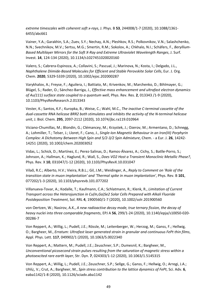*extreme timescales with coherent soft x-rays*, J. Phys. B **53**, 244008/1-7 (2020), 10.1088/1361- 6455/abc661

Vainer, Y.A.; Garakhin, S.A.; Zuev, S.Y.; Nechay, A.N.; Pleshkov, R.S.; Polkovnikov, V.N.; Salashchenko, N.N.; Svechnikov, M.V.; Sertsu, M.G.; Smertin, R.M.; Sokolov, A.; Chkhalo, N.I.; Schäfers, F., *Beryllium-Based Multilayer Mirrors for the Soft X-Ray and Extreme Ultraviolet Wavelength Ranges*, J. Surf. Invest. **14**, 124-134 (2020), 10.1134/s1027451020020160

Valero, S.; Cabrera-Espinoza, A.; Collavini, S.; Pascual, J.; Marinova, N.; Kosta, I.; Delgado, J.L., *Naphthalene Diimide-Based Molecules for Efficient and Stable Perovskite Solar Cells*, Eur. J. Org. Chem. **2020**, 5329-5339 (2020), 10.1002/ejoc.202000287

Varykhalov, A.; Freyse, F.; Aguilera, I.; Battiato, M.; Krivenkov, M.; Marchenko, D.; Bihlmayer, G.; Blügel, S.; Rader, O.; Sánchez-Barriga, J., *Effective mass enhancement and ultrafast electron dynamics of Au(111) surface state coupled to a quantum well*, Phys. Rev. Res. **2**, 013343 /1-9 (2020), 10.1103/PhysRevResearch.2.013343

Vester, K.; Santos, K.F.; Kuropka, B.; Weise, C.; Wahl, M.C., *The inactive C-terminal cassette of the dual-cassette RNA helicase BRR2 both stimulates and inhibits the activity of the N-terminal helicase unit*, J. Biol. Chem. **295**, 2097-2112 (2020), 10.1074/jbc.ra119.010964

Viciano-Chumillas, M.; Blondin, G.; Clémancey, M.; Krzystek, J.; Ozerov, M.; Armentano, D.; Schnegg, A.; Lohmiller, T.; Telser, J.; Lloret, F.; Cano, J., *Single-Ion Magnetic Behaviour in an Iron(III) Porphyrin Complex: A Dichotomy Between High Spin and 5/2-3/2 Spin Admixture*, Chem. - a Eur. J. **26**, 14242- 14251 (2020), 10.1002/chem.202003052

Vidas, L.; Schick, D.; Martínez, E.; Perez-Salinas, D.; Ramos-Álvarez, A.; Cichy, S.; Batlle-Porro, S.; Johnson, A.; Hallman, K.; Haglund, R.; Wall, S., *Does VO2 Host a Transient Monoclinic Metallic Phase?*, Phys. Rev. X **10**, 031047/1-12 (2020), 10.1103/PhysRevX.10.031047

Vilaõ, R.C.; Alberto, H.V.; Vieira, R.B.L.; Gil, J.M.; Weidinger, A., *Reply to Comment on 'Role of the transition state in muon implantation' and 'Thermal spike in muon implantation'*, Phys. Rev. B **101**, 077202/1-3 (2020), 10.1103/physrevb.101.077202

Villanueva-Tovar, A.; Kodalle, T.; Kaufmann, C.A.; Schlatmann, R.; Klenk, R., *Limitation of Current Transport across the Heterojunction in Cu(In,Ga)Se2 Solar Cells Prepared with Alkali Fluoride Postdeposition Treatment*, Sol. RRL **4**, 1900560/1-7 (2020), 10.1002/solr.201900560

von Oertzen, W.; Nasirov, A.K., *A new radioactive decay mode, true ternary fission, the decay of heavy nuclei into three comparable fragments*, EPJ A **56**, 299/1-24 (2020), 10.1140/epja/s10050-020- 00286-7

Von Reppert, A.; Willig, L.; Pudell, J.E.; Rössle, M.; Leitenberger, W.; Herzog, M.; Ganss, F.; Hellwig, O.; Bargheer, M., *Erratum: Ultrafast laser generated strain in granular and continuous FePt thin films*, Appl. Phys. Lett. **117**, 049902/1 (2020), 10.1063/5.0022340

Von Reppert, A.; Mattern, M.; Pudell, J.E.; Zeuschner, S.P.; Dumesnil, K.; Bargheer, M., *Unconventional picosecond strain pulses resulting from the saturation of magnetic stress within a photoexcited rare earth layer*, Str. Dyn. **7**, 024303/1-12 (2020), 10.1063/1.5145315

Von Reppert, A.; Willig, L.; Pudell, J.E.; Zeuschner, S.P.; Sellge, G.; Ganss, F.; Hellwig, O.; Arregi, J.A.; Uhlí¿, V.; Crut, A.; Bargheer, M., *Spin stress contribution to the lattice dynamics of FePt*, Sci. Adv. **6**, eaba1142/1-8 (2020), 10.1126/sciadv.aba1142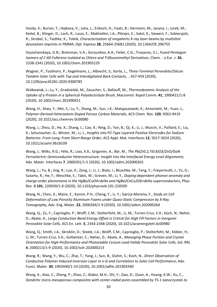Vozda, V.; Burian, T.; Hajkova, V.; Juha, L.; Enkisch, H.; Faatz, B.; Hermann, M.; Jacyna, I.; Jurek, M.; Keitel, B.; Klinger, D.; Loch, R.; Louis, E.; Makhotkin, I.A.; Plönjes, E.; Saksl, K.; Siewert, F.; Sobierajski, R.; Strobel, S.; Tiedtke, K.; Toleik, *Characterization of megahertz X-ray laser beams by multishot desorption imprints in PMMA*, Opt. Express **28**, 25664-25681 (2020), 10.1364/OE.396755

Vysochanskaya, O.N.; Brotsman, V.A.; Goryunkov, A.A.; Feiler, C.G.; Troyanov, S.I., *Fused-Pentagon Isomers of C-60 Fullerene Isolated as Chloro and Trifluoromethyl Derivatives*, Chem. - a Eur. J. **26**, 2338-2341 (2020), 10.1002/chem.201905229

Wagner, P.; Tockhorn, P.; Kegelmann, L.; Albrecht, S.; Korte, L., *Three-Terminal Perovskite/Silicon Tandem Solar Cells with Top and Interdigitated Back-Contacts*, , 457-459 (2020), 10.1109/pvsc45281.2020.9300785

Walkowiak, J.; Lu, Y.; Gradzielski, M.; Zauscher, S.; Ballauff, M., *Thermodynamic Analysis of the Uptake of a Protein in a Spherical Polyelectrolyte Brush*, Macromol. Rapid Comm. **41**, 1900421/1-8 (2020), 10.1002/marc.201900421

Wang, H.; Shao, Y.; Mei, S.; Lu, Y.; Zhang, M.; Sun, J.K.; Matyjaszewski, K.; Antonietti, M.; Yuan, J., *Polymer-Derived Heteroatom-Doped Porous Carbon Materials*, ACS Chem. Rev. **120**, 9363-9419 (2020), 10.1021/acs.chemrev.0c00080

Wang, J.; Zhou, D.; He, X.; Zhang, L.; Cao, X.; Ning, D.; Yan, B.; Qi, X.; Li, J.; Murzin, V.; Paillard, E.; Liu, X.; Schumacher, G.; Winter, M.; Li, J., *Insights into P2-Type Layered Positive Electrodes for Sodium Batteries: From Long: From Short-Range Order*, ACS Appl. Mat. Interfaces **12**, 5017-5024 (2020), 10.1021/acsami.9b18109

Wang, J.; Wilks, R.G.; Félix, R.; Liao, X.X.; Grigoriev, A.; Bär, M., *The Pb(Zr0.2,Ti0.8)O3/ZnO/GaN Ferroelectric–Semiconductor Heterostructure: Insight into the Interfacial Energy Level Alignments*, Adv. Mater. Interfaces **7**, 2000201/1-5 (2020), 10.1002/admi.202000201

Wang, L.; Yu, B.; Jing, R.; Luo, X.; Zeng, J.; Li, J.; Bialo, I.; Bluschke, M.; Tang, Y.; Freyermuth, J.; Yu, G.; Sutarto, R.; He, F.; Weschke, E.; Tabis, W.; Greven, M.; Li, Y., *Doping-dependent phonon anomaly and charge-order phenomena in the HgBa2CuO4+delta and HgBa2CaCu2O6+delta superconductors*, Phys. Rev. B **101**, 220509/1-6 (2020), 10.1103/physrevb.101.220509

Wang, N.; Chen, X.; Maire, E.; Kamm, P.H.; Cheng, Y.; Li, Y.; Garcia-Moreno, F., *Study on Cell Deformation of Low Porosity Aluminum Foams under Quasi-Static Compression by X-Ray Tomography*, Adv. Eng. Mater. **22**, 2000264/1-9 (2020), 10.1002/adem.202000264

Wang, Q.; Zu, F.; Caprioglio, P.; Wolff, C.M.; Stolterfoht, M.; Li, M.; Turren-Cruz, S.H.; Koch, N.; Neher, D.; Abate, A., *Large Conduction Band Energy Offset Is Critical for High Fill Factors in Inorganic Perovskite Solar Cells*, ACS En. Lett. **5**, 2343-2348 (2020), 10.1021/acsenergylett.0c00980

Wang, Q.; Smith, J.A.; Skroblin, D.; Steele, J.A.; Wolff, C.M.; Caprioglio, P.; Stolterfoht, M.; Köbler, H.; Li, M.; Turren-Cruz, S.H.; Gollwitzer, C.; Neher, D.; Abate, A., *Managing Phase Purities and Crystal Orientation for High-Performance and Photostable Cesium Lead Halide Perovskite Solar Cells*, Sol. RRL **4**, 2000213/1-9 (2020), 10.1002/solr.202000213

Wang, R.; Wang, Y.; Wu, C.; Zhai, T.; Yang, J.; Sun, B.; Duhm, S.; Koch, N., *Direct Observation of Conductive Polymer Induced Inversion Layer in n-Si and Correlation to Solar Cell Performance*, Adv. Funct. Mater. **30**, 1903440/1-10 (2020), 10.1002/adfm.201903440

Wang, X.; Xiao, C.; Zheng, P.; Zhao, Z.; Alabsi, M.H.; Shi, Y.; Gao, D.; Duan, A.; Huang, K.W.; Xu, C., *Dendritic micro-mesoporous composites with center-radial pores assembled by TS-1 nanocrystals to*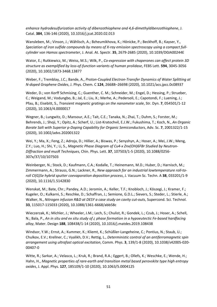*enhance hydrodesulfurization activity of dibenzothiophene and 4,6-dimethyldibenzothiophene*, J. Catal. **384**, 136-146 (2020), 10.1016/j.jcat.2020.02.013

Wansleben, M.; Vinson, J.; Wählisch, A.; Bzheumikhova, K.; Hönicke, P.; Beckhoff, B.; Kayser, Y., *Speciation of iron sulfide compounds by means of X-ray emission spectroscopy using a compact fullcylinder von Hamos spectrometer*, J. Anal. At. Spectr. **35**, 2679-2685 (2020), 10.1039/D0JA00244E

Wator, E.; Rutkiewicz, M.; Weiss, M.S.; Wilk, P., *Co-expression with chaperones can affect protein 3D structure as exemplified by loss-of-function variants of human prolidase*, FEBS Lett. **594**, 3045-3056 (2020), 10.1002/1873-3468.13877

Weber, F.; Tremblay, J.C.; Bande, A., *Proton-Coupled Electron-Transfer Dynamics of Water Splitting at N-doped Graphene Oxides*, J. Phys. Chem. C **124**, 26688–26698 (2020), 10.1021/acs.jpcc.0c08937

Weder, D.; von Korff Schmising, C.; Guenther, C. M.; Schneider, M.; Engel, D.; Hessing, P.; Strueber, C.; Weigand, M.; Vodungbo, B.; Jal, E.; Liu, X.; Merhe, A.; Pedersoli, E.; Capotondi, F.; Luening, J.; Pfau, B.; Eisebitt, S., *Transient magnetic gratings on the nanometer scale*, Str. Dyn. **7**, 054501/1-12 (2020), 10.1063/4.0000017

Wegner, B.; Lungwitz, D.; Mansour, A.E.; Tait, C.E.; Tanaka, N.; Zhai, T.; Duhm, S.; Forster, M.; Behrends, J.; Shoji, Y.; Opitz, A.; Scherf, U.; List-Kratochvil, E.J.W.; Fukushima, T.; Koch, N., *An Organic Borate Salt with Superior p-Doping Capability for Organic Semiconductors*, Adv. Sc. **7**, 2001322/1-15 (2020), 10.1002/advs.202001322

Wei, Y.; Ma, X.; Feng, Z.; Adroja, D.; Hillier, A.; Biswas, P.; Senyshyn, A.; Hoser, A.; Mei, J.W.; Meng, Z.Y.; Luo, H.; Shi, Y.; Li, S., *Magnetic Phase Diagram of Cu4-x Znx(OH)6FBr Studied by Neutron-Diffraction and musR Techniques*, Chin. Phys. Lett. **37**, 107503/1-5 (2020), 10.1088/0256- 307x/37/10/107503

Weinberger, N.; Stock, D.; Kaufmann, C.A.; Kodalle, T.; Heinemann, M.D.; Huber, D.; Harnisch, M.; Zimmermann, A.; Strauss, G.N.; Lackner, R., *New approach for an industrial lowtemperature roll-toroll CI(G)Se hybrid sputter coevaporation deposition process*, J. Vacuum Sc. Techn. A **38**, 033201/1-9 (2020), 10.1116/1.5142830

Wenskat, M.; Bate, Chr.; Pandey, A.D.; Jeromin, A.; Keller, T.F.; Knobloch, J.; Köszegi, J.; Kramer, F.; Kugeler, O.; Kulkarni, S.; Reschke, D.; Schaffran, J.; Semione, G.D.L.; Sievers, S.; Steder, L.; Stierle, A.; Walker, N., *Nitrogen infusion R&D at DESY a case study on cavity cut-outs*, Supercond. Sci. Technol. **33**, 115017-115033 (2020), 10.1088/1361-6668/abb58c

Wieczerzak, K.; Michler, J.; Wheeler, J.M.; Lech, S.; Chulist, R.; Gondek, L.; Czub, J.; Hoser, A.; Schell, N.; Bala, P., *An in situ and ex situ study of ¿ phase formation in a hypoeutectic Fe-based hardfacing alloy*, Mater. Design **188**, 108438/1-14 (2020), 10.1016/j.matdes.2019.108438

Windsor, Y.W.; Ernst, A.; Kummer, K.; Kliemt, K.; Schüßler-Langeheine, C.; Pontius, N.; Staub, U.; Chulkov, E.V.; Krellner, C.; Vyalikh, D.V.; Rettig, L., *Deterministic control of an antiferromagnetic spin arrangement using ultrafast optical excitation*, Comm. Phys. **3**, 139/1-8 (2020), 10.1038/s42005-020- 00407-0

Witte, R.; Sarkar, A.; Velasco, L.; Kruk, R.; Brand, R.A.; Eggert, B.; Ollefs, K.; Weschke, E.; Wende, H.; Hahn, H., *Magnetic properties of rare-earth and transition metal based perovskite type high entropy oxides*, J. Appl. Phys. **127**, 185109/1-10 (2020), 10.1063/5.0004125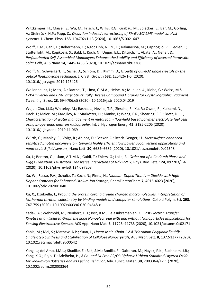Wittkämper, H.; Maisel, S.; Wu, M.; Frisch, J.; Wilks, R.G.; Grabau, M.; Spiecker, E.; Bär, M.; Görling, A.; Steinrück, H.P.; Papp, C., *Oxidation induced restructuring of Rh-Ga SCALMS model catalyst systems*, J. Chem. Phys. **153**, 104702/1-13 (2020), 10.1063/5.0021647

Wolff, C.M.; Canil, L.; Rehermann, C.; Ngoc Linh, N.; Zu, F.; Ralaiarisoa, M.; Caprioglio, P.; Fiedler, L.; Stolterfoht, M.; Kogikoski, S.; Bald, I.; Koch, N.; Unger, E.L.; Dittrich, T.; Abate, A.; Neher, D., *Perfluorinated Self-Assembled Monolayers Enhance the Stability and Efficiency of Inverted Perovskite Solar Cells*, ACS Nano **14**, 1445-1456 (2020), 10.1021/acsnano.9b03268

Wolff, N.; Schwaigert, T.; Siche, D.; Schlom, D..; Klimm, D., *Growth of CuFeO2 single crystals by the optical floating-zone technique*, J. Cryst. Growth **532**, 125426/1-5 (2020), 10.1016/j.jcrysgro.2019.125426

Wollenhaupt, J.; Metz, A.; Barthel, T.; Lima, G.M.A.; Heine, A.; Mueller, U.; Klebe, G.; Weiss, M.S., *F2X-Universal and F2X-Entry: Structurally Diverse Compound Libraries for Crystallographic Fragment Screening*, Struc. **28**, 694-706.e5 (2020), 10.1016/j.str.2020.04.019

Wu, J.; Cho, J.I.S.; Whiteley, M.; Rasha, L.; Neville, T.P.; Ziesche, R.; Xu, R.; Owen, R.; Kulkarni, N.; Hack, J.; Maier, M.; Kardjilov, N.; Markötter, H.; Manke, I.; Wang, F.R.; Shearing, P.R.; Brett, D.J.L., *Characterization of water management in metal foam flow-field based polymer electrolyte fuel cells using in-operando neutron radiography*, Int. J. Hydrogen Energ. **45**, 2195-2205 (2020), 10.1016/j.ijhydene.2019.11.069

Würth, C.; Manley, P.; Voigt, R.; Ahiboz, D.; Becker, C.; Resch-Genger, U., *Metasurface enhanced sensitized photon upconversion: towards highly efficient low power upconversion applications and nano-scale E-field sensors*, Nano Lett. **20**, 6682–6689 (2020), 10.1021/acs.nanolett.0c02548

Xu, J.; Benton, O.; Islam, A.T.M.N.; Guidi, T.; Ehlers, G.; Lake, B., *Order out of a Coulomb Phase and Higgs Transition: Frustrated Transverse Interactions of Nd2Zr2O7*, Phys. Rev. Lett. **124**, 097203/1-6 (2020), 10.1103/physrevlett.124.097203

Xu, W.; Russo, P.A.; Schultz, T.; Koch, N.; Pinna, N., *Niobium-Doped Titanium Dioxide with High Dopant Contents for Enhanced Lithium-Ion Storage*, ChemElectroChem **7**, 4016-4023 (2020), 10.1002/celc.202001040

Xu, X.; Dzubiella, J., *Probing the protein corona around charged macromolecules: interpretation of isothermal titration calorimetry by binding models and computer simulations*, Colloid Polym. Sci. **298**, 747-759 (2020), 10.1007/s00396-020-04648-x

Yadav, A.; Wehrhold, M.; Neubert, T. J.; Iost, R.M.; Balasubramanian, K., *Fast Electron Transfer Kinetics at an Isolated Graphene Edge Nanoelectrode with and without Nanoparticles Implications for Sensing Electroactive Species*, ACS App. Nano Mat. **3**, 11725–11735 (2020), 10.1021/acsanm.0c02171

Yahia, M.; Mei, S.; Mathew, A.P.; Yuan, J., *Linear Main-Chain 1,2,4-Triazolium Poly(ionic liquid)s: Single-Step Synthesis and Stabilization of Cellulose Nanocrystals*, ACS Macr. Lett. **8**, 1372-1377 (2020), 10.1021/acsmacrolett.9b00542

Yang, L.; del Amo, J.M.L.; Shadike, Z.; Bak, S.M.; Bonilla, F.; Galceran, M.; Nayak, P.K.; Buchheim, J.R.; Yang, X.Q.; Rojo, T.; Adelhelm, P., *A Co- and Ni-Free P2/O3 Biphasic Lithium Stabilized Layered Oxide for Sodium-Ion Batteries and its Cycling Behavior*, Adv. Funct. Mater. **30**, 2003364/1-11 (2020), 10.1002/adfm.202003364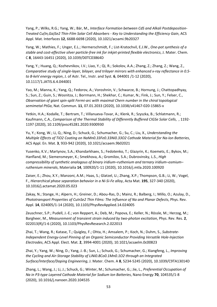Yang, P.; Wilks, R.G.; Yang, W.; Bär, M., *Interface Formation between CdS and Alkali Postdeposition-Treated Cu(In,Ga)Se2 Thin-Film Solar Cell Absorbers - Key to Understanding the Efficiency Gain*, ACS Appl. Mat. Interfaces **12**, 6688-6698 (2020), 10.1021/acsami.9b20327

Yang, W.; Mathies, F.; Unger, E.L.; Hermerschmidt, F.; List-Kratochvil, E.J.W., *One-pot synthesis of a stable and cost-effective silver particle-free ink for inkjet-printed flexible electronics*, J. Mater. Chem. C **8**, 16443-16451 (2020), 10.1039/D0TC03864D

Yang, Y.; Huang, Q.; Kozhevnikov, I.V.; Liao, Y.; Qi, R.; Sokolov, A.A.; Zhang, Z.; Zhang, Z.; Wang, Z., *Comparative study of single-layer, bilayer, and trilayer mirrors with enhanced x-ray reflectance in 0.5 to 8-keV energy region*, J. of Astr. Tel., Instr. and Syst. **6**, 044001 /1-12 (2020), 10.1117/1.JATIS.6.4.044001

Yao, M.; Manna, K.; Yang, Q.; Fedorov, A.; Voroshnin, V.; Schwarze, B.; Hornung, J.; Chattopadhyay, S.; Sun, Z.; Guin, S.; Wosnitza, J.; Borrmann, H.; Shekhar, C.; Kumar, N.; Fink, J.; Sun, Y.; Felser, C., *Observation of giant spin-split Fermi-arc with maximal Chern number in the chiral topological semimetal PtGa*, Nat. Commun. **11**, 07.01.2033 (2020), 10.1038/s41467-020-15865-x

Yetkin, H.A.; Kodalle, T.; Bertram, T.; Villanueva-Tovar, A.; Klenk, R.; Szyszka, B.; Schlatmann, R.; Kaufmann, C.A., *Comparison of the Thermal Stability of Differently Buffered CIGSe Solar Cells*, , 1192- 1197 (2020), 10.1109/pvsc45281.2020.9300930

Yu, Y.; Kong, W.; Li, Q.; Ning, D.; Schuck, G.; Schumacher, G.; Su, C.; Liu, X., *Understanding the Multiple Effects of TiO2 Coating on NaMn0.33Fe0.33Ni0.33O2 Cathode Material for Na-Ion Batteries*, ACS Appl. En. Mat. **3**, 933-942 (2020), 10.1021/acsaem.9b02021

Yusenko, K.V.; Martynov, S.A.; Khandarkhaev, S.; Fedotenko, T.; Glazyrin, K.; Koemets, E.; Bykov, M.; Hanfland, M.; Siemensmeyer, K.; Smekhova, A.; Gromilov, S.A.; Dubrovinsky, L.S., *High compressibility of synthetic analogous of binary iridium–ruthenium and ternary iridium–osmium– ruthenium minerals*, Materialia **14**, 100920/1-11 (2020), 10.1016/j.mtla.2020.100920

Zaiser, E.; Zhou, X.Y.; Manzoni, A.M.; Haas, S.; Glatzel, U.; Zhang, X.P.; Thompson, G.B.; Li, W.; Vogel, F., *Hierarchical phase separation behavior in a Ni-Si-Fe alloy*, Acta Mat. **195**, 327-340 (2020), 10.1016/j.actamat.2020.05.023

Zakay, N.; Stange, H.; Alpern, H.; Greiner, D.; Abou-Ras, D.; Mainz, R.; Balberg, I.; Millo, O.; Azulay, D., *Phototransport Properties of CuInSe2 Thin Films: The Influence of Na and Planar Defects*, Phys. Rev. Appl. **14**, 024005/1-14 (2020), 10.1103/PhysRevApplied.14.024005

Zeuschner, S.P.; Pudell, J.-E.; von Reppert, A.; Deb, M.; Popova, E.; Keller, N.; Rössle, M.; Herzog, M.; Bargheer, M., *Measurement of transient strain induced by two-photon excitation*, Phys. Rev. Res. **2**, 022013(R)/1-6 (2020), 10.1103/PhysRevResearch.2.022013

Zhai, T.; Wang, R.; Katase, T.; Quigley, F.; Ohta, H.; Amsalem, P.; Koch, N.; Duhm, S., *Substrate-Independent Energy-Level Pinning of an Organic Semiconductor Providing Versatile Hole-Injection Electrodes*, ACS Appl. Elect. Mat. **2**, 3994-4001 (2020), 10.1021/acsaelm.0c00823

Zhai, Y.; Yang, W.; Ning, D.; Yang, J.-B.; Sun, L.; Schuck, G.; Schumacher, G.; Xiangfeng, L., *Improving the Cycling and Air-Storage Stability of LiNi0.8Co0.1Mn0.1O2 through an Integrated Surface/Interface/Doping Engineering*, J. Mater. Chem. A **8**, 5234-5245 (2020), 10.1039/C9TA13014D

Zhang, L.; Wang, J.; Li, J.; Schuck, G.; Winter, M.; Schumacher, G.; Jie, L., *Preferential Occupation of Na in P3-type Layered Cathode Material for Sodium Ion Batteries*, Nano Energy **70**, 104535/1-8 (2020), 10.1016/j.nanoen.2020.104535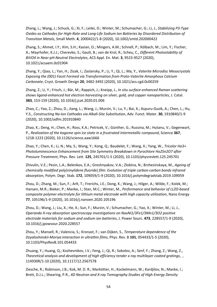Zhang, L.; Wang, J.; Schuck, G.; Xi, F.; Leilei, D.; Winter, M.; Schumacher, G.; Li, J., *Stabilizing P3-Type Oxides as Cathodes for High-Rate and Long-Life Sodium Ion Batteries by Disordered Distribution of Transition Metals*, Small Meth. **4**, 2000422/1-8 (2020), 10.1002/smtd.202000422

Zhang, S.; Ahmet, I.Y.; Kim, S.H.; Kasian, O.; Mingers, A.M.; Schnell, P.; Kölbach, M.; Lim, Y.; Fischer, A.; Mayrhofer, K.J.J.; Cherevko, S.; Gault, B.; van de Krol, R.; Scheu, C., *Different Photostability of BiVO4 in Near-pH-Neutral Electrolytes*, ACS Appl. En. Mat. **3**, 9523-9527 (2020), 10.1021/acsaem.0c01904

Zhang, Y.; Qiao, L.; Yan, H.; Zizak, I.; Zaslansky, P.; Li, Y.; Qi, L.; Ma, Y., *Vaterite Microdisc Mesocrystals Exposing the (001) Facet Formed via Transformation from Proto-Vaterite Amorphous Calcium Carbonate*, Cryst. Growth Design **20**, 3482-3492 (2020), 10.1021/acs.cgd.0c00259

Zhang, Z.; Li, Y.; Frisch, J.; Bär, M.; Rappich, J.; Kneipp, J., *In situ surface-enhanced Raman scattering shows ligand-enhanced hot electron harvesting on silver, gold, and copper nanoparticles*, J. Catal. **383**, 153-159 (2020), 10.1016/j.jcat.2020.01.006

Zhao, C.; Yao, Z.; Zhou, D.; Jiang, L.; Wang, J.; Murzin, V.; Lu, Y.; Bai, X.; Aspuru-Guzik, A.; Chen, L.; Hu, Y.S., *Constructing Na-Ion Cathodes via Alkali-Site Substitution*, Adv. Funct. Mater. **30**, 1910840/1-9 (2020), 10.1002/adfm.201910840

Zhao, K.; Deng, H.; Chen, H.; Ross, K.A.; Petricek, V.; Günther, G.; Russina, M.; Hutanu, V.; Gegenwart, P., *Realization of the kagome spin ice state in a frustrated intermetallic compound*, Science **367**, 1218-1223 (2020), 10.1126/science.aaw1666

Zhao, Y.; Chen, K.; Li, N.; Ma, S.; Wang, Y.; Kong, Q.; Baudelet, F.; Wang, X.; Yang, W., *Tricolor Ho3+ Photoluminescence Enhancement from Site Symmetry Breakdown in Pyrochlore Ho2Sn2O7 after Pressure Treatment*, Phys. Rev. Lett. **125**, 245701/1-5 (2020), 10.1103/physrevlett.125.245701

Zhivulin, V.E.; Pesin, L.A.; Belenkov, E.A.; Greshnyakov, V.A.; Zlobina, N.; Brzhezinskaya, M., *Ageing of chemically modified poly(vinylidene fluoride) film: Evolution of triple carbon-carbon bonds infrared absorption*, Polym. Degr. Stab. **172**, 109059/1-9 (2020), 10.1016/j.polymdegradstab.2019.109059

Zhou, D.; Zhang, M.; Sun, F.; Arlt, T.; Frerichs, J.E.; Dong, K.; Wang, J.; Hilger, A.; Wilde, F.; Kolek, M.; Hansen, M.R.; Bieker, P.; Manke, I.; Stan, M.C.; Winter, M., *Performance and behavior of LLZO-based composite polymer electrolyte for lithium metal electrode with high capacity utilization*, Nano Energy **77**, 105196/1-9 (2020), 10.1016/j.nanoen.2020.105196

Zhou, D.; Wang, J.; Liu, X.; He, X.; Sun, F.; Murzin, V.; Schumacher, G.; Yao, X.; Winter, M.; Li, J., *Operando X-ray absorption spectroscopy investigations on NaxNi1/3Fe1/3Mn1/3O2 positive electrode materials for sodium and sodium ion batteries*, J. Power Sourc. **473**, 228557/1-9 (2020), 10.1016/j.jpowsour.2020.228557

Zhou, Y.; Mansell, R.; Valencia, S.; Kronast, F.; van Dijken, S., *Temperature dependence of the Dzyaloshinskii-Moriya interaction in ultrathin films*, Phys. Rev. B **101**, 054433/1-5 (2020), 10.1103/PhysRevB.101.054433

Zhuang, Y.; Huang, Q.; Kozhevnikov, I.V.; Feng, J.; Qi, R.; Sokolov, A.; Senf, F.; Zhang, Z.; Wang, Z., *Theoretical analysis and development of high efficiency tender x-ray multilayer coated gratings*, , 114930R/1-10 (2020), 10.1117/12.2567578

Ziesche, R.; Robinson, J.B.; Kok, M. D. R.; Markötter, H.; Kockelmann, W.; Kardjilov, N.; Manke, I.; Brett, D.J.L.; Shearing, P.R., *4D Neutron and X-ray Tomography Studies of High Energy Density*